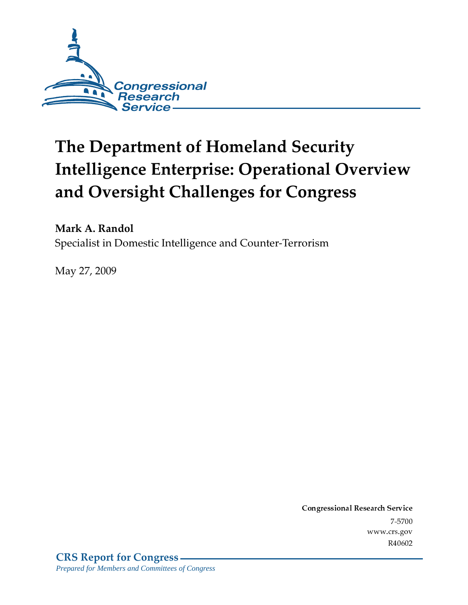

# **The Department of Homeland Security Intelligence Enterprise: Operational Overview** and Oversight Challenges for Congress

Mark A. Randol

Specialist in Domestic Intelligence and Counter-Terrorism

May 27, 2009

Conglessional Research Service  $7 - 2700$ www.crs.gov R40602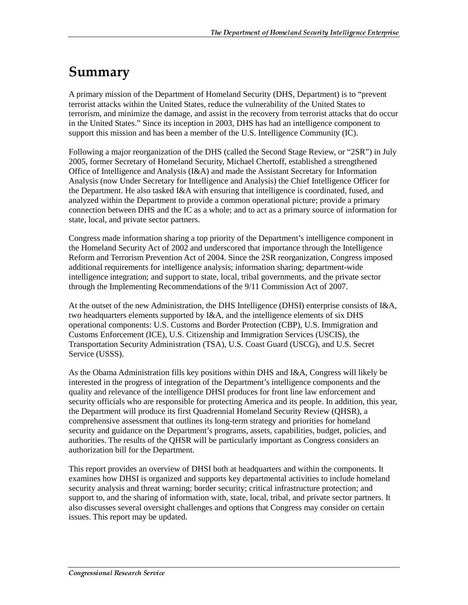## Summary

A primary mission of the Department of Homeland Security (DHS, Department) is to "prevent terrorist attacks within the United States, reduce the vulnerability of the United States to terrorism, and minimize the damage, and assist in the recovery from terrorist attacks that do occur in the United States." Since its inception in 2003, DHS has had an intelligence component to support this mission and has been a member of the U.S. Intelligence Community (IC).

Following a major reorganization of the DHS (called the Second Stage Review, or "2SR") in July 2005, former Secretary of Homeland Security, Michael Chertoff, established a strengthened Office of Intelligence and Analysis (I&A) and made the Assistant Secretary for Information Analysis (now Under Secretary for Intelligence and Analysis) the Chief Intelligence Officer for the Department. He also tasked I&A with ensuring that intelligence is coordinated, fused, and analyzed within the Department to provide a common operational picture; provide a primary connection between DHS and the IC as a whole; and to act as a primary source of information for state, local, and private sector partners.

Congress made information sharing a top priority of the Department's intelligence component in the Homeland Security Act of 2002 and underscored that importance through the Intelligence Reform and Terrorism Prevention Act of 2004. Since the 2SR reorganization, Congress imposed additional requirements for intelligence analysis; information sharing; department-wide intelligence integration; and support to state, local, tribal governments, and the private sector through the Implementing Recommendations of the 9/11 Commission Act of 2007.

At the outset of the new Administration, the DHS Intelligence (DHSI) enterprise consists of I&A, two headquarters elements supported by I&A, and the intelligence elements of six DHS operational components: U.S. Customs and Border Protection (CBP), U.S. Immigration and Customs Enforcement (ICE), U.S. Citizenship and Immigration Services (USCIS), the Transportation Security Administration (TSA), U.S. Coast Guard (USCG), and U.S. Secret Service (USSS).

As the Obama Administration fills key positions within DHS and I&A, Congress will likely be interested in the progress of integration of the Department's intelligence components and the quality and relevance of the intelligence DHSI produces for front line law enforcement and security officials who are responsible for protecting America and its people. In addition, this year, the Department will produce its first Quadrennial Homeland Security Review (QHSR), a comprehensive assessment that outlines its long-term strategy and priorities for homeland security and guidance on the Department's programs, assets, capabilities, budget, policies, and authorities. The results of the QHSR will be particularly important as Congress considers an authorization bill for the Department.

This report provides an overview of DHSI both at headquarters and within the components. It examines how DHSI is organized and supports key departmental activities to include homeland security analysis and threat warning; border security; critical infrastructure protection; and support to, and the sharing of information with, state, local, tribal, and private sector partners. It also discusses several oversight challenges and options that Congress may consider on certain issues. This report may be updated.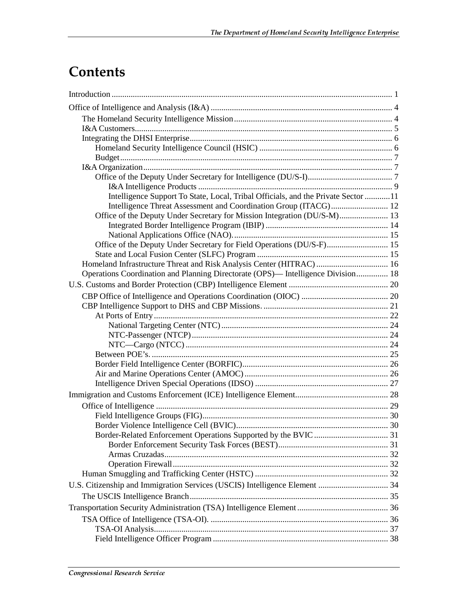## **Contents**

| Intelligence Support To State, Local, Tribal Officials, and the Private Sector 11 |  |
|-----------------------------------------------------------------------------------|--|
| Intelligence Threat Assessment and Coordination Group (ITACG) 12                  |  |
| Office of the Deputy Under Secretary for Mission Integration (DU/S-M) 13          |  |
|                                                                                   |  |
|                                                                                   |  |
| Office of the Deputy Under Secretary for Field Operations (DU/S-F) 15             |  |
|                                                                                   |  |
| Homeland Infrastructure Threat and Risk Analysis Center (HITRAC)  16              |  |
| Operations Coordination and Planning Directorate (OPS)— Intelligence Division 18  |  |
|                                                                                   |  |
|                                                                                   |  |
|                                                                                   |  |
|                                                                                   |  |
|                                                                                   |  |
|                                                                                   |  |
|                                                                                   |  |
|                                                                                   |  |
|                                                                                   |  |
|                                                                                   |  |
|                                                                                   |  |
|                                                                                   |  |
|                                                                                   |  |
|                                                                                   |  |
|                                                                                   |  |
|                                                                                   |  |
|                                                                                   |  |
|                                                                                   |  |
|                                                                                   |  |
|                                                                                   |  |
|                                                                                   |  |
|                                                                                   |  |
|                                                                                   |  |
|                                                                                   |  |
|                                                                                   |  |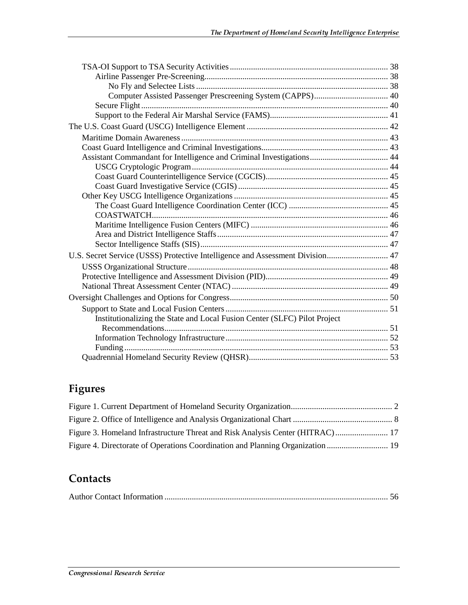| Assistant Commandant for Intelligence and Criminal Investigations 44          |  |
|-------------------------------------------------------------------------------|--|
|                                                                               |  |
|                                                                               |  |
|                                                                               |  |
|                                                                               |  |
|                                                                               |  |
|                                                                               |  |
|                                                                               |  |
|                                                                               |  |
|                                                                               |  |
| U.S. Secret Service (USSS) Protective Intelligence and Assessment Division 47 |  |
|                                                                               |  |
|                                                                               |  |
|                                                                               |  |
|                                                                               |  |
|                                                                               |  |
| Institutionalizing the State and Local Fusion Center (SLFC) Pilot Project     |  |
|                                                                               |  |
|                                                                               |  |
|                                                                               |  |
|                                                                               |  |

## Figures

| Figure 3. Homeland Infrastructure Threat and Risk Analysis Center (HITRAC) 17 |  |
|-------------------------------------------------------------------------------|--|
|                                                                               |  |

## **Contacts**

|--|--|--|--|--|--|--|--|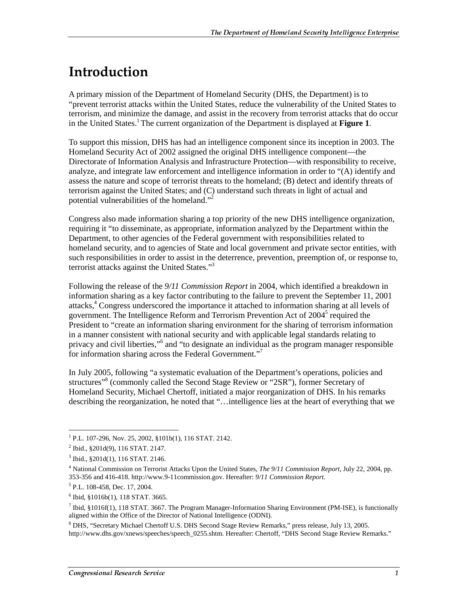## <u>Introduction</u>

A primary mission of the Department of Homeland Security (DHS, the Department) is to "prevent terrorist attacks within the United States, reduce the vulnerability of the United States to terrorism, and minimize the damage, and assist in the recovery from terrorist attacks that do occur in the United States.<sup>1</sup> The current organization of the Department is displayed at **Figure 1**.

To support this mission, DHS has had an intelligence component since its inception in 2003. The Homeland Security Act of 2002 assigned the original DHS intelligence component—the Directorate of Information Analysis and Infrastructure Protection—with responsibility to receive, analyze, and integrate law enforcement and intelligence information in order to "(A) identify and assess the nature and scope of terrorist threats to the homeland; (B) detect and identify threats of terrorism against the United States; and (C) understand such threats in light of actual and potential vulnerabilities of the homeland."<sup>2</sup>

Congress also made information sharing a top priority of the new DHS intelligence organization, requiring it "to disseminate, as appropriate, information analyzed by the Department within the Department, to other agencies of the Federal government with responsibilities related to homeland security, and to agencies of State and local government and private sector entities, with such responsibilities in order to assist in the deterrence, prevention, preemption of, or response to, terrorist attacks against the United States."3

Following the release of the *9/11 Commission Report* in 2004, which identified a breakdown in information sharing as a key factor contributing to the failure to prevent the September 11, 2001 attacks,<sup>4</sup> Congress underscored the importance it attached to information sharing at all levels of government. The Intelligence Reform and Terrorism Prevention Act of 2004<sup>5</sup> required the President to "create an information sharing environment for the sharing of terrorism information in a manner consistent with national security and with applicable legal standards relating to privacy and civil liberties,"<sup>6</sup> and "to designate an individual as the program manager responsible for information sharing across the Federal Government."<sup>7</sup>

In July 2005, following "a systematic evaluation of the Department's operations, policies and structures"<sup>8</sup> (commonly called the Second Stage Review or "2SR"), former Secretary of Homeland Security, Michael Chertoff, initiated a major reorganization of DHS. In his remarks describing the reorganization, he noted that "…intelligence lies at the heart of everything that we

 1 P.L. 107-296, Nov. 25, 2002, §101b(1), 116 STAT. 2142.

<sup>&</sup>lt;sup>2</sup> Ibid., §201d(9), 116 STAT. 2147.

<sup>3</sup> Ibid., §201d(1), 116 STAT. 2146.

<sup>4</sup> National Commission on Terrorist Attacks Upon the United States, *The 9/11 Commission Report*, July 22, 2004, pp. 353-356 and 416-418. http://www.9-11commission.gov. Hereafter: *9/11 Commission Report.*

<sup>5</sup> P.L. 108-458, Dec. 17, 2004.

<sup>6</sup> Ibid, §1016b(1), 118 STAT. 3665.

<sup>7</sup> Ibid, §1016f(1), 118 STAT. 3667. The Program Manager-Information Sharing Environment (PM-ISE), is functionally aligned within the Office of the Director of National Intelligence (ODNI).

<sup>8</sup> DHS, "Secretary Michael Chertoff U.S. DHS Second Stage Review Remarks," press release, July 13, 2005. http://www.dhs.gov/xnews/speeches/speech\_0255.shtm. Hereafter: Chertoff, "DHS Second Stage Review Remarks."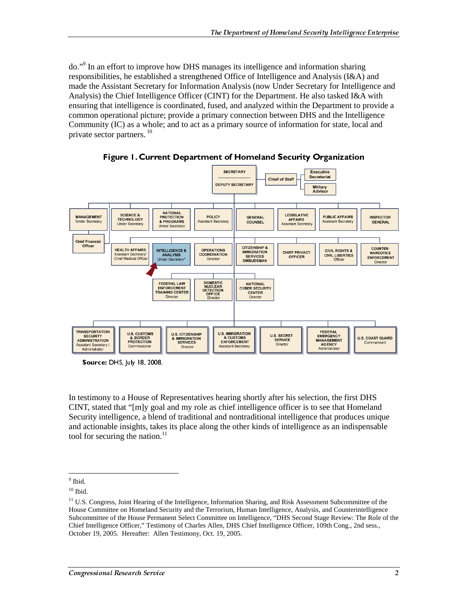do."<sup>9</sup> In an effort to improve how DHS manages its intelligence and information sharing responsibilities, he established a strengthened Office of Intelligence and Analysis (I&A) and made the Assistant Secretary for Information Analysis (now Under Secretary for Intelligence and Analysis) the Chief Intelligence Officer (CINT) for the Department. He also tasked I&A with ensuring that intelligence is coordinated, fused, and analyzed within the Department to provide a common operational picture; provide a primary connection between DHS and the Intelligence Community (IC) as a whole; and to act as a primary source of information for state, local and private sector partners.  $10$ 



Figure 1. Current Department of Homeland Security Organization

Source: DHS, July 18, 2008.

In testimony to a House of Representatives hearing shortly after his selection, the first DHS CINT, stated that "[m]y goal and my role as chief intelligence officer is to see that Homeland Security intelligence, a blend of traditional and nontraditional intelligence that produces unique and actionable insights, takes its place along the other kinds of intelligence as an indispensable tool for securing the nation.<sup>11</sup>

 $\frac{9}{9}$  Ibid.

 $10$  Ibid.

<sup>&</sup>lt;sup>11</sup> U.S. Congress, Joint Hearing of the Intelligence, Information Sharing, and Risk Assessment Subcommittee of the House Committee on Homeland Security and the Terrorism, Human Intelligence, Analysis, and Counterintelligence Subcommittee of the House Permanent Select Committee on Intelligence, "DHS Second Stage Review: The Role of the Chief Intelligence Officer," Testimony of Charles Allen, DHS Chief Intelligence Officer, 109th Cong., 2nd sess., October 19, 2005. Hereafter: Allen Testimony, Oct. 19, 2005.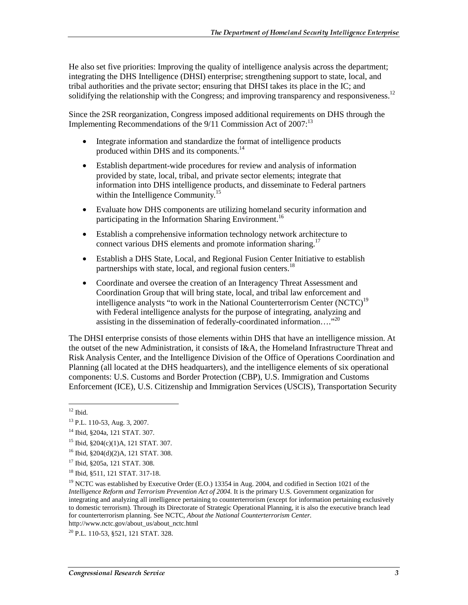He also set five priorities: Improving the quality of intelligence analysis across the department; integrating the DHS Intelligence (DHSI) enterprise; strengthening support to state, local, and tribal authorities and the private sector; ensuring that DHSI takes its place in the IC; and solidifying the relationship with the Congress; and improving transparency and responsiveness.<sup>12</sup>

Since the 2SR reorganization, Congress imposed additional requirements on DHS through the Implementing Recommendations of the  $9/11$  Commission Act of 2007:<sup>13</sup>

- Integrate information and standardize the format of intelligence products produced within DHS and its components.<sup>14</sup>
- Establish department-wide procedures for review and analysis of information provided by state, local, tribal, and private sector elements; integrate that information into DHS intelligence products, and disseminate to Federal partners within the Intelligence Community.<sup>15</sup>
- Evaluate how DHS components are utilizing homeland security information and participating in the Information Sharing Environment.<sup>16</sup>
- Establish a comprehensive information technology network architecture to connect various DHS elements and promote information sharing.<sup>17</sup>
- Establish a DHS State, Local, and Regional Fusion Center Initiative to establish partnerships with state, local, and regional fusion centers.<sup>18</sup>
- Coordinate and oversee the creation of an Interagency Threat Assessment and Coordination Group that will bring state, local, and tribal law enforcement and intelligence analysts "to work in the National Counterterrorism Center (NCTC)<sup>19</sup> with Federal intelligence analysts for the purpose of integrating, analyzing and assisting in the dissemination of federally-coordinated information…."20

The DHSI enterprise consists of those elements within DHS that have an intelligence mission. At the outset of the new Administration, it consists of I&A, the Homeland Infrastructure Threat and Risk Analysis Center, and the Intelligence Division of the Office of Operations Coordination and Planning (all located at the DHS headquarters), and the intelligence elements of six operational components: U.S. Customs and Border Protection (CBP), U.S. Immigration and Customs Enforcement (ICE), U.S. Citizenship and Immigration Services (USCIS), Transportation Security

 $12$  Ibid.

<sup>13</sup> P.L. 110-53, Aug. 3, 2007.

<sup>14</sup> Ibid, §204a, 121 STAT. 307.

<sup>15</sup> Ibid, §204(c)(1)A, 121 STAT. 307.

<sup>16</sup> Ibid, §204(d)(2)A, 121 STAT. 308.

<sup>17</sup> Ibid, §205a, 121 STAT. 308.

<sup>18</sup> Ibid, §511, 121 STAT. 317-18.

<sup>&</sup>lt;sup>19</sup> NCTC was established by Executive Order (E.O.) 13354 in Aug. 2004, and codified in Section 1021 of the *Intelligence Reform and Terrorism Prevention Act of 2004.* It is the primary U.S. Government organization for integrating and analyzing all intelligence pertaining to counterterrorism (except for information pertaining exclusively to domestic terrorism). Through its Directorate of Strategic Operational Planning, it is also the executive branch lead for counterterrorism planning. See NCTC, *About the National Counterterrorism Center.* http://www.nctc.gov/about\_us/about\_nctc.html

<sup>20</sup> P.L. 110-53, §521, 121 STAT. 328.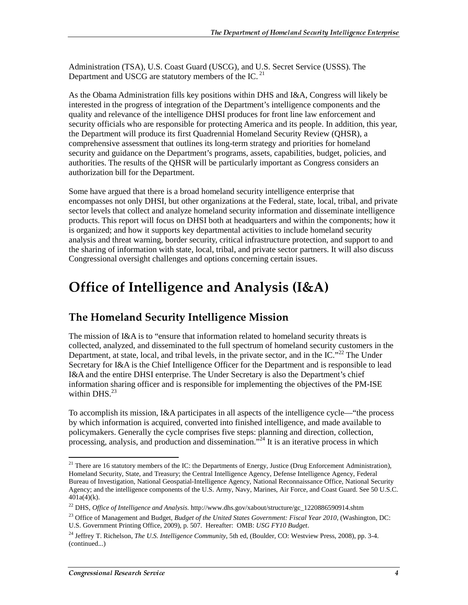Administration (TSA), U.S. Coast Guard (USCG), and U.S. Secret Service (USSS). The Department and USCG are statutory members of the IC.<sup>21</sup>

As the Obama Administration fills key positions within DHS and I&A, Congress will likely be interested in the progress of integration of the Department's intelligence components and the quality and relevance of the intelligence DHSI produces for front line law enforcement and security officials who are responsible for protecting America and its people. In addition, this year, the Department will produce its first Quadrennial Homeland Security Review (QHSR), a comprehensive assessment that outlines its long-term strategy and priorities for homeland security and guidance on the Department's programs, assets, capabilities, budget, policies, and authorities. The results of the QHSR will be particularly important as Congress considers an authorization bill for the Department.

Some have argued that there is a broad homeland security intelligence enterprise that encompasses not only DHSI, but other organizations at the Federal, state, local, tribal, and private sector levels that collect and analyze homeland security information and disseminate intelligence products. This report will focus on DHSI both at headquarters and within the components; how it is organized; and how it supports key departmental activities to include homeland security analysis and threat warning, border security, critical infrastructure protection, and support to and the sharing of information with state, local, tribal, and private sector partners. It will also discuss Congressional oversight challenges and options concerning certain issues.

## **Office of Intelligence and Analysis (I&A)**

## The Homeland Security Intelligence Mission

The mission of I&A is to "ensure that information related to homeland security threats is collected, analyzed, and disseminated to the full spectrum of homeland security customers in the Department, at state, local, and tribal levels, in the private sector, and in the IC."<sup>22</sup> The Under Secretary for I&A is the Chief Intelligence Officer for the Department and is responsible to lead I&A and the entire DHSI enterprise. The Under Secretary is also the Department's chief information sharing officer and is responsible for implementing the objectives of the PM-ISE within DHS. $^{23}$ 

To accomplish its mission, I&A participates in all aspects of the intelligence cycle—"the process by which information is acquired, converted into finished intelligence, and made available to policymakers. Generally the cycle comprises five steps: planning and direction, collection, processing, analysis, and production and dissemination.<sup> $24$ </sup> It is an iterative process in which

<sup>&</sup>lt;sup>21</sup> There are 16 statutory members of the IC: the Departments of Energy, Justice (Drug Enforcement Administration), Homeland Security, State, and Treasury; the Central Intelligence Agency, Defense Intelligence Agency, Federal Bureau of Investigation, National Geospatial-Intelligence Agency, National Reconnaissance Office, National Security Agency; and the intelligence components of the U.S. Army, Navy, Marines, Air Force, and Coast Guard. See 50 U.S.C.  $401a(4)(k)$ .

<sup>22</sup> DHS, *Office of Intelligence and Analysis.* http://www.dhs.gov/xabout/structure/gc\_1220886590914.shtm

<sup>&</sup>lt;sup>23</sup> Office of Management and Budget, *Budget of the United States Government: Fiscal Year 2010*, (Washington, DC: U.S. Government Printing Office, 2009), p. 507. Hereafter: OMB: *USG FY10 Budget*.

<sup>24</sup> Jeffrey T. Richelson, *The U.S. Intelligence Community*, 5th ed, (Boulder, CO: Westview Press, 2008), pp. 3-4. (continued...)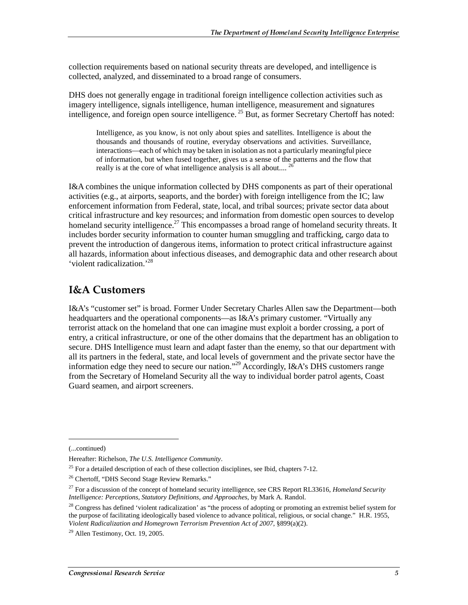collection requirements based on national security threats are developed, and intelligence is collected, analyzed, and disseminated to a broad range of consumers.

DHS does not generally engage in traditional foreign intelligence collection activities such as imagery intelligence, signals intelligence, human intelligence, measurement and signatures intelligence, and foreign open source intelligence.  $^{25}$  But, as former Secretary Chertoff has noted:

Intelligence, as you know, is not only about spies and satellites. Intelligence is about the thousands and thousands of routine, everyday observations and activities. Surveillance, interactions—each of which may be taken in isolation as not a particularly meaningful piece of information, but when fused together, gives us a sense of the patterns and the flow that really is at the core of what intelligence analysis is all about....  $^{26}$ 

I&A combines the unique information collected by DHS components as part of their operational activities (e.g., at airports, seaports, and the border) with foreign intelligence from the IC; law enforcement information from Federal, state, local, and tribal sources; private sector data about critical infrastructure and key resources; and information from domestic open sources to develop homeland security intelligence.<sup>27</sup> This encompasses a broad range of homeland security threats. It includes border security information to counter human smuggling and trafficking, cargo data to prevent the introduction of dangerous items, information to protect critical infrastructure against all hazards, information about infectious diseases, and demographic data and other research about 'violent radicalization.'28

## **I&A Customers**

I&A's "customer set" is broad. Former Under Secretary Charles Allen saw the Department—both headquarters and the operational components—as I&A's primary customer. "Virtually any terrorist attack on the homeland that one can imagine must exploit a border crossing, a port of entry, a critical infrastructure, or one of the other domains that the department has an obligation to secure. DHS Intelligence must learn and adapt faster than the enemy, so that our department with all its partners in the federal, state, and local levels of government and the private sector have the information edge they need to secure our nation."<sup>29</sup> Accordingly, I&A's DHS customers range from the Secretary of Homeland Security all the way to individual border patrol agents, Coast Guard seamen, and airport screeners.

j

<sup>(...</sup>continued)

Hereafter: Richelson, *The U.S. Intelligence Community*.

 $25$  For a detailed description of each of these collection disciplines, see Ibid, chapters 7-12.

<sup>&</sup>lt;sup>26</sup> Chertoff, "DHS Second Stage Review Remarks."

<sup>27</sup> For a discussion of the concept of homeland security intelligence, see CRS Report RL33616, *Homeland Security Intelligence: Perceptions, Statutory Definitions, and Approaches*, by Mark A. Randol.

 $^{28}$  Congress has defined 'violent radicalization' as "the process of adopting or promoting an extremist belief system for the purpose of facilitating ideologically based violence to advance political, religious, or social change." H.R. 1955, *Violent Radicalization and Homegrown Terrorism Prevention Act of 2007,* §899(a)(2).

 $29$  Allen Testimony, Oct. 19, 2005.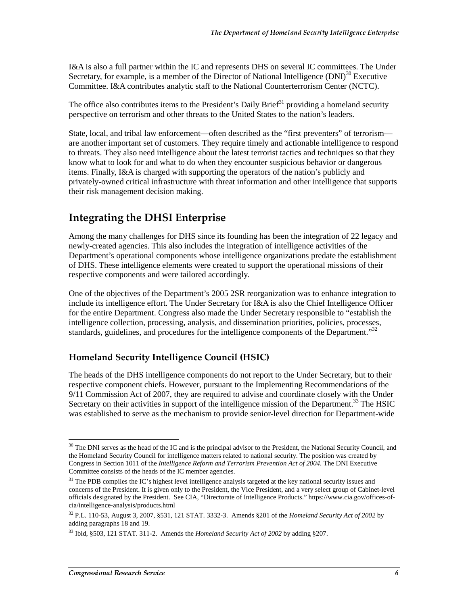I&A is also a full partner within the IC and represents DHS on several IC committees. The Under Secretary, for example, is a member of the Director of National Intelligence  $(DNI)^{30}$  Executive Committee. I&A contributes analytic staff to the National Counterterrorism Center (NCTC).

The office also contributes items to the President's Daily Brief $31$  providing a homeland security perspective on terrorism and other threats to the United States to the nation's leaders.

State, local, and tribal law enforcement—often described as the "first preventers" of terrorism are another important set of customers. They require timely and actionable intelligence to respond to threats. They also need intelligence about the latest terrorist tactics and techniques so that they know what to look for and what to do when they encounter suspicious behavior or dangerous items. Finally, I&A is charged with supporting the operators of the nation's publicly and privately-owned critical infrastructure with threat information and other intelligence that supports their risk management decision making.

## Integrating the DHSI Enterprise

Among the many challenges for DHS since its founding has been the integration of 22 legacy and newly-created agencies. This also includes the integration of intelligence activities of the Department's operational components whose intelligence organizations predate the establishment of DHS. These intelligence elements were created to support the operational missions of their respective components and were tailored accordingly.

One of the objectives of the Department's 2005 2SR reorganization was to enhance integration to include its intelligence effort. The Under Secretary for I&A is also the Chief Intelligence Officer for the entire Department. Congress also made the Under Secretary responsible to "establish the intelligence collection, processing, analysis, and dissemination priorities, policies, processes, standards, guidelines, and procedures for the intelligence components of the Department."<sup>32</sup>

## Homeland Security Intelligence Council (HSIC)

The heads of the DHS intelligence components do not report to the Under Secretary, but to their respective component chiefs. However, pursuant to the Implementing Recommendations of the 9/11 Commission Act of 2007, they are required to advise and coordinate closely with the Under Secretary on their activities in support of the intelligence mission of the Department.<sup>33</sup> The HSIC was established to serve as the mechanism to provide senior-level direction for Department-wide

 $\overline{a}$  $30$  The DNI serves as the head of the IC and is the principal advisor to the President, the National Security Council, and the Homeland Security Council for intelligence matters related to national security. The position was created by Congress in Section 1011 of the *Intelligence Reform and Terrorism Prevention Act of 2004*. The DNI Executive Committee consists of the heads of the IC member agencies.

<sup>&</sup>lt;sup>31</sup> The PDB compiles the IC's highest level intelligence analysis targeted at the key national security issues and concerns of the President. It is given only to the President, the Vice President, and a very select group of Cabinet-level officials designated by the President. See CIA, "Directorate of Intelligence Products." https://www.cia.gov/offices-ofcia/intelligence-analysis/products.html

<sup>32</sup> P.L. 110-53, August 3, 2007, §531, 121 STAT. 3332-3. Amends §201 of the *Homeland Security Act of 2002* by adding paragraphs 18 and 19.

<sup>33</sup> Ibid, §503, 121 STAT. 311-2. Amends the *Homeland Security Act of 2002* by adding §207.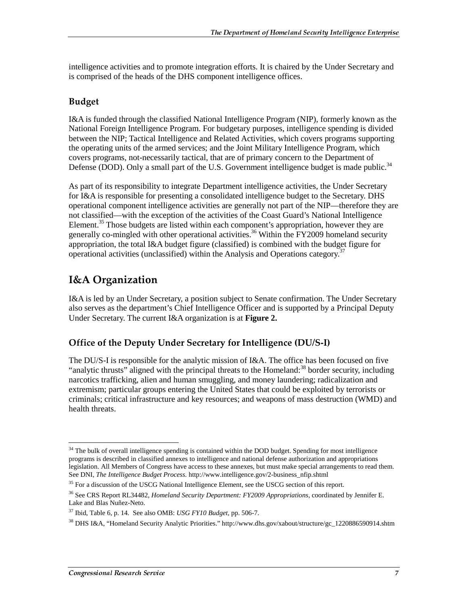intelligence activities and to promote integration efforts. It is chaired by the Under Secretary and is comprised of the heads of the DHS component intelligence offices.

## Budget

I&A is funded through the classified National Intelligence Program (NIP), formerly known as the National Foreign Intelligence Program. For budgetary purposes, intelligence spending is divided between the NIP; Tactical Intelligence and Related Activities, which covers programs supporting the operating units of the armed services; and the Joint Military Intelligence Program, which covers programs, not-necessarily tactical, that are of primary concern to the Department of Defense (DOD). Only a small part of the U.S. Government intelligence budget is made public.<sup>34</sup>

As part of its responsibility to integrate Department intelligence activities, the Under Secretary for I&A is responsible for presenting a consolidated intelligence budget to the Secretary. DHS operational component intelligence activities are generally not part of the NIP—therefore they are not classified—with the exception of the activities of the Coast Guard's National Intelligence Element.<sup>35</sup> Those budgets are listed within each component's appropriation, however they are generally co-mingled with other operational activities.<sup>36</sup> Within the FY2009 homeland security appropriation, the total I&A budget figure (classified) is combined with the budget figure for operational activities (unclassified) within the Analysis and Operations category.<sup>37</sup>

## I&A Organization

I&A is led by an Under Secretary, a position subject to Senate confirmation. The Under Secretary also serves as the department's Chief Intelligence Officer and is supported by a Principal Deputy Under Secretary. The current I&A organization is at **Figure 2.**

## Office of the Deputy Under Secretary for Intelligence (DU/S-I)

The DU/S-I is responsible for the analytic mission of I&A. The office has been focused on five "analytic thrusts" aligned with the principal threats to the Homeland: $38$  border security, including narcotics trafficking, alien and human smuggling, and money laundering; radicalization and extremism; particular groups entering the United States that could be exploited by terrorists or criminals; critical infrastructure and key resources; and weapons of mass destruction (WMD) and health threats.

 $\overline{a}$ <sup>34</sup> The bulk of overall intelligence spending is contained within the DOD budget. Spending for most intelligence programs is described in classified annexes to intelligence and national defense authorization and appropriations legislation. All Members of Congress have access to these annexes, but must make special arrangements to read them. See DNI, *The Intelligence Budget Process.* http://www.intelligence.gov/2-business\_nfip.shtml

<sup>&</sup>lt;sup>35</sup> For a discussion of the USCG National Intelligence Element, see the USCG section of this report.

<sup>36</sup> See CRS Report RL34482, *Homeland Security Department: FY2009 Appropriations*, coordinated by Jennifer E. Lake and Blas Nuñez-Neto.

<sup>37</sup> Ibid, Table 6, p. 14. See also OMB: *USG FY10 Budget*, pp. 506-7.

<sup>&</sup>lt;sup>38</sup> DHS I&A. "Homeland Security Analytic Priorities." http://www.dhs.gov/xabout/structure/gc\_1220886590914.shtm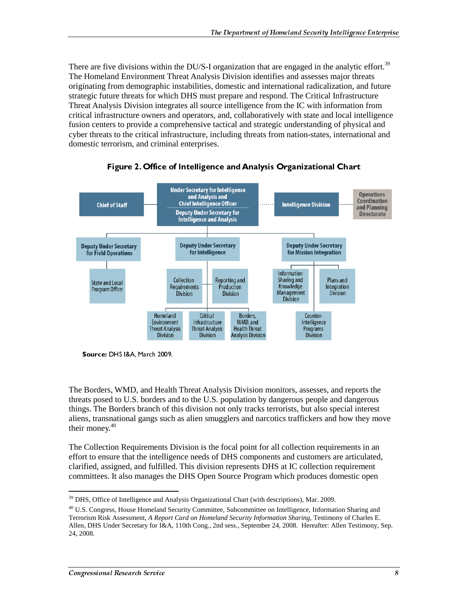There are five divisions within the DU/S-I organization that are engaged in the analytic effort.<sup>39</sup> The Homeland Environment Threat Analysis Division identifies and assesses major threats originating from demographic instabilities, domestic and international radicalization, and future strategic future threats for which DHS must prepare and respond. The Critical Infrastructure Threat Analysis Division integrates all source intelligence from the IC with information from critical infrastructure owners and operators, and, collaboratively with state and local intelligence fusion centers to provide a comprehensive tactical and strategic understanding of physical and cyber threats to the critical infrastructure, including threats from nation-states, international and domestic terrorism, and criminal enterprises.



Figure 2. Office of Intelligence and Analysis Organizational Chart

Source: DHS I&A, March 2009.

The Borders, WMD, and Health Threat Analysis Division monitors, assesses, and reports the threats posed to U.S. borders and to the U.S. population by dangerous people and dangerous things. The Borders branch of this division not only tracks terrorists, but also special interest aliens, transnational gangs such as alien smugglers and narcotics traffickers and how they move their money. $40$ 

The Collection Requirements Division is the focal point for all collection requirements in an effort to ensure that the intelligence needs of DHS components and customers are articulated, clarified, assigned, and fulfilled. This division represents DHS at IC collection requirement committees. It also manages the DHS Open Source Program which produces domestic open

 $\overline{a}$ <sup>39</sup> DHS, Office of Intelligence and Analysis Organizational Chart (with descriptions), Mar. 2009.

<sup>&</sup>lt;sup>40</sup> U.S. Congress, House Homeland Security Committee, Subcommittee on Intelligence, Information Sharing and Terrorism Risk Assessment, *A Report Card on Homeland Security Information Sharing*, Testimony of Charles E. Allen, DHS Under Secretary for I&A, 110th Cong., 2nd sess., September 24, 2008. Hereafter: Allen Testimony, Sep. 24, 2008.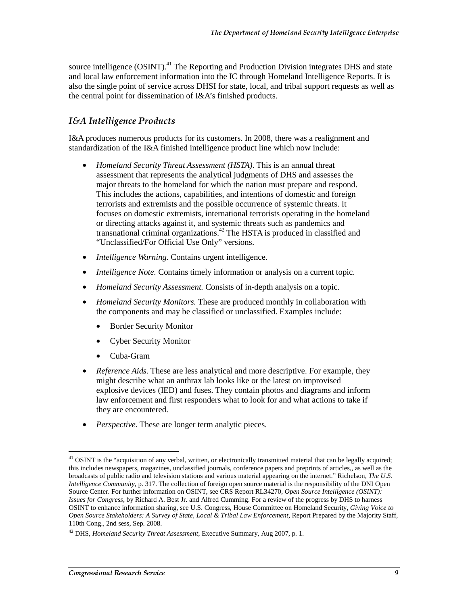source intelligence (OSINT).<sup>41</sup> The Reporting and Production Division integrates DHS and state and local law enforcement information into the IC through Homeland Intelligence Reports. It is also the single point of service across DHSI for state, local, and tribal support requests as well as the central point for dissemination of I&A's finished products.

### I&A Intelligence Products

I&A produces numerous products for its customers. In 2008, there was a realignment and standardization of the I&A finished intelligence product line which now include:

- *Homeland Security Threat Assessment (HSTA)*. This is an annual threat assessment that represents the analytical judgments of DHS and assesses the major threats to the homeland for which the nation must prepare and respond. This includes the actions, capabilities, and intentions of domestic and foreign terrorists and extremists and the possible occurrence of systemic threats. It focuses on domestic extremists, international terrorists operating in the homeland or directing attacks against it, and systemic threats such as pandemics and transnational criminal organizations.<sup>42</sup> The HSTA is produced in classified and "Unclassified/For Official Use Only" versions.
- *Intelligence Warning.* Contains urgent intelligence.
- *Intelligence Note.* Contains timely information or analysis on a current topic.
- *Homeland Security Assessment.* Consists of in-depth analysis on a topic.
- *Homeland Security Monitors.* These are produced monthly in collaboration with the components and may be classified or unclassified. Examples include:
	- Border Security Monitor
	- Cyber Security Monitor
	- Cuba-Gram
- *Reference Aids*. These are less analytical and more descriptive. For example, they might describe what an anthrax lab looks like or the latest on improvised explosive devices (IED) and fuses. They contain photos and diagrams and inform law enforcement and first responders what to look for and what actions to take if they are encountered.
- *Perspective.* These are longer term analytic pieces.

 $\overline{a}$  $41$  OSINT is the "acquisition of any verbal, written, or electronically transmitted material that can be legally acquired; this includes newspapers, magazines, unclassified journals, conference papers and preprints of articles,, as well as the broadcasts of public radio and television stations and various material appearing on the internet." Richelson, *The U.S. Intelligence Community*, p. 317. The collection of foreign open source material is the responsibility of the DNI Open Source Center. For further information on OSINT, see CRS Report RL34270, *Open Source Intelligence (OSINT): Issues for Congress*, by Richard A. Best Jr. and Alfred Cumming. For a review of the progress by DHS to harness OSINT to enhance information sharing, see U.S. Congress, House Committee on Homeland Security, *Giving Voice to Open Source Stakeholders: A Survey of State, Local & Tribal Law Enforcement*, Report Prepared by the Majority Staff, 110th Cong., 2nd sess, Sep. 2008.

<sup>42</sup> DHS*, Homeland Security Threat Assessment*, Executive Summary, Aug 2007, p. 1.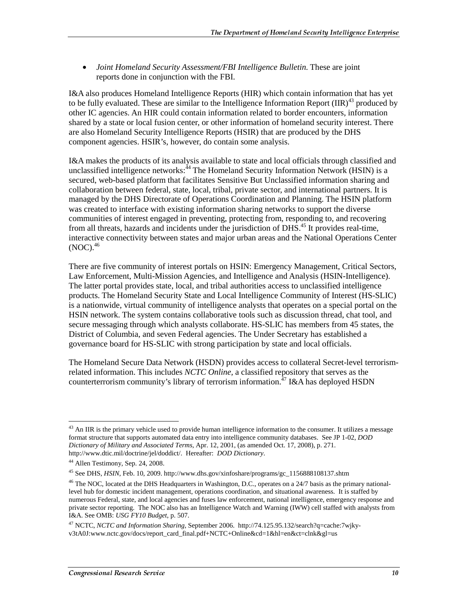• *Joint Homeland Security Assessment/FBI Intelligence Bulletin.* These are joint reports done in conjunction with the FBI.

I&A also produces Homeland Intelligence Reports (HIR) which contain information that has yet to be fully evaluated. These are similar to the Intelligence Information Report  $(IIR)^{43}$  produced by other IC agencies. An HIR could contain information related to border encounters, information shared by a state or local fusion center, or other information of homeland security interest. There are also Homeland Security Intelligence Reports (HSIR) that are produced by the DHS component agencies. HSIR's, however, do contain some analysis.

I&A makes the products of its analysis available to state and local officials through classified and unclassified intelligence networks:<sup>44</sup> The Homeland Security Information Network (HSIN) is a secured, web-based platform that facilitates Sensitive But Unclassified information sharing and collaboration between federal, state, local, tribal, private sector, and international partners. It is managed by the DHS Directorate of Operations Coordination and Planning. The HSIN platform was created to interface with existing information sharing networks to support the diverse communities of interest engaged in preventing, protecting from, responding to, and recovering from all threats, hazards and incidents under the jurisdiction of DHS.<sup>45</sup> It provides real-time, interactive connectivity between states and major urban areas and the National Operations Center  $(NOC).<sup>46</sup>$ 

There are five community of interest portals on HSIN: Emergency Management, Critical Sectors, Law Enforcement, Multi-Mission Agencies, and Intelligence and Analysis (HSIN-Intelligence). The latter portal provides state, local, and tribal authorities access to unclassified intelligence products. The Homeland Security State and Local Intelligence Community of Interest (HS-SLIC) is a nationwide, virtual community of intelligence analysts that operates on a special portal on the HSIN network. The system contains collaborative tools such as discussion thread, chat tool, and secure messaging through which analysts collaborate. HS-SLIC has members from 45 states, the District of Columbia, and seven Federal agencies. The Under Secretary has established a governance board for HS-SLIC with strong participation by state and local officials.

The Homeland Secure Data Network (HSDN) provides access to collateral Secret-level terrorismrelated information. This includes *NCTC Online,* a classified repository that serves as the counterterrorism community's library of terrorism information.<sup>47</sup> I&A has deployed HSDN

 $\overline{a}$  $43$  An IIR is the primary vehicle used to provide human intelligence information to the consumer. It utilizes a message format structure that supports automated data entry into intelligence community databases. See JP 1-02, *DOD Dictionary of Military and Associated Terms*, Apr. 12, 2001, (as amended Oct. 17, 2008), p. 271. http://www.dtic.mil/doctrine/jel/doddict/. Hereafter: *DOD Dictionary*.

<sup>44</sup> Allen Testimony, Sep. 24, 2008.

<sup>45</sup> See DHS, *HSIN*, Feb. 10, 2009. http://www.dhs.gov/xinfoshare/programs/gc\_1156888108137.shtm

<sup>&</sup>lt;sup>46</sup> The NOC, located at the DHS Headquarters in Washington, D.C., operates on a 24/7 basis as the primary nationallevel hub for domestic incident management, operations coordination, and situational awareness. It is staffed by numerous Federal, state, and local agencies and fuses law enforcement, national intelligence, emergency response and private sector reporting. The NOC also has an Intelligence Watch and Warning (IWW) cell staffed with analysts from I&A. See OMB: *USG FY10 Budget*, p. 507.

<sup>47</sup> NCTC, *NCTC and Information Sharing*, September 2006. http://74.125.95.132/search?q=cache:7wjkyv3tA0J:www.nctc.gov/docs/report\_card\_final.pdf+NCTC+Online&cd=1&hl=en&ct=clnk&gl=us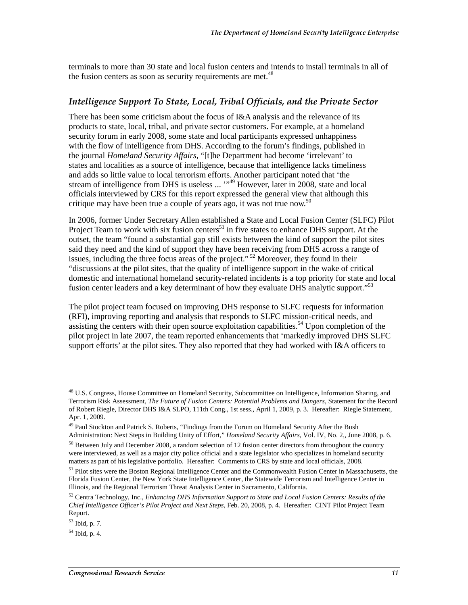terminals to more than 30 state and local fusion centers and intends to install terminals in all of the fusion centers as soon as security requirements are met. $48$ 

#### Intelligence Support To State, Local, Tribal Officials, and the Private Sector

There has been some criticism about the focus of I&A analysis and the relevance of its products to state, local, tribal, and private sector customers. For example, at a homeland security forum in early 2008, some state and local participants expressed unhappiness with the flow of intelligence from DHS. According to the forum's findings, published in the journal *Homeland Security Affairs*, "[t]he Department had become 'irrelevant' to states and localities as a source of intelligence, because that intelligence lacks timeliness and adds so little value to local terrorism efforts. Another participant noted that 'the stream of intelligence from DHS is useless ... "<sup>49</sup> However, later in 2008, state and local officials interviewed by CRS for this report expressed the general view that although this critique may have been true a couple of years ago, it was not true now.<sup>50</sup>

In 2006, former Under Secretary Allen established a State and Local Fusion Center (SLFC) Pilot Project Team to work with six fusion centers<sup>51</sup> in five states to enhance DHS support. At the outset, the team "found a substantial gap still exists between the kind of support the pilot sites said they need and the kind of support they have been receiving from DHS across a range of issues, including the three focus areas of the project."<sup>52</sup> Moreover, they found in their "discussions at the pilot sites, that the quality of intelligence support in the wake of critical domestic and international homeland security-related incidents is a top priority for state and local fusion center leaders and a key determinant of how they evaluate DHS analytic support.<sup>553</sup>

The pilot project team focused on improving DHS response to SLFC requests for information (RFI), improving reporting and analysis that responds to SLFC mission-critical needs, and assisting the centers with their open source exploitation capabilities.<sup>54</sup> Upon completion of the pilot project in late 2007, the team reported enhancements that 'markedly improved DHS SLFC support efforts' at the pilot sites. They also reported that they had worked with I&A officers to

<sup>&</sup>lt;sup>48</sup> U.S. Congress, House Committee on Homeland Security, Subcommittee on Intelligence, Information Sharing, and Terrorism Risk Assessment, *The Future of Fusion Centers: Potential Problems and Dangers*, Statement for the Record of Robert Riegle, Director DHS I&A SLPO, 111th Cong., 1st sess., April 1, 2009, p. 3. Hereafter: Riegle Statement, Apr. 1, 2009.

<sup>&</sup>lt;sup>49</sup> Paul Stockton and Patrick S. Roberts, "Findings from the Forum on Homeland Security After the Bush Administration: Next Steps in Building Unity of Effort," *Homeland Security Affairs*, Vol. IV, No. 2,, June 2008, p. 6.

<sup>&</sup>lt;sup>50</sup> Between July and December 2008, a random selection of 12 fusion center directors from throughout the country were interviewed, as well as a major city police official and a state legislator who specializes in homeland security matters as part of his legislative portfolio. Hereafter: Comments to CRS by state and local officials, 2008.

<sup>&</sup>lt;sup>51</sup> Pilot sites were the Boston Regional Intelligence Center and the Commonwealth Fusion Center in Massachusetts, the Florida Fusion Center, the New York State Intelligence Center, the Statewide Terrorism and Intelligence Center in Illinois, and the Regional Terrorism Threat Analysis Center in Sacramento, California.

<sup>52</sup> Centra Technology, Inc., *Enhancing DHS Information Support to State and Local Fusion Centers: Results of the Chief Intelligence Officer's Pilot Project and Next Steps,* Feb. 20, 2008, p. 4. Hereafter: CINT Pilot Project Team Report.

<sup>53</sup> Ibid, p. 7.

<sup>54</sup> Ibid, p. 4.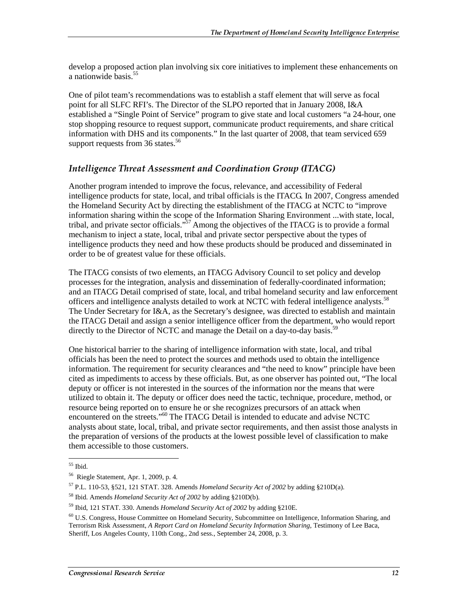develop a proposed action plan involving six core initiatives to implement these enhancements on a nationwide basis.<sup>55</sup>

One of pilot team's recommendations was to establish a staff element that will serve as focal point for all SLFC RFI's. The Director of the SLPO reported that in January 2008, I&A established a "Single Point of Service" program to give state and local customers "a 24-hour, one stop shopping resource to request support, communicate product requirements, and share critical information with DHS and its components." In the last quarter of 2008, that team serviced 659 support requests from 36 states. $56$ 

#### Intelligence Threat Assessment and Coordination Group (ITACG)

Another program intended to improve the focus, relevance, and accessibility of Federal intelligence products for state, local, and tribal officials is the ITACG. In 2007, Congress amended the Homeland Security Act by directing the establishment of the ITACG at NCTC to "improve information sharing within the scope of the Information Sharing Environment ...with state, local, tribal, and private sector officials.<sup> $37$ </sup> Among the objectives of the ITACG is to provide a formal mechanism to inject a state, local, tribal and private sector perspective about the types of intelligence products they need and how these products should be produced and disseminated in order to be of greatest value for these officials.

The ITACG consists of two elements, an ITACG Advisory Council to set policy and develop processes for the integration, analysis and dissemination of federally-coordinated information; and an ITACG Detail comprised of state, local, and tribal homeland security and law enforcement officers and intelligence analysts detailed to work at NCTC with federal intelligence analysts.<sup>58</sup> The Under Secretary for I&A, as the Secretary's designee, was directed to establish and maintain the ITACG Detail and assign a senior intelligence officer from the department, who would report directly to the Director of NCTC and manage the Detail on a day-to-day basis.<sup>59</sup>

One historical barrier to the sharing of intelligence information with state, local, and tribal officials has been the need to protect the sources and methods used to obtain the intelligence information. The requirement for security clearances and "the need to know" principle have been cited as impediments to access by these officials. But, as one observer has pointed out, "The local deputy or officer is not interested in the sources of the information nor the means that were utilized to obtain it. The deputy or officer does need the tactic, technique, procedure, method, or resource being reported on to ensure he or she recognizes precursors of an attack when encountered on the streets."<sup>60</sup> The ITACG Detail is intended to educate and advise NCTC analysts about state, local, tribal, and private sector requirements, and then assist those analysts in the preparation of versions of the products at the lowest possible level of classification to make them accessible to those customers.

 $\overline{a}$ 55 Ibid.

<sup>56</sup> Riegle Statement, Apr. 1, 2009, p. 4.

<sup>57</sup> P.L. 110-53, §521, 121 STAT. 328. Amends *Homeland Security Act of 2002* by adding §210D(a).

<sup>58</sup> Ibid. Amends *Homeland Security Act of 2002* by adding §210D(b).

<sup>59</sup> Ibid, 121 STAT. 330. Amends *Homeland Security Act of 2002* by adding §210E.

<sup>60</sup> U.S. Congress, House Committee on Homeland Security, Subcommittee on Intelligence, Information Sharing, and Terrorism Risk Assessment, *A Report Card on Homeland Security Information Sharing*, Testimony of Lee Baca, Sheriff, Los Angeles County, 110th Cong., 2nd sess., September 24, 2008, p. 3.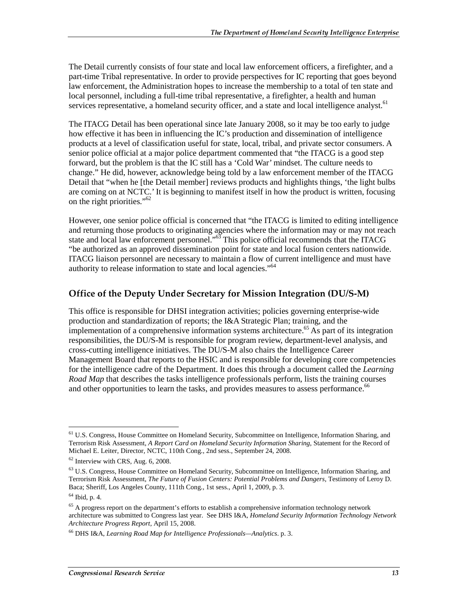The Detail currently consists of four state and local law enforcement officers, a firefighter, and a part-time Tribal representative. In order to provide perspectives for IC reporting that goes beyond law enforcement, the Administration hopes to increase the membership to a total of ten state and local personnel, including a full-time tribal representative, a firefighter, a health and human services representative, a homeland security officer, and a state and local intelligence analyst.<sup>61</sup>

The ITACG Detail has been operational since late January 2008, so it may be too early to judge how effective it has been in influencing the IC's production and dissemination of intelligence products at a level of classification useful for state, local, tribal, and private sector consumers. A senior police official at a major police department commented that "the ITACG is a good step forward, but the problem is that the IC still has a 'Cold War' mindset. The culture needs to change." He did, however, acknowledge being told by a law enforcement member of the ITACG Detail that "when he [the Detail member] reviews products and highlights things, 'the light bulbs are coming on at NCTC.' It is beginning to manifest itself in how the product is written, focusing on the right priorities."62

However, one senior police official is concerned that "the ITACG is limited to editing intelligence and returning those products to originating agencies where the information may or may not reach state and local law enforcement personnel."<sup>63</sup> This police official recommends that the ITACG "be authorized as an approved dissemination point for state and local fusion centers nationwide. ITACG liaison personnel are necessary to maintain a flow of current intelligence and must have authority to release information to state and local agencies."<sup>64</sup>

#### Office of the Deputy Under Secretary for Mission Integration (DU/S-M)

This office is responsible for DHSI integration activities; policies governing enterprise-wide production and standardization of reports; the I&A Strategic Plan; training, and the implementation of a comprehensive information systems architecture.65 As part of its integration responsibilities, the DU/S-M is responsible for program review, department-level analysis, and cross-cutting intelligence initiatives. The DU/S-M also chairs the Intelligence Career Management Board that reports to the HSIC and is responsible for developing core competencies for the intelligence cadre of the Department. It does this through a document called the *Learning Road Map* that describes the tasks intelligence professionals perform, lists the training courses and other opportunities to learn the tasks, and provides measures to assess performance.<sup>66</sup>

<sup>&</sup>lt;sup>61</sup> U.S. Congress, House Committee on Homeland Security, Subcommittee on Intelligence, Information Sharing, and Terrorism Risk Assessment, *A Report Card on Homeland Security Information Sharing*, Statement for the Record of Michael E. Leiter, Director, NCTC, 110th Cong., 2nd sess., September 24, 2008.

 $62$  Interview with CRS, Aug. 6, 2008.

<sup>63</sup> U.S. Congress, House Committee on Homeland Security, Subcommittee on Intelligence, Information Sharing, and Terrorism Risk Assessment, *The Future of Fusion Centers: Potential Problems and Dangers*, Testimony of Leroy D. Baca; Sheriff, Los Angeles County, 111th Cong., 1st sess., April 1, 2009, p. 3.

 $64$  Ibid, p. 4.

 $65$  A progress report on the department's efforts to establish a comprehensive information technology network architecture was submitted to Congress last year. See DHS I&A, *Homeland Security Information Technology Network Architecture Progress Report,* April 15, 2008.

<sup>66</sup> DHS I&A, *Learning Road Map for Intelligence Professionals—Analytics*. p. 3.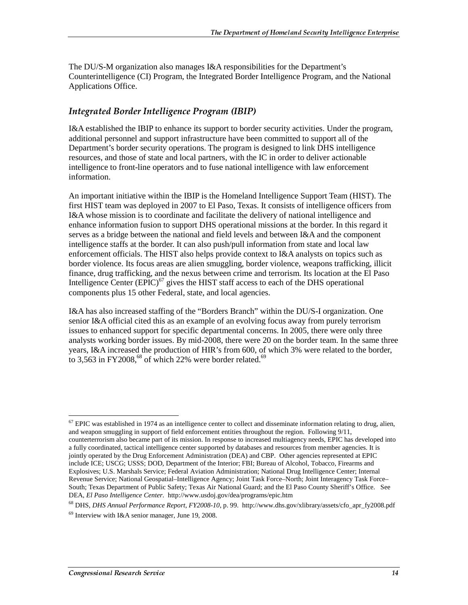The DU/S-M organization also manages I&A responsibilities for the Department's Counterintelligence (CI) Program, the Integrated Border Intelligence Program, and the National Applications Office.

#### Integrated Border Intelligence Program (IBIP)

I&A established the IBIP to enhance its support to border security activities. Under the program, additional personnel and support infrastructure have been committed to support all of the Department's border security operations. The program is designed to link DHS intelligence resources, and those of state and local partners, with the IC in order to deliver actionable intelligence to front-line operators and to fuse national intelligence with law enforcement information.

An important initiative within the IBIP is the Homeland Intelligence Support Team (HIST). The first HIST team was deployed in 2007 to El Paso, Texas. It consists of intelligence officers from I&A whose mission is to coordinate and facilitate the delivery of national intelligence and enhance information fusion to support DHS operational missions at the border. In this regard it serves as a bridge between the national and field levels and between I&A and the component intelligence staffs at the border. It can also push/pull information from state and local law enforcement officials. The HIST also helps provide context to I&A analysts on topics such as border violence. Its focus areas are alien smuggling, border violence, weapons trafficking, illicit finance, drug trafficking, and the nexus between crime and terrorism. Its location at the El Paso Intelligence Center  $(EPIC)^{67}$  gives the HIST staff access to each of the DHS operational components plus 15 other Federal, state, and local agencies.

I&A has also increased staffing of the "Borders Branch" within the DU/S-I organization. One senior I&A official cited this as an example of an evolving focus away from purely terrorism issues to enhanced support for specific departmental concerns. In 2005, there were only three analysts working border issues. By mid-2008, there were 20 on the border team. In the same three years, I&A increased the production of HIR's from 600, of which 3% were related to the border, to 3,563 in FY2008,<sup>68</sup> of which 22% were border related.<sup>69</sup>

 $<sup>67</sup>$  EPIC was established in 1974 as an intelligence center to collect and disseminate information relating to drug, alien,</sup> and weapon smuggling in support of field enforcement entities throughout the region. Following 9/11, counterterrorism also became part of its mission. In response to increased multiagency needs, EPIC has developed into a fully coordinated, tactical intelligence center supported by databases and resources from member agencies. It is jointly operated by the Drug Enforcement Administration (DEA) and CBP. Other agencies represented at EPIC include ICE; USCG; USSS; DOD, Department of the Interior; FBI; Bureau of Alcohol, Tobacco, Firearms and Explosives; U.S. Marshals Service; Federal Aviation Administration; National Drug Intelligence Center; Internal Revenue Service; National Geospatial–Intelligence Agency; Joint Task Force–North; Joint Interagency Task Force– South; Texas Department of Public Safety; Texas Air National Guard; and the El Paso County Sheriff's Office. See DEA, *El Paso Intelligence Center*. http://www.usdoj.gov/dea/programs/epic.htm

<sup>68</sup> DHS, *DHS Annual Performance Report, FY2008-10*, p. 99. http://www.dhs.gov/xlibrary/assets/cfo\_apr\_fy2008.pdf

<sup>69</sup> Interview with I&A senior manager, June 19, 2008.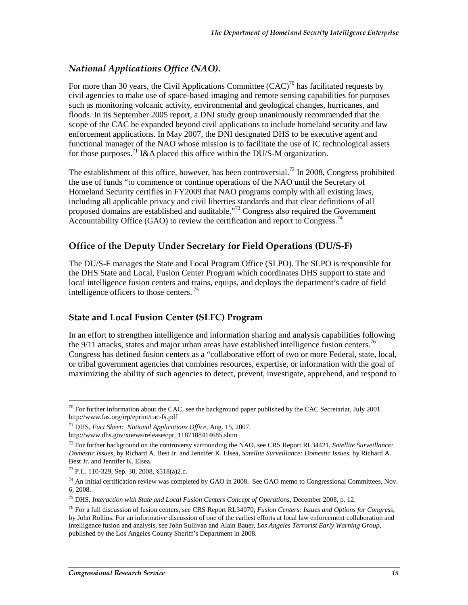## National Applications Office (NAO).

For more than 30 years, the Civil Applications Committee  $(CAC)^{70}$  has facilitated requests by civil agencies to make use of space-based imaging and remote sensing capabilities for purposes such as monitoring volcanic activity, environmental and geological changes, hurricanes, and floods. In its September 2005 report, a DNI study group unanimously recommended that the scope of the CAC be expanded beyond civil applications to include homeland security and law enforcement applications. In May 2007, the DNI designated DHS to be executive agent and functional manager of the NAO whose mission is to facilitate the use of IC technological assets for those purposes.<sup>71</sup> I&A placed this office within the DU/S-M organization.

The establishment of this office, however, has been controversial.<sup>72</sup> In 2008, Congress prohibited the use of funds "to commence or continue operations of the NAO until the Secretary of Homeland Security certifies in FY2009 that NAO programs comply with all existing laws, including all applicable privacy and civil liberties standards and that clear definitions of all proposed domains are established and auditable."<sup>73</sup> Congress also required the Government Accountability Office (GAO) to review the certification and report to Congress.<sup>74</sup>

## Office of the Deputy Under Secretary for Field Operations (DU/S-F)

The DU/S-F manages the State and Local Program Office (SLPO). The SLPO is responsible for the DHS State and Local, Fusion Center Program which coordinates DHS support to state and local intelligence fusion centers and trains, equips, and deploys the department's cadre of field intelligence officers to those centers.<sup>75</sup>

## State and Local Fusion Center (SLFC) Program

In an effort to strengthen intelligence and information sharing and analysis capabilities following the 9/11 attacks, states and major urban areas have established intelligence fusion centers.<sup>76</sup> Congress has defined fusion centers as a "collaborative effort of two or more Federal, state, local, or tribal government agencies that combines resources, expertise, or information with the goal of maximizing the ability of such agencies to detect, prevent, investigate, apprehend, and respond to

 $\overline{a}$ <sup>70</sup> For further information about the CAC, see the background paper published by the CAC Secretariat, July 2001. http://www.fas.org/irp/eprint/cac-fs.pdf

<sup>71</sup> DHS, *Fact Sheet: National Applications Office*, Aug. 15, 2007.

http://www.dhs.gov/xnews/releases/pr\_1187188414685.shtm

<sup>72</sup> For further background on the controversy surrounding the NAO, see CRS Report RL34421, *Satellite Surveillance: Domestic Issues*, by Richard A. Best Jr. and Jennifer K. Elsea, *Satellite Surveillance: Domestic Issues*, by Richard A. Best Jr. and Jennifer K. Elsea.

<sup>73</sup> P.L. 110-329, Sep. 30, 2008, §518(a)2.c.

 $^{74}$  An initial certification review was completed by GAO in 2008. See GAO memo to Congressional Committees, Nov. 6, 2008.

<sup>75</sup> DHS, *Interaction with State and Local Fusion Centers Concept of Operations,* December 2008, p. 12.

<sup>76</sup> For a full discussion of fusion centers, see CRS Report RL34070, *Fusion Centers: Issues and Options for Congress*, by John Rollins. For an informative discussion of one of the earliest efforts at local law enforcement collaboration and intelligence fusion and analysis, see John Sullivan and Alain Bauer*, Los Angeles Terrorist Early Warning Group*, published by the Los Angeles County Sheriff's Department in 2008.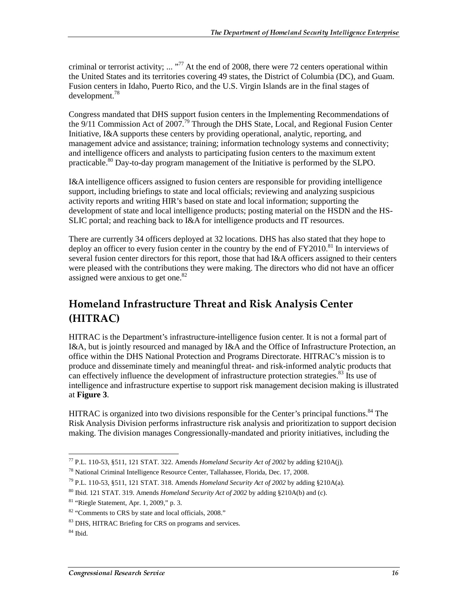criminal or terrorist activity; ... "<sup>77</sup> At the end of 2008, there were 72 centers operational within the United States and its territories covering 49 states, the District of Columbia (DC), and Guam. Fusion centers in Idaho, Puerto Rico, and the U.S. Virgin Islands are in the final stages of development.<sup>78</sup>

Congress mandated that DHS support fusion centers in the Implementing Recommendations of the 9/11 Commission Act of 2007*.* <sup>79</sup> Through the DHS State, Local, and Regional Fusion Center Initiative, I&A supports these centers by providing operational, analytic, reporting, and management advice and assistance; training; information technology systems and connectivity; and intelligence officers and analysts to participating fusion centers to the maximum extent practicable.<sup>80</sup> Day-to-day program management of the Initiative is performed by the SLPO.

I&A intelligence officers assigned to fusion centers are responsible for providing intelligence support, including briefings to state and local officials; reviewing and analyzing suspicious activity reports and writing HIR's based on state and local information; supporting the development of state and local intelligence products; posting material on the HSDN and the HS-SLIC portal; and reaching back to I&A for intelligence products and IT resources.

There are currently 34 officers deployed at 32 locations. DHS has also stated that they hope to deploy an officer to every fusion center in the country by the end of  $FY2010$ .<sup>81</sup> In interviews of several fusion center directors for this report, those that had I&A officers assigned to their centers were pleased with the contributions they were making. The directors who did not have an officer assigned were anxious to get one.<sup>82</sup>

## Homeland Infrastructure Threat and Risk Analysis Center (HITRAC)

HITRAC is the Department's infrastructure-intelligence fusion center. It is not a formal part of I&A, but is jointly resourced and managed by I&A and the Office of Infrastructure Protection, an office within the DHS National Protection and Programs Directorate. HITRAC's mission is to produce and disseminate timely and meaningful threat- and risk-informed analytic products that can effectively influence the development of infrastructure protection strategies. $83$  Its use of intelligence and infrastructure expertise to support risk management decision making is illustrated at **Figure 3**.

HITRAC is organized into two divisions responsible for the Center's principal functions.<sup>84</sup> The Risk Analysis Division performs infrastructure risk analysis and prioritization to support decision making. The division manages Congressionally-mandated and priority initiatives, including the

 $\overline{a}$ 77 P.L. 110-53, §511, 121 STAT. 322. Amends *Homeland Security Act of 2002* by adding §210A(j).

 $^{78}$  National Criminal Intelligence Resource Center, Tallahassee, Florida, Dec. 17, 2008.

<sup>79</sup> P.L. 110-53, §511, 121 STAT. 318. Amends *Homeland Security Act of 2002* by adding §210A(a).

<sup>80</sup> Ibid. 121 STAT. 319. Amends *Homeland Security Act of 2002* by adding §210A(b) and (c).

 $81$  "Riegle Statement, Apr. 1, 2009," p. 3.

<sup>&</sup>lt;sup>82</sup> "Comments to CRS by state and local officials, 2008."

<sup>83</sup> DHS, HITRAC Briefing for CRS on programs and services.

 $84$  Ibid.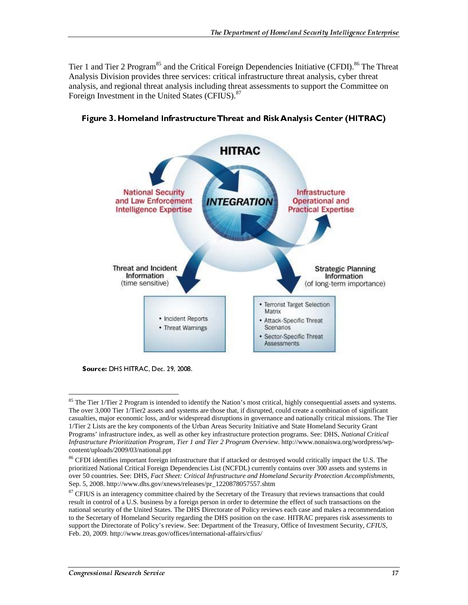Tier 1 and Tier 2 Program<sup>85</sup> and the Critical Foreign Dependencies Initiative (CFDI).<sup>86</sup> The Threat Analysis Division provides three services: critical infrastructure threat analysis, cyber threat analysis, and regional threat analysis including threat assessments to support the Committee on Foreign Investment in the United States (CFIUS).<sup>87</sup>



Figure 3. Homeland Infrastructure Threat and Risk Analysis Center (HITRAC)

Source: DHS HITRAC, Dec. 29, 2008.

<sup>&</sup>lt;sup>85</sup> The Tier 1/Tier 2 Program is intended to identify the Nation's most critical, highly consequential assets and systems. The over 3,000 Tier 1/Tier2 assets and systems are those that, if disrupted, could create a combination of significant casualties, major economic loss, and/or widespread disruptions in governance and nationally critical missions. The Tier 1/Tier 2 Lists are the key components of the Urban Areas Security Initiative and State Homeland Security Grant Programs' infrastructure index, as well as other key infrastructure protection programs. See: DHS, *National Critical Infrastructure Prioritization Program, Tier 1 and Tier 2 Program Overview*. http://www.nonaiswa.org/wordpress/wpcontent/uploads/2009/03/national.ppt

<sup>&</sup>lt;sup>86</sup> CFDI identifies important foreign infrastructure that if attacked or destroyed would critically impact the U.S. The prioritized National Critical Foreign Dependencies List (NCFDL) currently contains over 300 assets and systems in over 50 countries. See: DHS, *Fact Sheet: Critical Infrastructure and Homeland Security Protection Accomplishments*, Sep. 5, 2008. http://www.dhs.gov/xnews/releases/pr\_1220878057557.shtm

<sup>&</sup>lt;sup>87</sup> CFIUS is an interagency committee chaired by the Secretary of the Treasury that reviews transactions that could result in control of a U.S. business by a foreign person in order to determine the effect of such transactions on the national security of the United States. The DHS Directorate of Policy reviews each case and makes a recommendation to the Secretary of Homeland Security regarding the DHS position on the case. HITRAC prepares risk assessments to support the Directorate of Policy's review. See: Department of the Treasury, Office of Investment Security, *CFIUS,* Feb. 20, 2009. http://www.treas.gov/offices/international-affairs/cfius/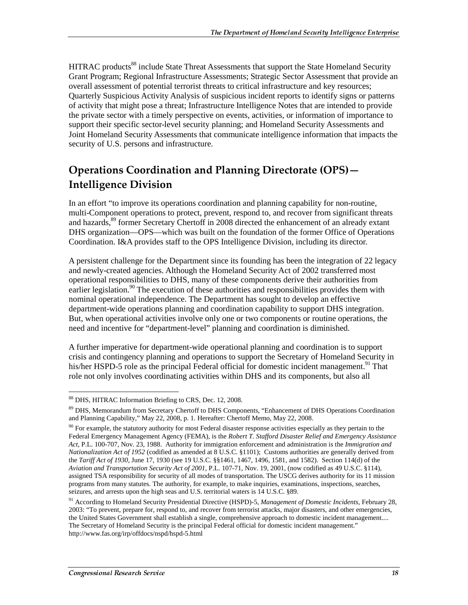HITRAC products<sup>88</sup> include State Threat Assessments that support the State Homeland Security Grant Program; Regional Infrastructure Assessments; Strategic Sector Assessment that provide an overall assessment of potential terrorist threats to critical infrastructure and key resources; Quarterly Suspicious Activity Analysis of suspicious incident reports to identify signs or patterns of activity that might pose a threat; Infrastructure Intelligence Notes that are intended to provide the private sector with a timely perspective on events, activities, or information of importance to support their specific sector-level security planning; and Homeland Security Assessments and Joint Homeland Security Assessments that communicate intelligence information that impacts the security of U.S. persons and infrastructure.

## Operations Coordination and Planning Directorate (OPS)— Intelligence Division

In an effort "to improve its operations coordination and planning capability for non-routine, multi-Component operations to protect, prevent, respond to, and recover from significant threats and hazards,<sup>89</sup> former Secretary Chertoff in 2008 directed the enhancement of an already extant DHS organization—OPS—which was built on the foundation of the former Office of Operations Coordination. I&A provides staff to the OPS Intelligence Division, including its director.

A persistent challenge for the Department since its founding has been the integration of 22 legacy and newly-created agencies. Although the Homeland Security Act of 2002 transferred most operational responsibilities to DHS, many of these components derive their authorities from earlier legislation.<sup>90</sup> The execution of these authorities and responsibilities provides them with nominal operational independence. The Department has sought to develop an effective department-wide operations planning and coordination capability to support DHS integration. But, when operational activities involve only one or two components or routine operations, the need and incentive for "department-level" planning and coordination is diminished.

A further imperative for department-wide operational planning and coordination is to support crisis and contingency planning and operations to support the Secretary of Homeland Security in his/her HSPD-5 role as the principal Federal official for domestic incident management.<sup>91</sup> That role not only involves coordinating activities within DHS and its components, but also all

 $\overline{a}$ 88 DHS, HITRAC Information Briefing to CRS, Dec. 12, 2008.

<sup>89</sup> DHS, Memorandum from Secretary Chertoff to DHS Components, "Enhancement of DHS Operations Coordination and Planning Capability," May 22, 2008, p. 1. Hereafter: Chertoff Memo, May 22, 2008.

 $90$  For example, the statutory authority for most Federal disaster response activities especially as they pertain to the Federal Emergency Management Agency (FEMA), is the *Robert T. Stafford Disaster Relief and Emergency Assistance Act,* P.L. 100-707, Nov. 23, 1988. Authority for immigration enforcement and administration is the *Immigration and Nationalization Act of 1952* (codified as amended at 8 U.S.C. §1101); Customs authorities are generally derived from the *Tariff Act of 1930*, June 17, 1930 (see 19 U.S.C. §§1461, 1467, 1496, 1581, and 1582). Section 114(d) of the *Aviation and Transportation Security Act of 2001*, P.L. 107-71, Nov. 19, 2001, (now codified as 49 U.S.C. §114), assigned TSA responsibility for security of all modes of transportation. The USCG derives authority for its 11 mission programs from many statutes. The authority, for example, to make inquiries, examinations, inspections, searches, seizures, and arrests upon the high seas and U.S. territorial waters is 14 U.S.C. §89.

<sup>91</sup> According to Homeland Security Presidential Directive (HSPD)-5, *Management of Domestic Incidents*, February 28, 2003: "To prevent, prepare for, respond to, and recover from terrorist attacks, major disasters, and other emergencies, the United States Government shall establish a single, comprehensive approach to domestic incident management.... The Secretary of Homeland Security is the principal Federal official for domestic incident management." http://www.fas.org/irp/offdocs/nspd/hspd-5.html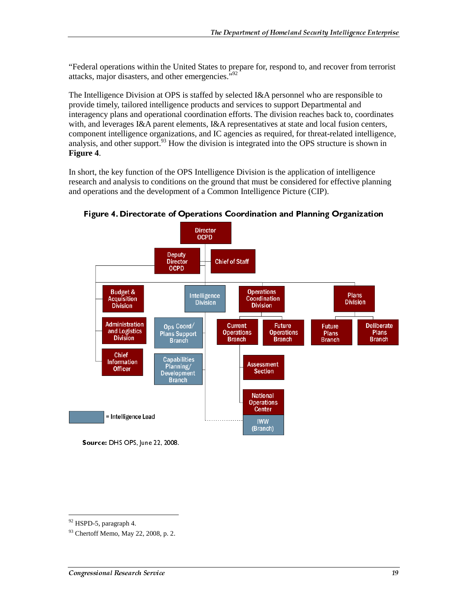"Federal operations within the United States to prepare for, respond to, and recover from terrorist attacks, major disasters, and other emergencies.<sup>592</sup>

The Intelligence Division at OPS is staffed by selected I&A personnel who are responsible to provide timely, tailored intelligence products and services to support Departmental and interagency plans and operational coordination efforts. The division reaches back to, coordinates with, and leverages I&A parent elements, I&A representatives at state and local fusion centers, component intelligence organizations, and IC agencies as required, for threat-related intelligence, analysis, and other support.<sup>93</sup> How the division is integrated into the OPS structure is shown in **Figure 4**.

In short, the key function of the OPS Intelligence Division is the application of intelligence research and analysis to conditions on the ground that must be considered for effective planning and operations and the development of a Common Intelligence Picture (CIP).



Figure 4. Directorate of Operations Coordination and Planning Organization

Source: DHS OPS, June 22, 2008.

 $92$  HSPD-5, paragraph 4.

<sup>93</sup> Chertoff Memo, May 22, 2008, p. 2.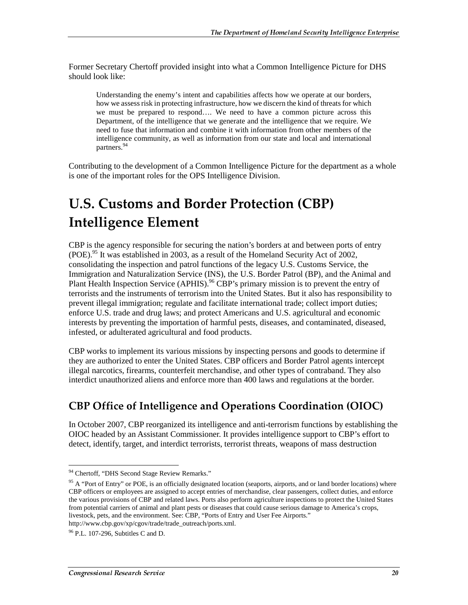Former Secretary Chertoff provided insight into what a Common Intelligence Picture for DHS should look like:

Understanding the enemy's intent and capabilities affects how we operate at our borders, how we assess risk in protecting infrastructure, how we discern the kind of threats for which we must be prepared to respond…. We need to have a common picture across this Department, of the intelligence that we generate and the intelligence that we require. We need to fuse that information and combine it with information from other members of the intelligence community, as well as information from our state and local and international partners.<sup>94</sup>

Contributing to the development of a Common Intelligence Picture for the department as a whole is one of the important roles for the OPS Intelligence Division.

## **U.S. Customs and Border Protection (CBP) Intelligence Element**

CBP is the agency responsible for securing the nation's borders at and between ports of entry (POE).<sup>95</sup> It was established in 2003, as a result of the Homeland Security Act of 2002, consolidating the inspection and patrol functions of the legacy U.S. Customs Service, the Immigration and Naturalization Service (INS), the U.S. Border Patrol (BP), and the Animal and Plant Health Inspection Service (APHIS).<sup>96</sup> CBP's primary mission is to prevent the entry of terrorists and the instruments of terrorism into the United States. But it also has responsibility to prevent illegal immigration; regulate and facilitate international trade; collect import duties; enforce U.S. trade and drug laws; and protect Americans and U.S. agricultural and economic interests by preventing the importation of harmful pests, diseases, and contaminated, diseased, infested, or adulterated agricultural and food products.

CBP works to implement its various missions by inspecting persons and goods to determine if they are authorized to enter the United States. CBP officers and Border Patrol agents intercept illegal narcotics, firearms, counterfeit merchandise, and other types of contraband. They also interdict unauthorized aliens and enforce more than 400 laws and regulations at the border.

## CBP Office of Intelligence and Operations Coordination (OIOC)

In October 2007, CBP reorganized its intelligence and anti-terrorism functions by establishing the OIOC headed by an Assistant Commissioner. It provides intelligence support to CBP's effort to detect, identify, target, and interdict terrorists, terrorist threats, weapons of mass destruction

 $\overline{a}$ <sup>94</sup> Chertoff, "DHS Second Stage Review Remarks."

<sup>&</sup>lt;sup>95</sup> A "Port of Entry" or POE, is an officially designated location (seaports, airports, and or land border locations) where CBP officers or employees are assigned to accept entries of merchandise, clear passengers, collect duties, and enforce the various provisions of CBP and related laws. Ports also perform agriculture inspections to protect the United States from potential carriers of animal and plant pests or diseases that could cause serious damage to America's crops, livestock, pets, and the environment. See: CBP, "Ports of Entry and User Fee Airports." http://www.cbp.gov/xp/cgov/trade/trade\_outreach/ports.xml.

<sup>96</sup> P.L. 107-296, Subtitles C and D.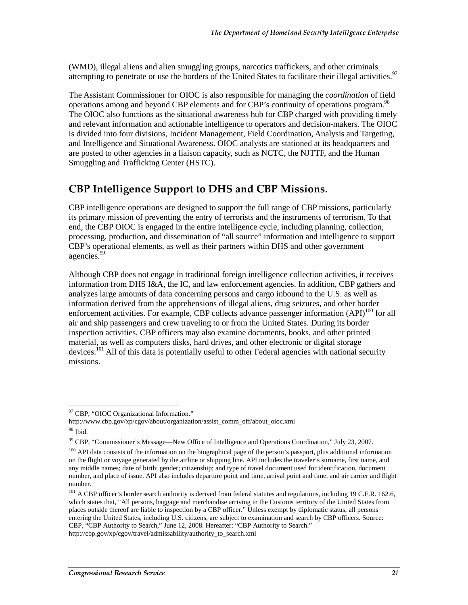(WMD), illegal aliens and alien smuggling groups, narcotics traffickers, and other criminals attempting to penetrate or use the borders of the United States to facilitate their illegal activities.<sup>97</sup>

The Assistant Commissioner for OIOC is also responsible for managing the *coordination* of field operations among and beyond CBP elements and for CBP's continuity of operations program.<sup>98</sup> The OIOC also functions as the situational awareness hub for CBP charged with providing timely and relevant information and actionable intelligence to operators and decision-makers. The OIOC is divided into four divisions, Incident Management, Field Coordination, Analysis and Targeting, and Intelligence and Situational Awareness. OIOC analysts are stationed at its headquarters and are posted to other agencies in a liaison capacity, such as NCTC, the NJTTF, and the Human Smuggling and Trafficking Center (HSTC).

## **CBP Intelligence Support to DHS and CBP Missions.**

CBP intelligence operations are designed to support the full range of CBP missions, particularly its primary mission of preventing the entry of terrorists and the instruments of terrorism. To that end, the CBP OIOC is engaged in the entire intelligence cycle, including planning, collection, processing, production, and dissemination of "all source" information and intelligence to support CBP's operational elements, as well as their partners within DHS and other government agencies.<sup>99</sup>

Although CBP does not engage in traditional foreign intelligence collection activities, it receives information from DHS I&A, the IC, and law enforcement agencies. In addition, CBP gathers and analyzes large amounts of data concerning persons and cargo inbound to the U.S. as well as information derived from the apprehensions of illegal aliens, drug seizures, and other border enforcement activities. For example, CBP collects advance passenger information  $(API)^{100}$  for all air and ship passengers and crew traveling to or from the United States. During its border inspection activities, CBP officers may also examine documents, books, and other printed material, as well as computers disks, hard drives, and other electronic or digital storage devices.<sup>101</sup> All of this data is potentially useful to other Federal agencies with national security missions.

 $\overline{a}$ <sup>97</sup> CBP, "OIOC Organizational Information."

http://www.cbp.gov/xp/cgov/about/organization/assist\_comm\_off/about\_oioc.xml 98 Ibid.

<sup>99</sup> CBP, "Commissioner's Message—New Office of Intelligence and Operations Coordination," July 23, 2007.

 $100$  API data consists of the information on the biographical page of the person's passport, plus additional information on the flight or voyage generated by the airline or shipping line. API includes the traveler's surname, first name, and any middle names; date of birth; gender; citizenship; and type of travel document used for identification, document number, and place of issue. API also includes departure point and time, arrival point and time, and air carrier and flight number.

<sup>&</sup>lt;sup>101</sup> A CBP officer's border search authority is derived from federal statutes and regulations, including 19 C.F.R. 162.6, which states that, "All persons, baggage and merchandise arriving in the Customs territory of the United States from places outside thereof are liable to inspection by a CBP officer." Unless exempt by diplomatic status, all persons entering the United States, including U.S. citizens, are subject to examination and search by CBP officers. Source: CBP, "CBP Authority to Search," June 12, 2008. Hereafter: "CBP Authority to Search."

http://cbp.gov/xp/cgov/travel/admissability/authority\_to\_search.xml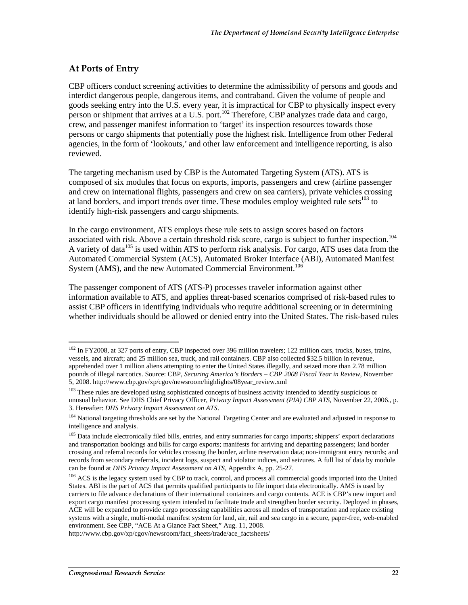### At Ports of Entry

CBP officers conduct screening activities to determine the admissibility of persons and goods and interdict dangerous people, dangerous items, and contraband. Given the volume of people and goods seeking entry into the U.S. every year, it is impractical for CBP to physically inspect every person or shipment that arrives at a U.S. port.<sup>102</sup> Therefore, CBP analyzes trade data and cargo, crew, and passenger manifest information to 'target' its inspection resources towards those persons or cargo shipments that potentially pose the highest risk. Intelligence from other Federal agencies, in the form of 'lookouts,' and other law enforcement and intelligence reporting, is also reviewed.

The targeting mechanism used by CBP is the Automated Targeting System (ATS). ATS is composed of six modules that focus on exports, imports, passengers and crew (airline passenger and crew on international flights, passengers and crew on sea carriers), private vehicles crossing at land borders, and import trends over time. These modules employ weighted rule sets<sup>103</sup> to identify high-risk passengers and cargo shipments.

In the cargo environment, ATS employs these rule sets to assign scores based on factors associated with risk. Above a certain threshold risk score, cargo is subject to further inspection.<sup>104</sup> A variety of data<sup>105</sup> is used within ATS to perform risk analysis. For cargo, ATS uses data from the Automated Commercial System (ACS), Automated Broker Interface (ABI), Automated Manifest System (AMS), and the new Automated Commercial Environment.<sup>106</sup>

The passenger component of ATS (ATS-P) processes traveler information against other information available to ATS, and applies threat-based scenarios comprised of risk-based rules to assist CBP officers in identifying individuals who require additional screening or in determining whether individuals should be allowed or denied entry into the United States. The risk-based rules

http://www.cbp.gov/xp/cgov/newsroom/fact\_sheets/trade/ace\_factsheets/

 $\overline{a}$ <sup>102</sup> In FY2008, at 327 ports of entry, CBP inspected over 396 million travelers; 122 million cars, trucks, buses, trains, vessels, and aircraft; and 25 million sea, truck, and rail containers. CBP also collected \$32.5 billion in revenue, apprehended over 1 million aliens attempting to enter the United States illegally, and seized more than 2.78 million pounds of illegal narcotics. Source: CBP, *Securing America's Borders – CBP 2008 Fiscal Year in Review,* November 5, 2008. http://www.cbp.gov/xp/cgov/newsroom/highlights/08year\_review.xml

<sup>&</sup>lt;sup>103</sup> These rules are developed using sophisticated concepts of business activity intended to identify suspicious or unusual behavior. See DHS Chief Privacy Officer, *Privacy Impact Assessment (PIA) CBP ATS,* November 22, 2006., p. 3. Hereafter: *DHS Privacy Impact Assessment on ATS*.

<sup>&</sup>lt;sup>104</sup> National targeting thresholds are set by the National Targeting Center and are evaluated and adjusted in response to intelligence and analysis.

<sup>&</sup>lt;sup>105</sup> Data include electronically filed bills, entries, and entry summaries for cargo imports; shippers' export declarations and transportation bookings and bills for cargo exports; manifests for arriving and departing passengers; land border crossing and referral records for vehicles crossing the border, airline reservation data; non-immigrant entry records; and records from secondary referrals, incident logs, suspect and violator indices, and seizures. A full list of data by module can be found at *DHS Privacy Impact Assessment on ATS,* Appendix A, pp. 25-27.

<sup>&</sup>lt;sup>106</sup> ACS is the legacy system used by CBP to track, control, and process all commercial goods imported into the United States. ABI is the part of ACS that permits qualified participants to file import data electronically. AMS is used by carriers to file advance declarations of their international containers and cargo contents. ACE is CBP's new import and export cargo manifest processing system intended to facilitate trade and strengthen border security. Deployed in phases, ACE will be expanded to provide cargo processing capabilities across all modes of transportation and replace existing systems with a single, multi-modal manifest system for land, air, rail and sea cargo in a secure, paper-free, web-enabled environment. See CBP, "ACE At a Glance Fact Sheet," Aug. 11, 2008.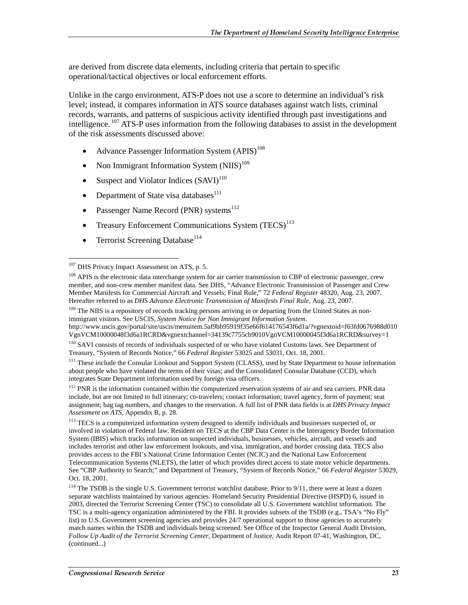are derived from discrete data elements, including criteria that pertain to specific operational/tactical objectives or local enforcement efforts.

Unlike in the cargo environment, ATS-P does not use a score to determine an individual's risk level; instead, it compares information in ATS source databases against watch lists, criminal records, warrants, and patterns of suspicious activity identified through past investigations and intelligence. <sup>107</sup> ATS-P uses information from the following databases to assist in the development of the risk assessments discussed above:

- Advance Passenger Information System  $(APIS)^{108}$
- Non Immigrant Information System  $(NIIS)^{109}$
- Suspect and Violator Indices  $(SAVI)^{110}$
- Department of State visa databases<sup>111</sup>
- Passenger Name Record (PNR) systems<sup>112</sup>
- Treasury Enforcement Communications System  $(TECS)^{113}$
- Terrorist Screening Database<sup>114</sup>

http://www.uscis.gov/portal/site/uscis/menuitem.5af9bb95919f35e66f614176543f6d1a/?vgnextoid=f63fd0676988d010 VgnVCM10000048f3d6a1RCRD&vgnextchannel=34139c7755cb9010VgnVCM10000045f3d6a1RCRD&survey=1

<sup>111</sup> These include the Consular Lookout and Support System (CLASS), used by State Department to house information about people who have violated the terms of their visas; and the Consolidated Consular Database (CCD), which integrates State Department information used by foreign visa officers.

<sup>112</sup> PNR is the information contained within the computerized reservation systems of air and sea carriers. PNR data include, but are not limited to full itinerary; co-travelers; contact information; travel agency, form of payment; seat assignment; bag tag numbers, and changes to the reservation. A full list of PNR data fields is at *DHS Privacy Impact Assessment on ATS,* Appendix B, p. 28.

<sup>113</sup> TECS is a computerized information system designed to identify individuals and businesses suspected of, or involved in violation of Federal law. Resident on TECS at the CBP Data Center is the Interagency Border Information System (IBIS) which tracks information on suspected individuals, businesses, vehicles, aircraft, and vessels and includes terrorist and other law enforcement lookouts, and visa, immigration, and border crossing data. TECS also provides access to the FBI's National Crime Information Center (NCIC) and the National Law Enforcement Telecommunication Systems (NLETS), the latter of which provides direct access to state motor vehicle departments. See "CBP Authority to Search;" and Department of Treasury, "System of Records Notice," 66 *Federal Register* 53029, Oct. 18, 2001.

<sup>114</sup> The TSDB is the single U.S. Government terrorist watchlist database. Prior to 9/11, there were at least a dozen separate watchlists maintained by various agencies. Homeland Security Presidential Directive (HSPD) 6, issued in 2003, directed the Terrorist Screening Center (TSC) to consolidate all U.S. Government watchlist information. The TSC is a multi-agency organization administered by the FBI. It provides subsets of the TSDB (e.g., TSA's "No Fly" list) to U.S. Government screening agencies and provides 24/7 operational support to those agencies to accurately match names within the TSDB and individuals being screened. See Office of the Inspector General Audit Division, *Follow Up Audit of the Terrorist Screening Center*, Department of Justice, Audit Report 07-41, Washington, DC, (continued...)

 $\overline{a}$ <sup>107</sup> DHS Privacy Impact Assessment on ATS, p. 5.

<sup>&</sup>lt;sup>108</sup> APIS is the electronic data interchange system for air carrier transmission to CBP of electronic passenger, crew member, and non-crew member manifest data. See DHS, "Advance Electronic Transmission of Passenger and Crew Member Manifests for Commercial Aircraft and Vessels; Final Rule," 72 *Federal Register* 48320, Aug. 23, 2007. Hereafter referred to as *DHS Advance Electronic Transmission of Manifests Final Rule*, Aug. 23, 2007.

<sup>&</sup>lt;sup>109</sup> The NIIS is a repository of records tracking persons arriving in or departing from the United States as nonimmigrant visitors. See USCIS, *System Notice for Non Immigrant Information System*.

<sup>&</sup>lt;sup>110</sup> SAVI consists of records of individuals suspected of or who have violated Customs laws. See Department of Treasury, "System of Records Notice," 66 *Federal Register* 53025 and 53031, Oct. 18, 2001.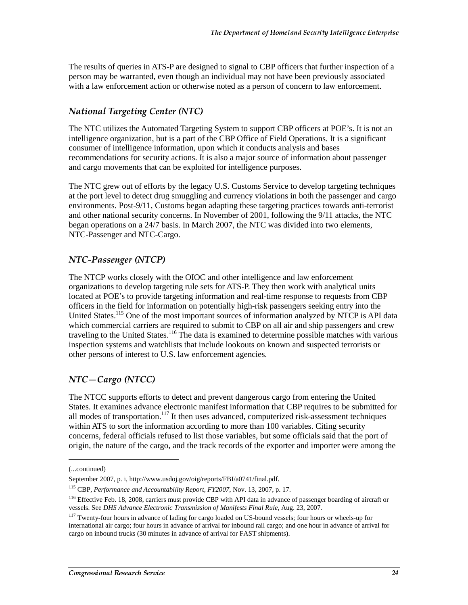The results of queries in ATS-P are designed to signal to CBP officers that further inspection of a person may be warranted, even though an individual may not have been previously associated with a law enforcement action or otherwise noted as a person of concern to law enforcement.

## National Targeting Center (NTC)

The NTC utilizes the Automated Targeting System to support CBP officers at POE's. It is not an intelligence organization, but is a part of the CBP Office of Field Operations. It is a significant consumer of intelligence information, upon which it conducts analysis and bases recommendations for security actions. It is also a major source of information about passenger and cargo movements that can be exploited for intelligence purposes.

The NTC grew out of efforts by the legacy U.S. Customs Service to develop targeting techniques at the port level to detect drug smuggling and currency violations in both the passenger and cargo environments. Post-9/11, Customs began adapting these targeting practices towards anti-terrorist and other national security concerns. In November of 2001, following the 9/11 attacks, the NTC began operations on a 24/7 basis. In March 2007, the NTC was divided into two elements, NTC-Passenger and NTC-Cargo.

### NTC-Passenger (NTCP)

The NTCP works closely with the OIOC and other intelligence and law enforcement organizations to develop targeting rule sets for ATS-P. They then work with analytical units located at POE's to provide targeting information and real-time response to requests from CBP officers in the field for information on potentially high-risk passengers seeking entry into the United States.<sup>115</sup> One of the most important sources of information analyzed by NTCP is API data which commercial carriers are required to submit to CBP on all air and ship passengers and crew traveling to the United States.<sup>116</sup> The data is examined to determine possible matches with various inspection systems and watchlists that include lookouts on known and suspected terrorists or other persons of interest to U.S. law enforcement agencies.

## $NTC-Cargo (NTCC)$

The NTCC supports efforts to detect and prevent dangerous cargo from entering the United States. It examines advance electronic manifest information that CBP requires to be submitted for all modes of transportation.<sup>117</sup> It then uses advanced, computerized risk-assessment techniques within ATS to sort the information according to more than 100 variables. Citing security concerns, federal officials refused to list those variables, but some officials said that the port of origin, the nature of the cargo, and the track records of the exporter and importer were among the

j

<sup>(...</sup>continued)

September 2007, p. i, http://www.usdoj.gov/oig/reports/FBI/a0741/final.pdf.

<sup>115</sup> CBP, *Performance and Accountability Report, FY2007*, Nov. 13, 2007, p. 17.

<sup>&</sup>lt;sup>116</sup> Effective Feb. 18, 2008, carriers must provide CBP with API data in advance of passenger boarding of aircraft or vessels. See *DHS Advance Electronic Transmission of Manifests Final Rule*, Aug. 23, 2007.

<sup>&</sup>lt;sup>117</sup> Twenty-four hours in advance of lading for cargo loaded on US-bound vessels; four hours or wheels-up for international air cargo; four hours in advance of arrival for inbound rail cargo; and one hour in advance of arrival for cargo on inbound trucks (30 minutes in advance of arrival for FAST shipments).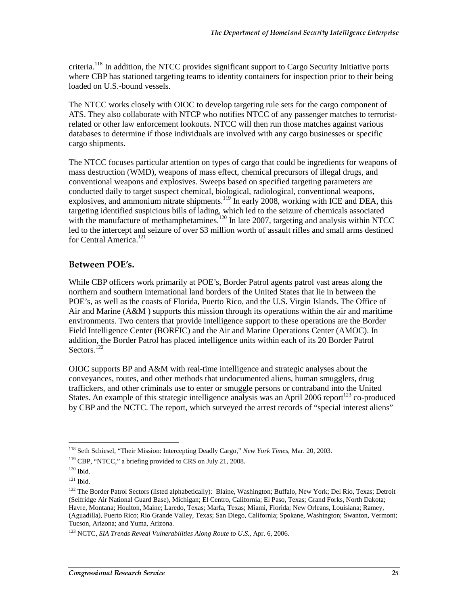criteria.<sup>118</sup> In addition, the NTCC provides significant support to Cargo Security Initiative ports where CBP has stationed targeting teams to identity containers for inspection prior to their being loaded on U.S.-bound vessels.

The NTCC works closely with OIOC to develop targeting rule sets for the cargo component of ATS. They also collaborate with NTCP who notifies NTCC of any passenger matches to terroristrelated or other law enforcement lookouts. NTCC will then run those matches against various databases to determine if those individuals are involved with any cargo businesses or specific cargo shipments.

The NTCC focuses particular attention on types of cargo that could be ingredients for weapons of mass destruction (WMD), weapons of mass effect, chemical precursors of illegal drugs, and conventional weapons and explosives. Sweeps based on specified targeting parameters are conducted daily to target suspect chemical, biological, radiological, conventional weapons, explosives, and ammonium nitrate shipments.<sup>119</sup> In early 2008, working with ICE and DEA, this targeting identified suspicious bills of lading, which led to the seizure of chemicals associated with the manufacture of methamphetamines.<sup>120</sup> In late 2007, targeting and analysis within NTCC led to the intercept and seizure of over \$3 million worth of assault rifles and small arms destined for Central America.<sup>121</sup>

#### Between POE's.

While CBP officers work primarily at POE's, Border Patrol agents patrol vast areas along the northern and southern international land borders of the United States that lie in between the POE's, as well as the coasts of Florida, Puerto Rico, and the U.S. Virgin Islands. The Office of Air and Marine (A&M ) supports this mission through its operations within the air and maritime environments. Two centers that provide intelligence support to these operations are the Border Field Intelligence Center (BORFIC) and the Air and Marine Operations Center (AMOC). In addition, the Border Patrol has placed intelligence units within each of its 20 Border Patrol Sectors.<sup>122</sup>

OIOC supports BP and A&M with real-time intelligence and strategic analyses about the conveyances, routes, and other methods that undocumented aliens, human smugglers, drug traffickers, and other criminals use to enter or smuggle persons or contraband into the United States. An example of this strategic intelligence analysis was an April 2006 report<sup>123</sup> co-produced by CBP and the NCTC. The report, which surveyed the arrest records of "special interest aliens"

<sup>118</sup> Seth Schiesel, "Their Mission: Intercepting Deadly Cargo," *New York Times*, Mar. 20, 2003.

<sup>&</sup>lt;sup>119</sup> CBP, "NTCC," a briefing provided to CRS on July 21, 2008.

<sup>120</sup> Ibid.

 $121$  Ibid.

<sup>&</sup>lt;sup>122</sup> The Border Patrol Sectors (listed alphabetically): Blaine, Washington; Buffalo, New York; Del Rio, Texas; Detroit (Selfridge Air National Guard Base), Michigan; El Centro, California; El Paso, Texas; Grand Forks, North Dakota; Havre, Montana; Houlton, Maine; Laredo, Texas; Marfa, Texas; Miami, Florida; New Orleans, Louisiana; Ramey, (Aguadilla), Puerto Rico; Rio Grande Valley, Texas; San Diego, California; Spokane, Washington; Swanton, Vermont; Tucson, Arizona; and Yuma, Arizona.

<sup>123</sup> NCTC, *SIA Trends Reveal Vulnerabilities Along Route to U.S.,* Apr. 6, 2006.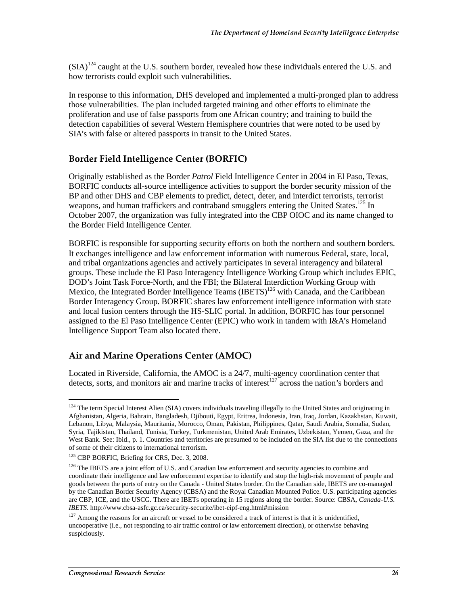$(SIA)^{124}$  caught at the U.S. southern border, revealed how these individuals entered the U.S. and how terrorists could exploit such vulnerabilities.

In response to this information, DHS developed and implemented a multi-pronged plan to address those vulnerabilities. The plan included targeted training and other efforts to eliminate the proliferation and use of false passports from one African country; and training to build the detection capabilities of several Western Hemisphere countries that were noted to be used by SIA's with false or altered passports in transit to the United States.

#### Border Field Intelligence Center (BORFIC)

Originally established as the Border *Patrol* Field Intelligence Center in 2004 in El Paso, Texas, BORFIC conducts all-source intelligence activities to support the border security mission of the BP and other DHS and CBP elements to predict, detect, deter, and interdict terrorists, terrorist weapons, and human traffickers and contraband smugglers entering the United States.<sup>125</sup> In October 2007, the organization was fully integrated into the CBP OIOC and its name changed to the Border Field Intelligence Center.

BORFIC is responsible for supporting security efforts on both the northern and southern borders. It exchanges intelligence and law enforcement information with numerous Federal, state, local, and tribal organizations agencies and actively participates in several interagency and bilateral groups. These include the El Paso Interagency Intelligence Working Group which includes EPIC, DOD's Joint Task Force-North, and the FBI; the Bilateral Interdiction Working Group with Mexico, the Integrated Border Intelligence Teams (IBETS)<sup>126</sup> with Canada, and the Caribbean Border Interagency Group. BORFIC shares law enforcement intelligence information with state and local fusion centers through the HS-SLIC portal. In addition, BORFIC has four personnel assigned to the El Paso Intelligence Center (EPIC) who work in tandem with I&A's Homeland Intelligence Support Team also located there.

#### Air and Marine Operations Center (AMOC)

Located in Riverside, California, the AMOC is a 24/7, multi-agency coordination center that detects, sorts, and monitors air and marine tracks of interest<sup>127</sup> across the nation's borders and

 $\overline{a}$ <sup>124</sup> The term Special Interest Alien (SIA) covers individuals traveling illegally to the United States and originating in Afghanistan, Algeria, Bahrain, Bangladesh, Djibouti, Egypt, Eritrea, Indonesia, Iran, Iraq, Jordan, Kazakhstan, Kuwait, Lebanon, Libya, Malaysia, Mauritania, Morocco, Oman, Pakistan, Philippines, Qatar, Saudi Arabia, Somalia, Sudan, Syria, Tajikistan, Thailand, Tunisia, Turkey, Turkmenistan, United Arab Emirates, Uzbekistan, Yemen, Gaza, and the West Bank. See: Ibid., p. 1. Countries and territories are presumed to be included on the SIA list due to the connections of some of their citizens to international terrorism.

<sup>&</sup>lt;sup>125</sup> CBP BORFIC, Briefing for CRS, Dec. 3, 2008.

<sup>&</sup>lt;sup>126</sup> The IBETS are a joint effort of U.S. and Canadian law enforcement and security agencies to combine and coordinate their intelligence and law enforcement expertise to identify and stop the high-risk movement of people and goods between the ports of entry on the Canada - United States border. On the Canadian side, IBETS are co-managed by the Canadian Border Security Agency (CBSA) and the Royal Canadian Mounted Police. U.S. participating agencies are CBP, ICE, and the USCG. There are IBETs operating in 15 regions along the border. Source: CBSA, *Canada-U.S. IBETS*. http://www.cbsa-asfc.gc.ca/security-securite/ibet-eipf-eng.html#mission

 $127$  Among the reasons for an aircraft or vessel to be considered a track of interest is that it is unidentified, uncooperative (i.e., not responding to air traffic control or law enforcement direction), or otherwise behaving suspiciously.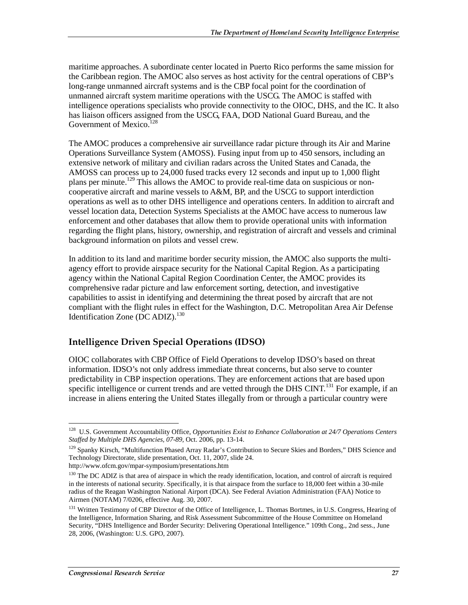maritime approaches. A subordinate center located in Puerto Rico performs the same mission for the Caribbean region. The AMOC also serves as host activity for the central operations of CBP's long-range unmanned aircraft systems and is the CBP focal point for the coordination of unmanned aircraft system maritime operations with the USCG. The AMOC is staffed with intelligence operations specialists who provide connectivity to the OIOC, DHS, and the IC. It also has liaison officers assigned from the USCG, FAA, DOD National Guard Bureau, and the Government of Mexico.<sup>128</sup>

The AMOC produces a comprehensive air surveillance radar picture through its Air and Marine Operations Surveillance System (AMOSS). Fusing input from up to 450 sensors, including an extensive network of military and civilian radars across the United States and Canada, the AMOSS can process up to 24,000 fused tracks every 12 seconds and input up to 1,000 flight plans per minute.<sup>129</sup> This allows the AMOC to provide real-time data on suspicious or noncooperative aircraft and marine vessels to A&M, BP, and the USCG to support interdiction operations as well as to other DHS intelligence and operations centers. In addition to aircraft and vessel location data, Detection Systems Specialists at the AMOC have access to numerous law enforcement and other databases that allow them to provide operational units with information regarding the flight plans, history, ownership, and registration of aircraft and vessels and criminal background information on pilots and vessel crew.

In addition to its land and maritime border security mission, the AMOC also supports the multiagency effort to provide airspace security for the National Capital Region. As a participating agency within the National Capital Region Coordination Center, the AMOC provides its comprehensive radar picture and law enforcement sorting, detection, and investigative capabilities to assist in identifying and determining the threat posed by aircraft that are not compliant with the flight rules in effect for the Washington, D.C. Metropolitan Area Air Defense Identification Zone (DC ADIZ).<sup>130</sup>

### Intelligence Driven Special Operations (IDSO)

OIOC collaborates with CBP Office of Field Operations to develop IDSO's based on threat information. IDSO's not only address immediate threat concerns, but also serve to counter predictability in CBP inspection operations. They are enforcement actions that are based upon specific intelligence or current trends and are vetted through the DHS CINT.<sup>131</sup> For example, if an increase in aliens entering the United States illegally from or through a particular country were

 $\overline{a}$ 128 U.S. Government Accountability Office, *Opportunities Exist to Enhance Collaboration at 24/7 Operations Centers Staffed by Multiple DHS Agencies, 07-89,* Oct. 2006, pp. 13-14.

<sup>&</sup>lt;sup>129</sup> Spanky Kirsch, "Multifunction Phased Array Radar's Contribution to Secure Skies and Borders," DHS Science and Technology Directorate, slide presentation, Oct. 11, 2007, slide 24.

http://www.ofcm.gov/mpar-symposium/presentations.htm

<sup>&</sup>lt;sup>130</sup> The DC ADIZ is that area of airspace in which the ready identification, location, and control of aircraft is required in the interests of national security. Specifically, it is that airspace from the surface to 18,000 feet within a 30-mile radius of the Reagan Washington National Airport (DCA). See Federal Aviation Administration (FAA) Notice to Airmen (NOTAM) 7/0206, effective Aug. 30, 2007.

<sup>&</sup>lt;sup>131</sup> Written Testimony of CBP Director of the Office of Intelligence, L. Thomas Bortmes, in U.S. Congress, Hearing of the Intelligence, Information Sharing, and Risk Assessment Subcommittee of the House Committee on Homeland Security, "DHS Intelligence and Border Security: Delivering Operational Intelligence." 109th Cong., 2nd sess., June 28, 2006, (Washington: U.S. GPO, 2007).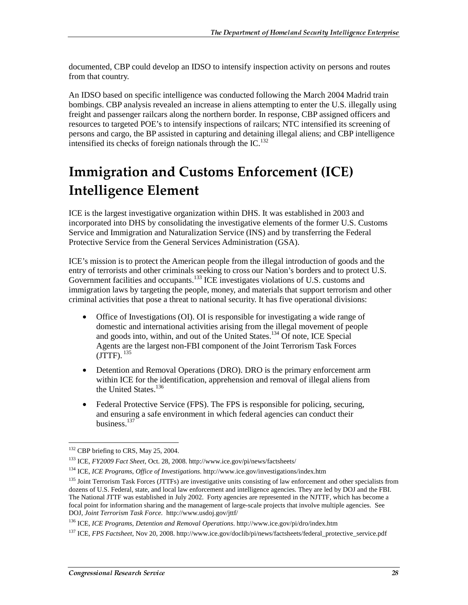documented, CBP could develop an IDSO to intensify inspection activity on persons and routes from that country.

An IDSO based on specific intelligence was conducted following the March 2004 Madrid train bombings. CBP analysis revealed an increase in aliens attempting to enter the U.S. illegally using freight and passenger railcars along the northern border. In response, CBP assigned officers and resources to targeted POE's to intensify inspections of railcars; NTC intensified its screening of persons and cargo, the BP assisted in capturing and detaining illegal aliens; and CBP intelligence intensified its checks of foreign nationals through the IC. $^{132}$ 

## **Immigration and Customs Enforcement (ICE) Intelligence Element**

ICE is the largest investigative organization within DHS. It was established in 2003 and incorporated into DHS by consolidating the investigative elements of the former U.S. Customs Service and Immigration and Naturalization Service (INS) and by transferring the Federal Protective Service from the General Services Administration (GSA).

ICE's mission is to protect the American people from the illegal introduction of goods and the entry of terrorists and other criminals seeking to cross our Nation's borders and to protect U.S. Government facilities and occupants.<sup>133</sup> ICE investigates violations of U.S. customs and immigration laws by targeting the people, money, and materials that support terrorism and other criminal activities that pose a threat to national security. It has five operational divisions:

- Office of Investigations (OI). OI is responsible for investigating a wide range of domestic and international activities arising from the illegal movement of people and goods into, within, and out of the United States.134 Of note, ICE Special Agents are the largest non-FBI component of the Joint Terrorism Task Forces  $(TTTF)$ .  $^{135}$
- Detention and Removal Operations (DRO). DRO is the primary enforcement arm within ICE for the identification, apprehension and removal of illegal aliens from the United States.<sup>136</sup>
- Federal Protective Service (FPS). The FPS is responsible for policing, securing, and ensuring a safe environment in which federal agencies can conduct their business.137

 $\overline{a}$ <sup>132</sup> CBP briefing to CRS, May 25, 2004.

<sup>133</sup> ICE, *FY2009 Fact Sheet*, Oct. 28, 2008. http://www.ice.gov/pi/news/factsheets/

<sup>134</sup> ICE, *ICE Programs, Office of Investigations*. http://www.ice.gov/investigations/index.htm

<sup>&</sup>lt;sup>135</sup> Joint Terrorism Task Forces (JTTFs) are investigative units consisting of law enforcement and other specialists from dozens of U.S. Federal, state, and local law enforcement and intelligence agencies. They are led by DOJ and the FBI. The National JTTF was established in July 2002. Forty agencies are represented in the NJTTF, which has become a focal point for information sharing and the management of large-scale projects that involve multiple agencies. See DOJ, *Joint Terrorism Task Force*. http://www.usdoj.gov/jttf/

<sup>136</sup> ICE, *ICE Programs, Detention and Removal Operations*. http://www.ice.gov/pi/dro/index.htm

<sup>137</sup> ICE, *FPS Factsheet*, Nov 20, 2008. http://www.ice.gov/doclib/pi/news/factsheets/federal\_protective\_service.pdf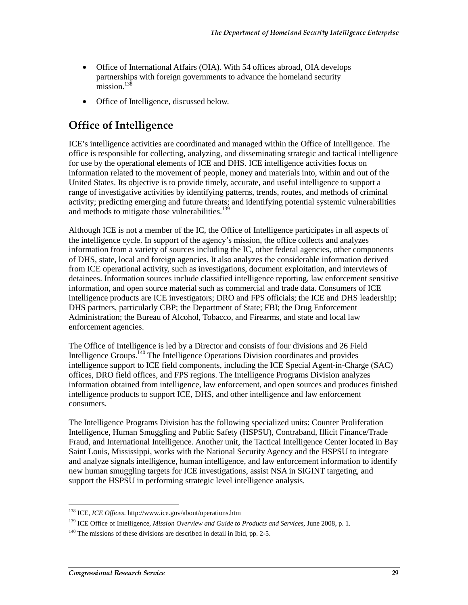- Office of International Affairs (OIA). With 54 offices abroad, OIA develops partnerships with foreign governments to advance the homeland security  $\text{mission}$ <sup>138</sup>
- Office of Intelligence, discussed below.

## Office of Intelligence

ICE's intelligence activities are coordinated and managed within the Office of Intelligence. The office is responsible for collecting, analyzing, and disseminating strategic and tactical intelligence for use by the operational elements of ICE and DHS. ICE intelligence activities focus on information related to the movement of people, money and materials into, within and out of the United States. Its objective is to provide timely, accurate, and useful intelligence to support a range of investigative activities by identifying patterns, trends, routes, and methods of criminal activity; predicting emerging and future threats; and identifying potential systemic vulnerabilities and methods to mitigate those vulnerabilities.<sup>139</sup>

Although ICE is not a member of the IC, the Office of Intelligence participates in all aspects of the intelligence cycle. In support of the agency's mission, the office collects and analyzes information from a variety of sources including the IC, other federal agencies, other components of DHS, state, local and foreign agencies. It also analyzes the considerable information derived from ICE operational activity, such as investigations, document exploitation, and interviews of detainees. Information sources include classified intelligence reporting, law enforcement sensitive information, and open source material such as commercial and trade data. Consumers of ICE intelligence products are ICE investigators; DRO and FPS officials; the ICE and DHS leadership; DHS partners, particularly CBP; the Department of State; FBI; the Drug Enforcement Administration; the Bureau of Alcohol, Tobacco, and Firearms, and state and local law enforcement agencies.

The Office of Intelligence is led by a Director and consists of four divisions and 26 Field Intelligence Groups.<sup> $140$ </sup> The Intelligence Operations Division coordinates and provides intelligence support to ICE field components, including the ICE Special Agent-in-Charge (SAC) offices, DRO field offices, and FPS regions. The Intelligence Programs Division analyzes information obtained from intelligence, law enforcement, and open sources and produces finished intelligence products to support ICE, DHS, and other intelligence and law enforcement consumers.

The Intelligence Programs Division has the following specialized units: Counter Proliferation Intelligence, Human Smuggling and Public Safety (HSPSU), Contraband, Illicit Finance/Trade Fraud, and International Intelligence. Another unit, the Tactical Intelligence Center located in Bay Saint Louis, Mississippi, works with the National Security Agency and the HSPSU to integrate and analyze signals intelligence, human intelligence, and law enforcement information to identify new human smuggling targets for ICE investigations, assist NSA in SIGINT targeting, and support the HSPSU in performing strategic level intelligence analysis.

 $\overline{a}$ 138 ICE, *ICE Offices*. http://www.ice.gov/about/operations.htm

<sup>139</sup> ICE Office of Intelligence, *Mission Overview and Guide to Products and Services,* June 2008, p. 1.

 $140$  The missions of these divisions are described in detail in Ibid, pp. 2-5.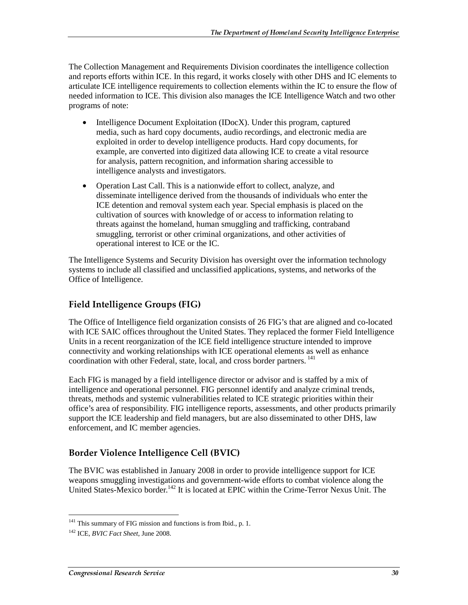The Collection Management and Requirements Division coordinates the intelligence collection and reports efforts within ICE. In this regard, it works closely with other DHS and IC elements to articulate ICE intelligence requirements to collection elements within the IC to ensure the flow of needed information to ICE. This division also manages the ICE Intelligence Watch and two other programs of note:

- Intelligence Document Exploitation (IDocX). Under this program, captured media, such as hard copy documents, audio recordings, and electronic media are exploited in order to develop intelligence products. Hard copy documents, for example, are converted into digitized data allowing ICE to create a vital resource for analysis, pattern recognition, and information sharing accessible to intelligence analysts and investigators.
- Operation Last Call. This is a nationwide effort to collect, analyze, and disseminate intelligence derived from the thousands of individuals who enter the ICE detention and removal system each year. Special emphasis is placed on the cultivation of sources with knowledge of or access to information relating to threats against the homeland, human smuggling and trafficking, contraband smuggling, terrorist or other criminal organizations, and other activities of operational interest to ICE or the IC.

The Intelligence Systems and Security Division has oversight over the information technology systems to include all classified and unclassified applications, systems, and networks of the Office of Intelligence.

## Field Intelligence Groups (FIG)

The Office of Intelligence field organization consists of 26 FIG's that are aligned and co-located with ICE SAIC offices throughout the United States. They replaced the former Field Intelligence Units in a recent reorganization of the ICE field intelligence structure intended to improve connectivity and working relationships with ICE operational elements as well as enhance coordination with other Federal, state, local, and cross border partners.<sup>141</sup>

Each FIG is managed by a field intelligence director or advisor and is staffed by a mix of intelligence and operational personnel. FIG personnel identify and analyze criminal trends, threats, methods and systemic vulnerabilities related to ICE strategic priorities within their office's area of responsibility. FIG intelligence reports, assessments, and other products primarily support the ICE leadership and field managers, but are also disseminated to other DHS, law enforcement, and IC member agencies.

## Border Violence Intelligence Cell (BVIC)

The BVIC was established in January 2008 in order to provide intelligence support for ICE weapons smuggling investigations and government-wide efforts to combat violence along the United States-Mexico border.<sup>142</sup> It is located at EPIC within the Crime-Terror Nexus Unit. The

 $\overline{a}$ <sup>141</sup> This summary of FIG mission and functions is from Ibid., p. 1.

<sup>142</sup> ICE, *BVIC Fact Sheet*, June 2008.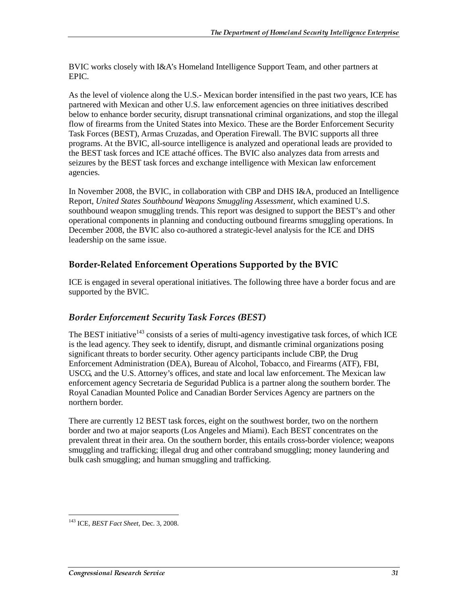BVIC works closely with I&A's Homeland Intelligence Support Team, and other partners at EPIC.

As the level of violence along the U.S.- Mexican border intensified in the past two years, ICE has partnered with Mexican and other U.S. law enforcement agencies on three initiatives described below to enhance border security, disrupt transnational criminal organizations, and stop the illegal flow of firearms from the United States into Mexico. These are the Border Enforcement Security Task Forces (BEST), Armas Cruzadas, and Operation Firewall. The BVIC supports all three programs. At the BVIC, all-source intelligence is analyzed and operational leads are provided to the BEST task forces and ICE attaché offices. The BVIC also analyzes data from arrests and seizures by the BEST task forces and exchange intelligence with Mexican law enforcement agencies.

In November 2008, the BVIC, in collaboration with CBP and DHS I&A, produced an Intelligence Report, *United States Southbound Weapons Smuggling Assessment*, which examined U.S. southbound weapon smuggling trends. This report was designed to support the BEST's and other operational components in planning and conducting outbound firearms smuggling operations. In December 2008, the BVIC also co-authored a strategic-level analysis for the ICE and DHS leadership on the same issue.

## Border-Related Enforcement Operations Supported by the BVIC

ICE is engaged in several operational initiatives. The following three have a border focus and are supported by the BVIC.

### Border Enforcement Security Task Forces (BEST)

The BEST initiative<sup>143</sup> consists of a series of multi-agency investigative task forces, of which ICE is the lead agency. They seek to identify, disrupt, and dismantle criminal organizations posing significant threats to border security. Other agency participants include CBP, the Drug Enforcement Administration (DEA), Bureau of Alcohol, Tobacco, and Firearms (ATF), FBI, USCG, and the U.S. Attorney's offices, and state and local law enforcement. The Mexican law enforcement agency Secretaria de Seguridad Publica is a partner along the southern border. The Royal Canadian Mounted Police and Canadian Border Services Agency are partners on the northern border.

There are currently 12 BEST task forces, eight on the southwest border, two on the northern border and two at major seaports (Los Angeles and Miami). Each BEST concentrates on the prevalent threat in their area. On the southern border, this entails cross-border violence; weapons smuggling and trafficking; illegal drug and other contraband smuggling; money laundering and bulk cash smuggling; and human smuggling and trafficking.

 $\overline{a}$ 143 ICE, *BEST Fact Sheet,* Dec. 3, 2008.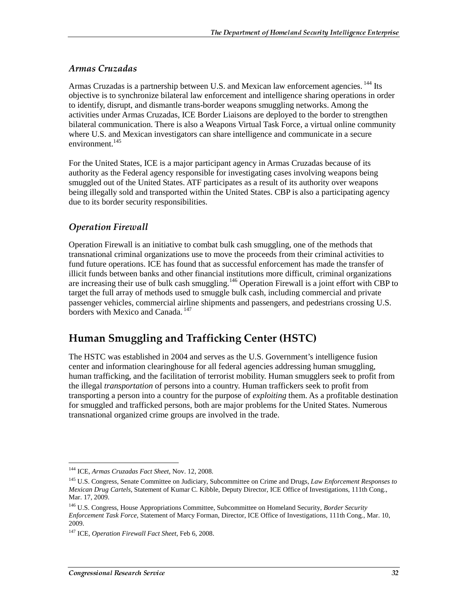#### Armas Cruzadas

Armas Cruzadas is a partnership between U.S. and Mexican law enforcement agencies. <sup>144</sup> Its objective is to synchronize bilateral law enforcement and intelligence sharing operations in order to identify, disrupt, and dismantle trans-border weapons smuggling networks. Among the activities under Armas Cruzadas, ICE Border Liaisons are deployed to the border to strengthen bilateral communication. There is also a Weapons Virtual Task Force, a virtual online community where U.S. and Mexican investigators can share intelligence and communicate in a secure environment.<sup>145</sup>

For the United States, ICE is a major participant agency in Armas Cruzadas because of its authority as the Federal agency responsible for investigating cases involving weapons being smuggled out of the United States. ATF participates as a result of its authority over weapons being illegally sold and transported within the United States. CBP is also a participating agency due to its border security responsibilities.

### Operation Firewall

Operation Firewall is an initiative to combat bulk cash smuggling, one of the methods that transnational criminal organizations use to move the proceeds from their criminal activities to fund future operations. ICE has found that as successful enforcement has made the transfer of illicit funds between banks and other financial institutions more difficult, criminal organizations are increasing their use of bulk cash smuggling.<sup>146</sup> Operation Firewall is a joint effort with CBP to target the full array of methods used to smuggle bulk cash, including commercial and private passenger vehicles, commercial airline shipments and passengers, and pedestrians crossing U.S. borders with Mexico and Canada. 147

## Human Smuggling and Trafficking Center (HSTC)

The HSTC was established in 2004 and serves as the U.S. Government's intelligence fusion center and information clearinghouse for all federal agencies addressing human smuggling, human trafficking, and the facilitation of terrorist mobility. Human smugglers seek to profit from the illegal *transportation* of persons into a country. Human traffickers seek to profit from transporting a person into a country for the purpose of *exploiting* them. As a profitable destination for smuggled and trafficked persons, both are major problems for the United States. Numerous transnational organized crime groups are involved in the trade.

 $\overline{a}$ 144 ICE, *Armas Cruzadas Fact Sheet*, Nov. 12, 2008.

<sup>145</sup> U.S. Congress, Senate Committee on Judiciary, Subcommittee on Crime and Drugs, *Law Enforcement Responses to Mexican Drug Cartels*, Statement of Kumar C. Kibble, Deputy Director, ICE Office of Investigations, 111th Cong., Mar. 17, 2009.

<sup>146</sup> U.S. Congress, House Appropriations Committee, Subcommittee on Homeland Security, *Border Security Enforcement Task Force,* Statement of Marcy Forman, Director, ICE Office of Investigations, 111th Cong., Mar. 10, 2009.

<sup>147</sup> ICE*, Operation Firewall Fact Sheet*, Feb 6, 2008.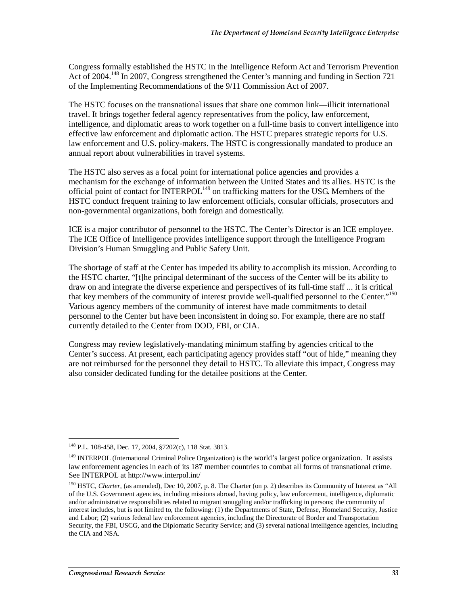Congress formally established the HSTC in the Intelligence Reform Act and Terrorism Prevention Act of 2004.<sup>148</sup> In 2007, Congress strengthened the Center's manning and funding in Section 721 of the Implementing Recommendations of the 9/11 Commission Act of 2007*.*

The HSTC focuses on the transnational issues that share one common link—illicit international travel. It brings together federal agency representatives from the policy, law enforcement, intelligence, and diplomatic areas to work together on a full-time basis to convert intelligence into effective law enforcement and diplomatic action. The HSTC prepares strategic reports for U.S. law enforcement and U.S. policy-makers. The HSTC is congressionally mandated to produce an annual report about vulnerabilities in travel systems.

The HSTC also serves as a focal point for international police agencies and provides a mechanism for the exchange of information between the United States and its allies. HSTC is the official point of contact for  $\text{INTERPOL}^{149}$  on trafficking matters for the USG. Members of the HSTC conduct frequent training to law enforcement officials, consular officials, prosecutors and non-governmental organizations, both foreign and domestically.

ICE is a major contributor of personnel to the HSTC. The Center's Director is an ICE employee. The ICE Office of Intelligence provides intelligence support through the Intelligence Program Division's Human Smuggling and Public Safety Unit.

The shortage of staff at the Center has impeded its ability to accomplish its mission. According to the HSTC charter, "[t]he principal determinant of the success of the Center will be its ability to draw on and integrate the diverse experience and perspectives of its full-time staff ... it is critical that key members of the community of interest provide well-qualified personnel to the Center."150 Various agency members of the community of interest have made commitments to detail personnel to the Center but have been inconsistent in doing so. For example, there are no staff currently detailed to the Center from DOD, FBI, or CIA.

Congress may review legislatively-mandating minimum staffing by agencies critical to the Center's success. At present, each participating agency provides staff "out of hide," meaning they are not reimbursed for the personnel they detail to HSTC. To alleviate this impact, Congress may also consider dedicated funding for the detailee positions at the Center.

 $\overline{a}$ 148 P.L. 108-458, Dec. 17, 2004, §7202(c), 118 Stat. 3813.

<sup>&</sup>lt;sup>149</sup> INTERPOL (International Criminal Police Organization) is the world's largest police organization. It assists law enforcement agencies in each of its 187 member countries to combat all forms of transnational crime. See INTERPOL at http://www.interpol.int/

<sup>&</sup>lt;sup>150</sup> HSTC, *Charter*, (as amended), Dec 10, 2007, p. 8. The Charter (on p. 2) describes its Community of Interest as "All of the U.S. Government agencies, including missions abroad, having policy, law enforcement, intelligence, diplomatic and/or administrative responsibilities related to migrant smuggling and/or trafficking in persons; the community of interest includes, but is not limited to, the following: (1) the Departments of State, Defense, Homeland Security, Justice and Labor; (2) various federal law enforcement agencies, including the Directorate of Border and Transportation Security, the FBI, USCG, and the Diplomatic Security Service; and (3) several national intelligence agencies, including the CIA and NSA.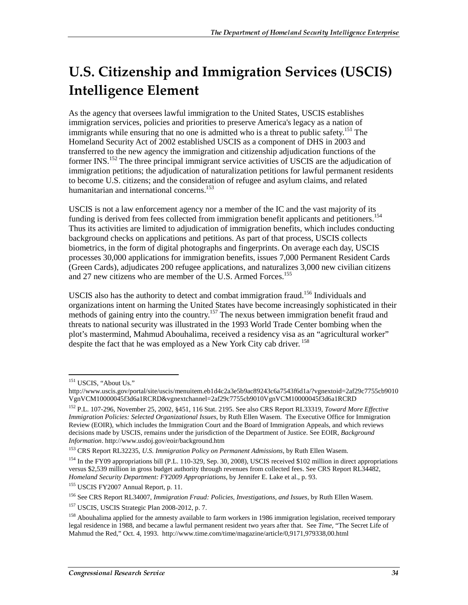## U.S. Citizenship and Immigration Services (USCIS) **Intelligence Element**

As the agency that oversees lawful immigration to the United States, USCIS establishes immigration services, policies and priorities to preserve America's legacy as a nation of immigrants while ensuring that no one is admitted who is a threat to public safety.<sup>151</sup> The Homeland Security Act of 2002 established USCIS as a component of DHS in 2003 and transferred to the new agency the immigration and citizenship adjudication functions of the former INS.<sup>152</sup> The three principal immigrant service activities of USCIS are the adjudication of immigration petitions; the adjudication of naturalization petitions for lawful permanent residents to become U.S. citizens; and the consideration of refugee and asylum claims, and related humanitarian and international concerns.<sup>153</sup>

USCIS is not a law enforcement agency nor a member of the IC and the vast majority of its funding is derived from fees collected from immigration benefit applicants and petitioners.<sup>154</sup> Thus its activities are limited to adjudication of immigration benefits, which includes conducting background checks on applications and petitions. As part of that process, USCIS collects biometrics, in the form of digital photographs and fingerprints. On average each day, USCIS processes 30,000 applications for immigration benefits, issues 7,000 Permanent Resident Cards (Green Cards), adjudicates 200 refugee applications, and naturalizes 3,000 new civilian citizens and 27 new citizens who are member of the U.S. Armed Forces.<sup>155</sup>

USCIS also has the authority to detect and combat immigration fraud.156 Individuals and organizations intent on harming the United States have become increasingly sophisticated in their methods of gaining entry into the country.<sup>157</sup> The nexus between immigration benefit fraud and threats to national security was illustrated in the 1993 World Trade Center bombing when the plot's mastermind, Mahmud Abouhalima, received a residency visa as an "agricultural worker" despite the fact that he was employed as a New York City cab driver. <sup>158</sup>

 $\overline{a}$ <sup>151</sup> USCIS, "About Us."

http://www.uscis.gov/portal/site/uscis/menuitem.eb1d4c2a3e5b9ac89243c6a7543f6d1a/?vgnextoid=2af29c7755cb9010 VgnVCM10000045f3d6a1RCRD&vgnextchannel=2af29c7755cb9010VgnVCM10000045f3d6a1RCRD

<sup>152</sup> P.L. 107-296, November 25, 2002, §451, 116 Stat. 2195. See also CRS Report RL33319, *Toward More Effective Immigration Policies: Selected Organizational Issues*, by Ruth Ellen Wasem. The Executive Office for Immigration Review (EOIR), which includes the Immigration Court and the Board of Immigration Appeals, and which reviews decisions made by USCIS, remains under the jurisdiction of the Department of Justice. See EOIR, *Background Information*. http://www.usdoj.gov/eoir/background.htm

<sup>153</sup> CRS Report RL32235, *U.S. Immigration Policy on Permanent Admissions*, by Ruth Ellen Wasem.

<sup>&</sup>lt;sup>154</sup> In the FY09 appropriations bill (P.L. 110-329, Sep. 30, 2008), USCIS received \$102 million in direct appropriations versus \$2,539 million in gross budget authority through revenues from collected fees. See CRS Report RL34482, *Homeland Security Department: FY2009 Appropriations*, by Jennifer E. Lake et al., p. 93.

<sup>155</sup> USCIS FY2007 Annual Report, p. 11.

<sup>156</sup> See CRS Report RL34007, *Immigration Fraud: Policies, Investigations, and Issues*, by Ruth Ellen Wasem.

<sup>&</sup>lt;sup>157</sup> USCIS, USCIS Strategic Plan 2008-2012, p. 7.

<sup>&</sup>lt;sup>158</sup> Abouhalima applied for the amnesty available to farm workers in 1986 immigration legislation, received temporary legal residence in 1988, and became a lawful permanent resident two years after that. See *Time,* "The Secret Life of Mahmud the Red," Oct. 4, 1993. http://www.time.com/time/magazine/article/0,9171,979338,00.html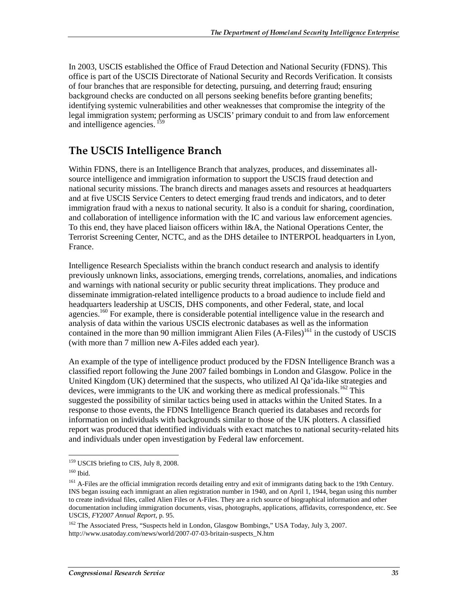In 2003, USCIS established the Office of Fraud Detection and National Security (FDNS). This office is part of the USCIS Directorate of National Security and Records Verification. It consists of four branches that are responsible for detecting, pursuing, and deterring fraud; ensuring background checks are conducted on all persons seeking benefits before granting benefits; identifying systemic vulnerabilities and other weaknesses that compromise the integrity of the legal immigration system; performing as USCIS' primary conduit to and from law enforcement and intelligence agencies. <sup>159</sup>

## The USCIS Intelligence Branch

Within FDNS, there is an Intelligence Branch that analyzes, produces, and disseminates allsource intelligence and immigration information to support the USCIS fraud detection and national security missions. The branch directs and manages assets and resources at headquarters and at five USCIS Service Centers to detect emerging fraud trends and indicators, and to deter immigration fraud with a nexus to national security. It also is a conduit for sharing, coordination, and collaboration of intelligence information with the IC and various law enforcement agencies. To this end, they have placed liaison officers within I&A, the National Operations Center, the Terrorist Screening Center, NCTC, and as the DHS detailee to INTERPOL headquarters in Lyon, France.

Intelligence Research Specialists within the branch conduct research and analysis to identify previously unknown links, associations, emerging trends, correlations, anomalies, and indications and warnings with national security or public security threat implications. They produce and disseminate immigration-related intelligence products to a broad audience to include field and headquarters leadership at USCIS, DHS components, and other Federal, state, and local agencies.<sup>160</sup> For example, there is considerable potential intelligence value in the research and analysis of data within the various USCIS electronic databases as well as the information contained in the more than 90 million immigrant Alien Files (A-Files)<sup>161</sup> in the custody of USCIS (with more than 7 million new A-Files added each year).

An example of the type of intelligence product produced by the FDSN Intelligence Branch was a classified report following the June 2007 failed bombings in London and Glasgow. Police in the United Kingdom (UK) determined that the suspects, who utilized Al Qa'ida-like strategies and devices, were immigrants to the UK and working there as medical professionals.<sup>162</sup> This suggested the possibility of similar tactics being used in attacks within the United States. In a response to those events, the FDNS Intelligence Branch queried its databases and records for information on individuals with backgrounds similar to those of the UK plotters. A classified report was produced that identified individuals with exact matches to national security-related hits and individuals under open investigation by Federal law enforcement.

<sup>162</sup> The Associated Press, "Suspects held in London, Glasgow Bombings," USA Today, July 3, 2007. http://www.usatoday.com/news/world/2007-07-03-britain-suspects\_N.htm

 $\overline{a}$ <sup>159</sup> USCIS briefing to CIS, July 8, 2008.

<sup>160</sup> Ibid.

<sup>&</sup>lt;sup>161</sup> A-Files are the official immigration records detailing entry and exit of immigrants dating back to the 19th Century. INS began issuing each immigrant an alien registration number in 1940, and on April 1, 1944, began using this number to create individual files, called Alien Files or A-Files. They are a rich source of biographical information and other documentation including immigration documents, visas, photographs, applications, affidavits, correspondence, etc. See USCIS, *FY2007 Annual Report*, p. 95.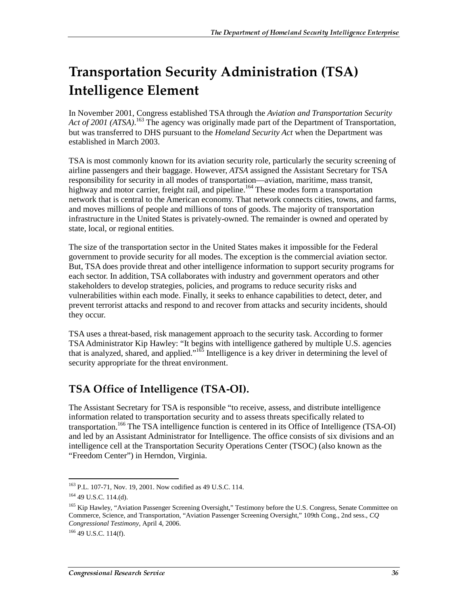## Transportation Security Administration (TSA)  $^{\,}$ **Intelligence Element**

In November 2001, Congress established TSA through the *Aviation and Transportation Security*  Act of 2001 (ATSA).<sup>163</sup> The agency was originally made part of the Department of Transportation, but was transferred to DHS pursuant to the *Homeland Security Act* when the Department was established in March 2003.

TSA is most commonly known for its aviation security role, particularly the security screening of airline passengers and their baggage. However, *ATSA* assigned the Assistant Secretary for TSA responsibility for security in all modes of transportation—aviation, maritime, mass transit, highway and motor carrier, freight rail, and pipeline.<sup>164</sup> These modes form a transportation network that is central to the American economy. That network connects cities, towns, and farms, and moves millions of people and millions of tons of goods. The majority of transportation infrastructure in the United States is privately-owned. The remainder is owned and operated by state, local, or regional entities.

The size of the transportation sector in the United States makes it impossible for the Federal government to provide security for all modes. The exception is the commercial aviation sector. But, TSA does provide threat and other intelligence information to support security programs for each sector. In addition, TSA collaborates with industry and government operators and other stakeholders to develop strategies, policies, and programs to reduce security risks and vulnerabilities within each mode. Finally, it seeks to enhance capabilities to detect, deter, and prevent terrorist attacks and respond to and recover from attacks and security incidents, should they occur.

TSA uses a threat-based, risk management approach to the security task. According to former TSA Administrator Kip Hawley: "It begins with intelligence gathered by multiple U.S. agencies that is analyzed, shared, and applied."165 Intelligence is a key driver in determining the level of security appropriate for the threat environment.

## TSA Office of Intelligence (TSA-OI).

The Assistant Secretary for TSA is responsible "to receive, assess, and distribute intelligence information related to transportation security and to assess threats specifically related to transportation.<sup>166</sup> The TSA intelligence function is centered in its Office of Intelligence (TSA-OI) and led by an Assistant Administrator for Intelligence. The office consists of six divisions and an intelligence cell at the Transportation Security Operations Center (TSOC) (also known as the "Freedom Center") in Herndon, Virginia.

 $\overline{a}$ <sup>163</sup> P.L. 107-71, Nov. 19, 2001. Now codified as 49 U.S.C. 114.

<sup>164 49</sup> U.S.C. 114.(d).

<sup>&</sup>lt;sup>165</sup> Kip Hawley, "Aviation Passenger Screening Oversight," Testimony before the U.S. Congress, Senate Committee on Commerce, Science, and Transportation, "Aviation Passenger Screening Oversight," 109th Cong., 2nd sess., *CQ Congressional Testimony,* April 4, 2006.

 $166$  49 U.S.C. 114(f).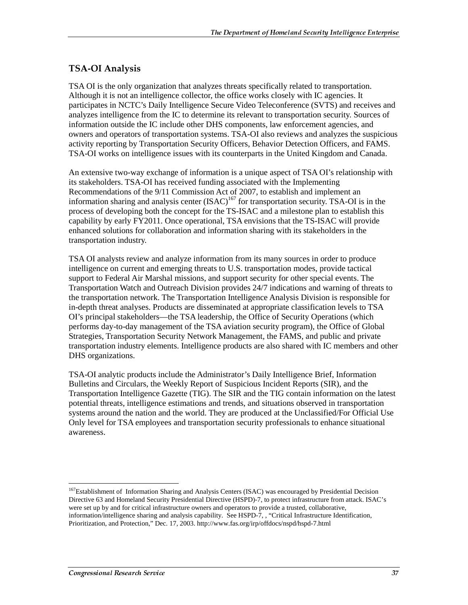#### TSA-OI Analysis

TSA OI is the only organization that analyzes threats specifically related to transportation. Although it is not an intelligence collector, the office works closely with IC agencies. It participates in NCTC's Daily Intelligence Secure Video Teleconference (SVTS) and receives and analyzes intelligence from the IC to determine its relevant to transportation security. Sources of information outside the IC include other DHS components, law enforcement agencies, and owners and operators of transportation systems. TSA-OI also reviews and analyzes the suspicious activity reporting by Transportation Security Officers, Behavior Detection Officers, and FAMS. TSA-OI works on intelligence issues with its counterparts in the United Kingdom and Canada.

An extensive two-way exchange of information is a unique aspect of TSA OI's relationship with its stakeholders. TSA-OI has received funding associated with the Implementing Recommendations of the 9/11 Commission Act of 2007, to establish and implement an information sharing and analysis center  $(ISAC)^{167}$  for transportation security. TSA-OI is in the process of developing both the concept for the TS-ISAC and a milestone plan to establish this capability by early FY2011. Once operational, TSA envisions that the TS-ISAC will provide enhanced solutions for collaboration and information sharing with its stakeholders in the transportation industry.

TSA OI analysts review and analyze information from its many sources in order to produce intelligence on current and emerging threats to U.S. transportation modes, provide tactical support to Federal Air Marshal missions, and support security for other special events. The Transportation Watch and Outreach Division provides 24/7 indications and warning of threats to the transportation network. The Transportation Intelligence Analysis Division is responsible for in-depth threat analyses. Products are disseminated at appropriate classification levels to TSA OI's principal stakeholders—the TSA leadership, the Office of Security Operations (which performs day-to-day management of the TSA aviation security program), the Office of Global Strategies, Transportation Security Network Management, the FAMS, and public and private transportation industry elements. Intelligence products are also shared with IC members and other DHS organizations.

TSA-OI analytic products include the Administrator's Daily Intelligence Brief, Information Bulletins and Circulars, the Weekly Report of Suspicious Incident Reports (SIR), and the Transportation Intelligence Gazette (TIG). The SIR and the TIG contain information on the latest potential threats, intelligence estimations and trends, and situations observed in transportation systems around the nation and the world. They are produced at the Unclassified/For Official Use Only level for TSA employees and transportation security professionals to enhance situational awareness.

 $\overline{a}$ <sup>167</sup>Establishment of Information Sharing and Analysis Centers (ISAC) was encouraged by Presidential Decision Directive 63 and Homeland Security Presidential Directive (HSPD)-7, to protect infrastructure from attack. ISAC's were set up by and for critical infrastructure owners and operators to provide a trusted, collaborative, information/intelligence sharing and analysis capability. See HSPD-7, , "Critical Infrastructure Identification, Prioritization, and Protection," Dec. 17, 2003. http://www.fas.org/irp/offdocs/nspd/hspd-7.html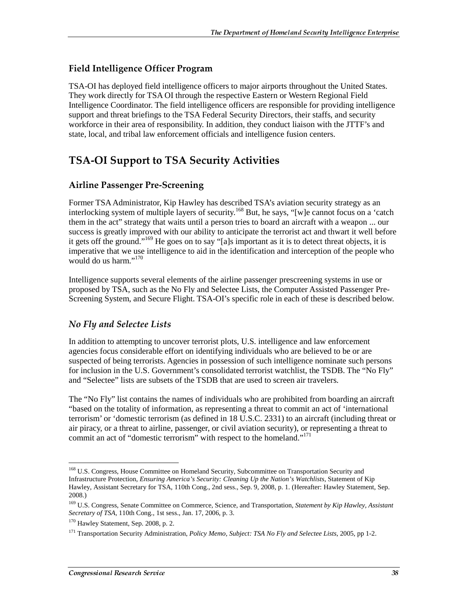### Field Intelligence Officer Program

TSA-OI has deployed field intelligence officers to major airports throughout the United States. They work directly for TSA OI through the respective Eastern or Western Regional Field Intelligence Coordinator. The field intelligence officers are responsible for providing intelligence support and threat briefings to the TSA Federal Security Directors, their staffs, and security workforce in their area of responsibility. In addition, they conduct liaison with the JTTF's and state, local, and tribal law enforcement officials and intelligence fusion centers.

## TSA-OI Support to TSA Security Activities

#### Airline Passenger Pre-Screening

Former TSA Administrator, Kip Hawley has described TSA's aviation security strategy as an interlocking system of multiple layers of security.168 But, he says, "[w]e cannot focus on a 'catch them in the act" strategy that waits until a person tries to board an aircraft with a weapon ... our success is greatly improved with our ability to anticipate the terrorist act and thwart it well before it gets off the ground."169 He goes on to say "[a]s important as it is to detect threat objects, it is imperative that we use intelligence to aid in the identification and interception of the people who would do us harm."<sup>170</sup>

Intelligence supports several elements of the airline passenger prescreening systems in use or proposed by TSA, such as the No Fly and Selectee Lists, the Computer Assisted Passenger Pre-Screening System, and Secure Flight. TSA-OI's specific role in each of these is described below.

### No Fly and Selectee Lists

In addition to attempting to uncover terrorist plots, U.S. intelligence and law enforcement agencies focus considerable effort on identifying individuals who are believed to be or are suspected of being terrorists. Agencies in possession of such intelligence nominate such persons for inclusion in the U.S. Government's consolidated terrorist watchlist, the TSDB. The "No Fly" and "Selectee" lists are subsets of the TSDB that are used to screen air travelers.

The "No Fly" list contains the names of individuals who are prohibited from boarding an aircraft "based on the totality of information, as representing a threat to commit an act of 'international terrorism' or 'domestic terrorism (as defined in 18 U.S.C. 2331) to an aircraft (including threat or air piracy, or a threat to airline, passenger, or civil aviation security), or representing a threat to commit an act of "domestic terrorism" with respect to the homeland."<sup>171</sup>

 $\overline{a}$ <sup>168</sup> U.S. Congress, House Committee on Homeland Security, Subcommittee on Transportation Security and Infrastructure Protection, *Ensuring America's Security: Cleaning Up the Nation's Watchlists*, Statement of Kip Hawley, Assistant Secretary for TSA, 110th Cong., 2nd sess., Sep. 9, 2008, p. 1. (Hereafter: Hawley Statement, Sep. 2008.)

<sup>169</sup> U.S. Congress, Senate Committee on Commerce, Science, and Transportation, *Statement by Kip Hawley, Assistant Secretary of TSA*, 110th Cong., 1st sess., Jan. 17, 2006, p. 3.

<sup>&</sup>lt;sup>170</sup> Hawley Statement, Sep. 2008, p. 2.

<sup>171</sup> Transportation Security Administration, *Policy Memo, Subject: TSA No Fly and Selectee Lists*, 2005, pp 1-2.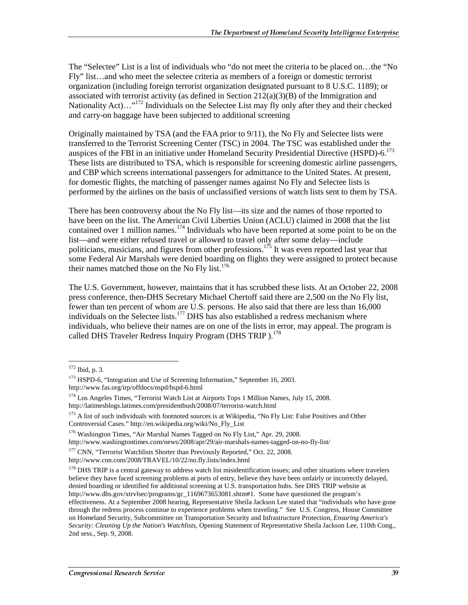The "Selectee" List is a list of individuals who "do not meet the criteria to be placed on…the "No Fly" list…and who meet the selectee criteria as members of a foreign or domestic terrorist organization (including foreign terrorist organization designated pursuant to 8 U.S.C. 1189); or associated with terrorist activity (as defined in Section  $212(a)(3)(B)$  of the Immigration and Nationality Act)…"<sup>172</sup> Individuals on the Selectee List may fly only after they and their checked and carry-on baggage have been subjected to additional screening

Originally maintained by TSA (and the FAA prior to 9/11), the No Fly and Selectee lists were transferred to the Terrorist Screening Center (TSC) in 2004. The TSC was established under the auspices of the FBI in an initiative under Homeland Security Presidential Directive (HSPD)-6.<sup>173</sup> These lists are distributed to TSA, which is responsible for screening domestic airline passengers, and CBP which screens international passengers for admittance to the United States. At present, for domestic flights, the matching of passenger names against No Fly and Selectee lists is performed by the airlines on the basis of unclassified versions of watch lists sent to them by TSA.

There has been controversy about the No Fly list—its size and the names of those reported to have been on the list. The American Civil Liberties Union (ACLU) claimed in 2008 that the list contained over 1 million names.<sup>174</sup> Individuals who have been reported at some point to be on the list—and were either refused travel or allowed to travel only after some delay—include politicians, musicians, and figures from other professions.<sup>175</sup> It was even reported last year that some Federal Air Marshals were denied boarding on flights they were assigned to protect because their names matched those on the No Fly list. $176$ 

The U.S. Government, however, maintains that it has scrubbed these lists. At an October 22, 2008 press conference, then-DHS Secretary Michael Chertoff said there are 2,500 on the No Fly list, fewer than ten percent of whom are U.S. persons. He also said that there are less than 16,000 individuals on the Selectee lists.<sup>177</sup> DHS has also established a redress mechanism where individuals, who believe their names are on one of the lists in error, may appeal. The program is called DHS Traveler Redress Inquiry Program (DHS TRIP).<sup>178</sup>

 $\overline{a}$ 

http://www.washingtontimes.com/news/2008/apr/29/air-marshals-names-tagged-on-no-fly-list/

<sup>177</sup> CNN. "Terrorist Watchlists Shorter than Previously Reported," Oct. 22, 2008.

 $172$  Ibid, p. 3.

<sup>&</sup>lt;sup>173</sup> HSPD-6, "Integration and Use of Screening Information," September 16, 2003. http://www.fas.org/irp/offdocs/nspd/hspd-6.html

<sup>174</sup> Los Angeles Times, "Terrorist Watch List at Airports Tops 1 Million Names, July 15, 2008. http://latimesblogs.latimes.com/presidentbush/2008/07/terrorist-watch.html

<sup>&</sup>lt;sup>175</sup> A list of such individuals with footnoted sources is at Wikipedia, "No Fly List: False Positives and Other Controversial Cases." http://en.wikipedia.org/wiki/No\_Fly\_List

<sup>176</sup> Washington Times, "Air Marshal Names Tagged on No Fly List," Apr. 29, 2008.

http://www.cnn.com/2008/TRAVEL/10/22/no.fly.lists/index.html

 $178$  DHS TRIP is a central gateway to address watch list misidentification issues; and other situations where travelers believe they have faced screening problems at ports of entry, believe they have been unfairly or incorrectly delayed, denied boarding or identified for additional screening at U.S. transportation hubs. See DHS TRIP website at http://www.dhs.gov/xtrvlsec/programs/gc\_1169673653081.shtm#1. Some have questioned the program's effectiveness. At a September 2008 hearing, Representative Sheila Jackson Lee stated that "individuals who have gone through the redress process continue to experience problems when traveling." See U.S. Congress, House Committee on Homeland Security, Subcommittee on Transportation Security and Infrastructure Protection, *Ensuring America's Security: Cleaning Up the Nation's Watchlists*, Opening Statement of Representative Sheila Jackson Lee, 110th Cong., 2nd sess., Sep. 9, 2008.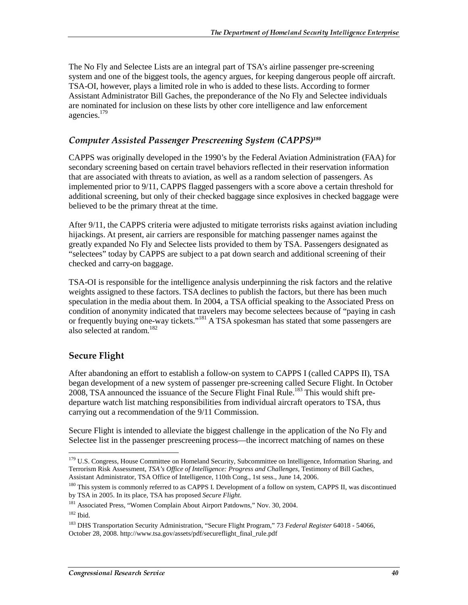The No Fly and Selectee Lists are an integral part of TSA's airline passenger pre-screening system and one of the biggest tools, the agency argues, for keeping dangerous people off aircraft. TSA-OI, however, plays a limited role in who is added to these lists. According to former Assistant Administrator Bill Gaches, the preponderance of the No Fly and Selectee individuals are nominated for inclusion on these lists by other core intelligence and law enforcement agencies.179

### Computer Assisted Passenger Prescreening System (CAPPS)180

CAPPS was originally developed in the 1990's by the Federal Aviation Administration (FAA) for secondary screening based on certain travel behaviors reflected in their reservation information that are associated with threats to aviation, as well as a random selection of passengers. As implemented prior to 9/11, CAPPS flagged passengers with a score above a certain threshold for additional screening, but only of their checked baggage since explosives in checked baggage were believed to be the primary threat at the time.

After 9/11, the CAPPS criteria were adjusted to mitigate terrorists risks against aviation including hijackings. At present, air carriers are responsible for matching passenger names against the greatly expanded No Fly and Selectee lists provided to them by TSA. Passengers designated as "selectees" today by CAPPS are subject to a pat down search and additional screening of their checked and carry-on baggage.

TSA-OI is responsible for the intelligence analysis underpinning the risk factors and the relative weights assigned to these factors. TSA declines to publish the factors, but there has been much speculation in the media about them. In 2004, a TSA official speaking to the Associated Press on condition of anonymity indicated that travelers may become selectees because of "paying in cash or frequently buying one-way tickets."<sup>181</sup> A TSA spokesman has stated that some passengers are also selected at random.<sup>182</sup>

## Secure Flight

After abandoning an effort to establish a follow-on system to CAPPS I (called CAPPS II), TSA began development of a new system of passenger pre-screening called Secure Flight. In October 2008, TSA announced the issuance of the Secure Flight Final Rule.<sup>183</sup> This would shift predeparture watch list matching responsibilities from individual aircraft operators to TSA, thus carrying out a recommendation of the 9/11 Commission.

Secure Flight is intended to alleviate the biggest challenge in the application of the No Fly and Selectee list in the passenger prescreening process—the incorrect matching of names on these

<sup>&</sup>lt;sup>179</sup> U.S. Congress, House Committee on Homeland Security, Subcommittee on Intelligence, Information Sharing, and Terrorism Risk Assessment, *TSA's Office of Intelligence: Progress and Challenges*, Testimony of Bill Gaches, Assistant Administrator, TSA Office of Intelligence, 110th Cong., 1st sess., June 14, 2006.

<sup>&</sup>lt;sup>180</sup> This system is commonly referred to as CAPPS I. Development of a follow on system, CAPPS II, was discontinued by TSA in 2005. In its place, TSA has proposed *Secure Flight*.

<sup>&</sup>lt;sup>181</sup> Associated Press, "Women Complain About Airport Patdowns," Nov. 30, 2004.

<sup>182</sup> Ibid.

<sup>183</sup> DHS Transportation Security Administration, "Secure Flight Program," 73 *Federal Register* 64018 - 54066, October 28, 2008. http://www.tsa.gov/assets/pdf/secureflight\_final\_rule.pdf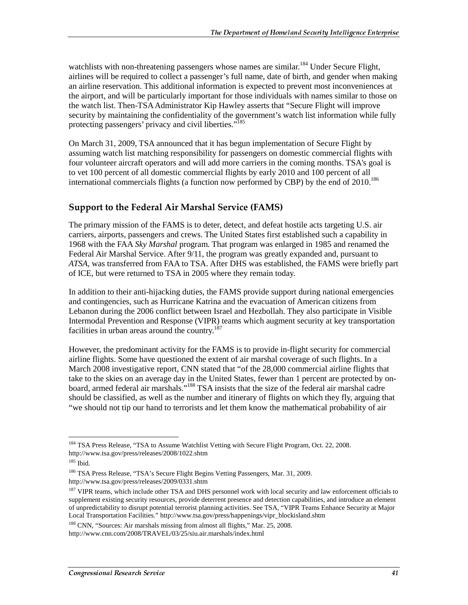watchlists with non-threatening passengers whose names are similar.<sup>184</sup> Under Secure Flight, airlines will be required to collect a passenger's full name, date of birth, and gender when making an airline reservation. This additional information is expected to prevent most inconveniences at the airport, and will be particularly important for those individuals with names similar to those on the watch list. Then-TSA Administrator Kip Hawley asserts that "Secure Flight will improve security by maintaining the confidentiality of the government's watch list information while fully protecting passengers' privacy and civil liberties."<sup>185</sup>

On March 31, 2009, TSA announced that it has begun implementation of Secure Flight by assuming watch list matching responsibility for passengers on domestic commercial flights with four volunteer aircraft operators and will add more carriers in the coming months. TSA's goal is to vet 100 percent of all domestic commercial flights by early 2010 and 100 percent of all international commercials flights (a function now performed by CBP) by the end of 2010.186

#### Support to the Federal Air Marshal Service (FAMS)

The primary mission of the FAMS is to deter, detect, and defeat hostile acts targeting U.S. air carriers, airports, passengers and crews. The United States first established such a capability in 1968 with the FAA *Sky Marshal* program. That program was enlarged in 1985 and renamed the Federal Air Marshal Service. After 9/11, the program was greatly expanded and, pursuant to *ATSA,* was transferred from FAA to TSA. After DHS was established, the FAMS were briefly part of ICE, but were returned to TSA in 2005 where they remain today.

In addition to their anti-hijacking duties, the FAMS provide support during national emergencies and contingencies, such as Hurricane Katrina and the evacuation of American citizens from Lebanon during the 2006 conflict between Israel and Hezbollah. They also participate in Visible Intermodal Prevention and Response (VIPR) teams which augment security at key transportation facilities in urban areas around the country.<sup>187</sup>

However, the predominant activity for the FAMS is to provide in-flight security for commercial airline flights. Some have questioned the extent of air marshal coverage of such flights. In a March 2008 investigative report, CNN stated that "of the 28,000 commercial airline flights that take to the skies on an average day in the United States, fewer than 1 percent are protected by onboard, armed federal air marshals."<sup>188</sup> TSA insists that the size of the federal air marshal cadre should be classified, as well as the number and itinerary of flights on which they fly, arguing that "we should not tip our hand to terrorists and let them know the mathematical probability of air

<sup>188</sup> CNN, "Sources: Air marshals missing from almost all flights," Mar. 25, 2008.

 $\overline{a}$ <sup>184</sup> TSA Press Release, "TSA to Assume Watchlist Vetting with Secure Flight Program, Oct. 22, 2008. http://www.tsa.gov/press/releases/2008/1022.shtm

 $185$  Ibid.

<sup>186</sup> TSA Press Release, "TSA's Secure Flight Begins Vetting Passengers, Mar. 31, 2009. http://www.tsa.gov/press/releases/2009/0331.shtm

<sup>&</sup>lt;sup>187</sup> VIPR teams, which include other TSA and DHS personnel work with local security and law enforcement officials to supplement existing security resources, provide deterrent presence and detection capabilities, and introduce an element of unpredictability to disrupt potential terrorist planning activities. See TSA, "VIPR Teams Enhance Security at Major Local Transportation Facilities." http://www.tsa.gov/press/happenings/vipr\_blockisland.shtm

http://www.cnn.com/2008/TRAVEL/03/25/siu.air.marshals/index.html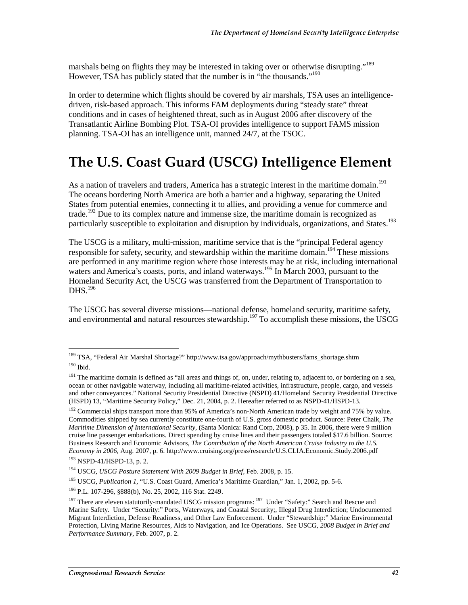marshals being on flights they may be interested in taking over or otherwise disrupting."<sup>189</sup> However, TSA has publicly stated that the number is in "the thousands."<sup>190</sup>

In order to determine which flights should be covered by air marshals, TSA uses an intelligencedriven, risk-based approach. This informs FAM deployments during "steady state" threat conditions and in cases of heightened threat, such as in August 2006 after discovery of the Transatlantic Airline Bombing Plot. TSA-OI provides intelligence to support FAMS mission planning. TSA-OI has an intelligence unit, manned 24/7, at the TSOC.

## The U.S. Coast Guard (USCG) Intelligence Element

As a nation of travelers and traders, America has a strategic interest in the maritime domain.<sup>191</sup> The oceans bordering North America are both a barrier and a highway, separating the United States from potential enemies, connecting it to allies, and providing a venue for commerce and trade.<sup>192</sup> Due to its complex nature and immense size, the maritime domain is recognized as particularly susceptible to exploitation and disruption by individuals, organizations, and States.<sup>193</sup>

The USCG is a military, multi-mission, maritime service that is the "principal Federal agency responsible for safety, security, and stewardship within the maritime domain.<sup>194</sup> These missions are performed in any maritime region where those interests may be at risk, including international waters and America's coasts, ports, and inland waterways.<sup>195</sup> In March 2003, pursuant to the Homeland Security Act*,* the USCG was transferred from the Department of Transportation to  $DHS.<sup>196</sup>$ 

The USCG has several diverse missions—national defense, homeland security, maritime safety, and environmental and natural resources stewardship.<sup>197</sup> To accomplish these missions, the USCG

 $\overline{a}$ 

<sup>192</sup> Commercial ships transport more than 95% of America's non-North American trade by weight and 75% by value. Commodities shipped by sea currently constitute one-fourth of U.S. gross domestic product. Source: Peter Chalk, *The Maritime Dimension of International Security,* (Santa Monica: Rand Corp, 2008), p 35. In 2006, there were 9 million cruise line passenger embarkations. Direct spending by cruise lines and their passengers totaled \$17.6 billion. Source: Business Research and Economic Advisors, *The Contribution of the North American Cruise Industry to the U.S. Economy in 2006,* Aug. 2007, p. 6. http://www.cruising.org/press/research/U.S.CLIA.Economic.Study.2006.pdf

<sup>&</sup>lt;sup>189</sup> TSA, "Federal Air Marshal Shortage?" http://www.tsa.gov/approach/mythbusters/fams\_shortage.shtm 190 Ibid.

<sup>&</sup>lt;sup>191</sup> The maritime domain is defined as "all areas and things of, on, under, relating to, adjacent to, or bordering on a sea, ocean or other navigable waterway, including all maritime-related activities, infrastructure, people, cargo, and vessels and other conveyances." National Security Presidential Directive (NSPD) 41/Homeland Security Presidential Directive (HSPD) 13, "Maritime Security Policy," Dec. 21, 2004, p. 2. Hereafter referred to as NSPD-41/HSPD-13.

<sup>193</sup> NSPD-41/HSPD-13, p. 2.

<sup>194</sup> USCG, *USCG Posture Statement With 2009 Budget in Brief,* Feb. 2008, p. 15.

<sup>195</sup> USCG, *Publication 1*, "U.S. Coast Guard, America's Maritime Guardian," Jan. 1, 2002, pp. 5-6.

<sup>196</sup> P.L. 107-296, §888(b), No. 25, 2002, 116 Stat. 2249.

 $197$  There are eleven statutorily-mandated USCG mission programs:  $197$  Under "Safety:" Search and Rescue and Marine Safety. Under "Security:" Ports, Waterways, and Coastal Security;, Illegal Drug Interdiction; Undocumented Migrant Interdiction, Defense Readiness, and Other Law Enforcement. Under "Stewardship:" Marine Environmental Protection, Living Marine Resources, Aids to Navigation, and Ice Operations. See USCG, *2008 Budget in Brief and Performance Summary*, Feb. 2007, p. 2.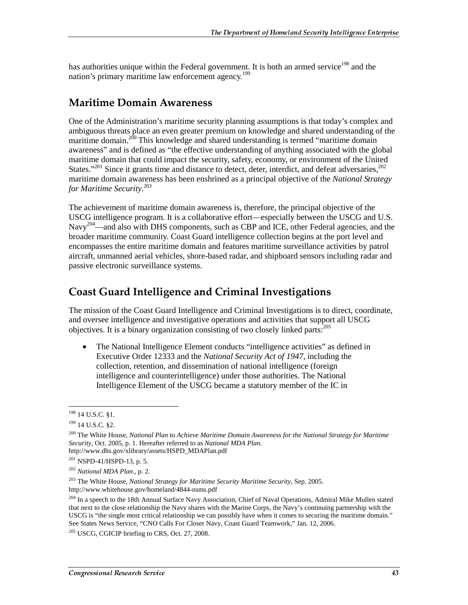has authorities unique within the Federal government. It is both an armed service<sup>198</sup> and the nation's primary maritime law enforcement agency.<sup>199</sup>

## **Maritime Domain Awareness**

One of the Administration's maritime security planning assumptions is that today's complex and ambiguous threats place an even greater premium on knowledge and shared understanding of the maritime domain.<sup>200</sup> This knowledge and shared understanding is termed "maritime domain awareness" and is defined as "the effective understanding of anything associated with the global maritime domain that could impact the security, safety, economy, or environment of the United States."<sup>201</sup> Since it grants time and distance to detect, deter, interdict, and defeat adversaries,  $202$ maritime domain awareness has been enshrined as a principal objective of the *National Strategy for Maritime Security*. 203

The achievement of maritime domain awareness is, therefore, the principal objective of the USCG intelligence program. It is a collaborative effort—especially between the USCG and U.S. Navy<sup>204</sup>—and also with DHS components, such as CBP and ICE, other Federal agencies, and the broader maritime community. Coast Guard intelligence collection begins at the port level and encompasses the entire maritime domain and features maritime surveillance activities by patrol aircraft, unmanned aerial vehicles, shore-based radar, and shipboard sensors including radar and passive electronic surveillance systems.

## **Coast Guard Intelligence and Criminal Investigations**

The mission of the Coast Guard Intelligence and Criminal Investigations is to direct, coordinate, and oversee intelligence and investigative operations and activities that support all USCG objectives. It is a binary organization consisting of two closely linked parts:<sup>205</sup>

• The National Intelligence Element conducts "intelligence activities" as defined in Executive Order 12333 and the *National Security Act of 1947*, including the collection, retention, and dissemination of national intelligence (foreign intelligence and counterintelligence) under those authorities. The National Intelligence Element of the USCG became a statutory member of the IC in

<sup>&</sup>lt;sup>198</sup> 14 U.S.C. §1.

<sup>&</sup>lt;sup>199</sup> 14 U.S.C. §2.

<sup>200</sup> The White House, *National Plan to Achieve Maritime Domain Awareness for the National Strategy for Maritime Security*, Oct. 2005, p. 1. Hereafter referred to as *National MDA Plan.* http://www.dhs.gov/xlibrary/assets/HSPD\_MDAPlan.pdf

 $201$  NSPD-41/HSPD-13, p. 5.

<sup>202</sup> *National MDA Plan*., p. 2.

<sup>203</sup> The White House, *National Strategy for Maritime Security Maritime Security*, Sep. 2005. http://www.whitehouse.gov/homeland/4844-nsms.pdf

<sup>&</sup>lt;sup>204</sup> In a speech to the 18th Annual Surface Navy Association, Chief of Naval Operations, Admiral Mike Mullen stated that next to the close relationship the Navy shares with the Marine Corps, the Navy's continuing partnership with the USCG is "the single most critical relationship we can possibly have when it comes to securing the maritime domain." See States News Service, "CNO Calls For Closer Navy, Coast Guard Teamwork," Jan. 12, 2006.

 $205$  USCG, CGICIP briefing to CRS, Oct. 27, 2008.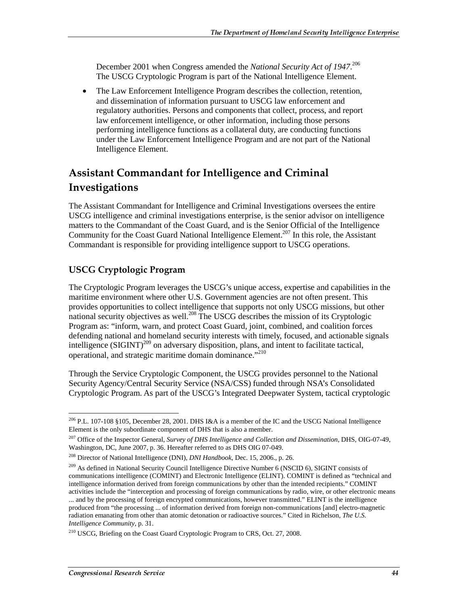December 2001 when Congress amended the *National Security Act of 1947*. 206 The USCG Cryptologic Program is part of the National Intelligence Element.

• The Law Enforcement Intelligence Program describes the collection, retention, and dissemination of information pursuant to USCG law enforcement and regulatory authorities. Persons and components that collect, process, and report law enforcement intelligence, or other information, including those persons performing intelligence functions as a collateral duty, are conducting functions under the Law Enforcement Intelligence Program and are not part of the National Intelligence Element.

## Assistant Commandant for Intelligence and Criminal Investigations

The Assistant Commandant for Intelligence and Criminal Investigations oversees the entire USCG intelligence and criminal investigations enterprise, is the senior advisor on intelligence matters to the Commandant of the Coast Guard, and is the Senior Official of the Intelligence Community for the Coast Guard National Intelligence Element.<sup>207</sup> In this role, the Assistant Commandant is responsible for providing intelligence support to USCG operations.

#### USCG Cryptologic Program

The Cryptologic Program leverages the USCG's unique access, expertise and capabilities in the maritime environment where other U.S. Government agencies are not often present. This provides opportunities to collect intelligence that supports not only USCG missions, but other national security objectives as well.<sup>208</sup> The USCG describes the mission of its Cryptologic Program as: "inform, warn, and protect Coast Guard, joint, combined, and coalition forces defending national and homeland security interests with timely, focused, and actionable signals intelligence  $(SIGHT)^{209}$  on adversary disposition, plans, and intent to facilitate tactical, operational, and strategic maritime domain dominance."<sup>210</sup>

Through the Service Cryptologic Component, the USCG provides personnel to the National Security Agency/Central Security Service (NSA/CSS) funded through NSA's Consolidated Cryptologic Program. As part of the USCG's Integrated Deepwater System, tactical cryptologic

 $\overline{a}$  $^{206}$  P.L. 107-108 §105, December 28, 2001. DHS I&A is a member of the IC and the USCG National Intelligence Element is the only subordinate component of DHS that is also a member.

<sup>207</sup> Office of the Inspector General, *Survey of DHS Intelligence and Collection and Dissemination*, DHS, OIG-07-49, Washington, DC, June 2007, p. 36. Hereafter referred to as DHS OIG 07-049.

<sup>208</sup> Director of National Intelligence (DNI), *DNI Handbook*, Dec. 15, 2006., p. 26.

<sup>&</sup>lt;sup>209</sup> As defined in National Security Council Intelligence Directive Number 6 (NSCID 6), SIGINT consists of communications intelligence (COMINT) and Electronic Intelligence (ELINT). COMINT is defined as "technical and intelligence information derived from foreign communications by other than the intended recipients." COMINT activities include the "interception and processing of foreign communications by radio, wire, or other electronic means ... and by the processing of foreign encrypted communications, however transmitted." ELINT is the intelligence produced from "the processing ... of information derived from foreign non-communications [and] electro-magnetic radiation emanating from other than atomic detonation or radioactive sources." Cited in Richelson, *The U.S. Intelligence Community,* p. 31.

<sup>&</sup>lt;sup>210</sup> USCG, Briefing on the Coast Guard Cryptologic Program to CRS, Oct. 27, 2008.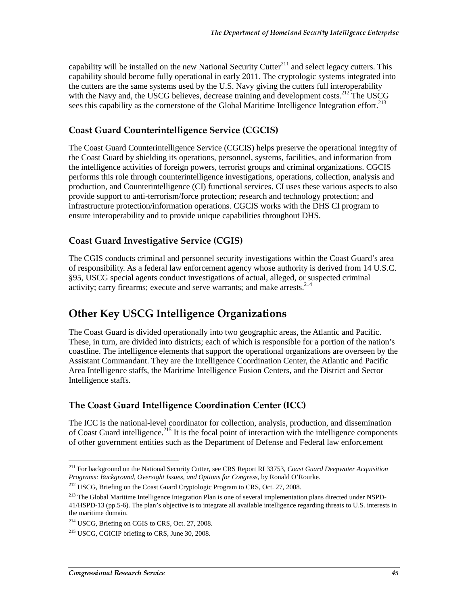capability will be installed on the new National Security Cutter $^{211}$  and select legacy cutters. This capability should become fully operational in early 2011. The cryptologic systems integrated into the cutters are the same systems used by the U.S. Navy giving the cutters full interoperability with the Navy and, the USCG believes, decrease training and development costs.<sup>212</sup> The USCG sees this capability as the cornerstone of the Global Maritime Intelligence Integration effort.<sup>213</sup>

#### **Coast Guard Counterintelligence Service (CGCIS)**

The Coast Guard Counterintelligence Service (CGCIS) helps preserve the operational integrity of the Coast Guard by shielding its operations, personnel, systems, facilities, and information from the intelligence activities of foreign powers, terrorist groups and criminal organizations. CGCIS performs this role through counterintelligence investigations, operations, collection, analysis and production, and Counterintelligence (CI) functional services. CI uses these various aspects to also provide support to anti-terrorism/force protection; research and technology protection; and infrastructure protection/information operations. CGCIS works with the DHS CI program to ensure interoperability and to provide unique capabilities throughout DHS.

### Coast Guard Investigative Service (CGIS)

The CGIS conducts criminal and personnel security investigations within the Coast Guard's area of responsibility. As a federal law enforcement agency whose authority is derived from 14 U.S.C. §95, USCG special agents conduct investigations of actual, alleged, or suspected criminal activity; carry firearms; execute and serve warrants; and make arrests. $2^{14}$ 

## Other Key USCG Intelligence Organizations

The Coast Guard is divided operationally into two geographic areas, the Atlantic and Pacific. These, in turn, are divided into districts; each of which is responsible for a portion of the nation's coastline. The intelligence elements that support the operational organizations are overseen by the Assistant Commandant. They are the Intelligence Coordination Center, the Atlantic and Pacific Area Intelligence staffs, the Maritime Intelligence Fusion Centers, and the District and Sector Intelligence staffs.

### The Coast Guard Intelligence Coordination Center (ICC)

The ICC is the national-level coordinator for collection, analysis, production, and dissemination of Coast Guard intelligence.<sup>215</sup> It is the focal point of interaction with the intelligence components of other government entities such as the Department of Defense and Federal law enforcement

<sup>211</sup> For background on the National Security Cutter, see CRS Report RL33753, *Coast Guard Deepwater Acquisition Programs: Background, Oversight Issues, and Options for Congress*, by Ronald O'Rourke.

<sup>&</sup>lt;sup>212</sup> USCG, Briefing on the Coast Guard Cryptologic Program to CRS, Oct. 27, 2008.

<sup>&</sup>lt;sup>213</sup> The Global Maritime Intelligence Integration Plan is one of several implementation plans directed under NSPD-41/HSPD-13 (pp.5-6). The plan's objective is to integrate all available intelligence regarding threats to U.S. interests in the maritime domain.

<sup>&</sup>lt;sup>214</sup> USCG, Briefing on CGIS to CRS, Oct. 27, 2008.

<sup>&</sup>lt;sup>215</sup> USCG, CGICIP briefing to CRS, June 30, 2008.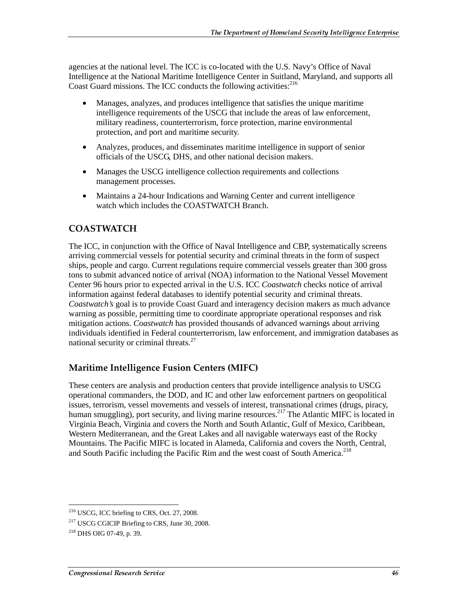agencies at the national level. The ICC is co-located with the U.S. Navy's Office of Naval Intelligence at the National Maritime Intelligence Center in Suitland, Maryland, and supports all Coast Guard missions. The ICC conducts the following activities: $2^{16}$ 

- Manages, analyzes, and produces intelligence that satisfies the unique maritime intelligence requirements of the USCG that include the areas of law enforcement, military readiness, counterterrorism, force protection, marine environmental protection, and port and maritime security.
- Analyzes, produces, and disseminates maritime intelligence in support of senior officials of the USCG, DHS, and other national decision makers.
- Manages the USCG intelligence collection requirements and collections management processes.
- Maintains a 24-hour Indications and Warning Center and current intelligence watch which includes the COASTWATCH Branch.

## COASTWATCH

The ICC, in conjunction with the Office of Naval Intelligence and CBP, systematically screens arriving commercial vessels for potential security and criminal threats in the form of suspect ships, people and cargo. Current regulations require commercial vessels greater than 300 gross tons to submit advanced notice of arrival (NOA) information to the National Vessel Movement Center 96 hours prior to expected arrival in the U.S. ICC *Coastwatch* checks notice of arrival information against federal databases to identify potential security and criminal threats. *Coastwatch's* goal is to provide Coast Guard and interagency decision makers as much advance warning as possible, permitting time to coordinate appropriate operational responses and risk mitigation actions. *Coastwatch* has provided thousands of advanced warnings about arriving individuals identified in Federal counterterrorism, law enforcement, and immigration databases as national security or criminal threats.<sup>27</sup>

## Maritime Intelligence Fusion Centers (MIFC)

These centers are analysis and production centers that provide intelligence analysis to USCG operational commanders, the DOD, and IC and other law enforcement partners on geopolitical issues, terrorism, vessel movements and vessels of interest, transnational crimes (drugs, piracy, human smuggling), port security, and living marine resources.<sup>217</sup> The Atlantic MIFC is located in Virginia Beach, Virginia and covers the North and South Atlantic, Gulf of Mexico, Caribbean, Western Mediterranean, and the Great Lakes and all navigable waterways east of the Rocky Mountains. The Pacific MIFC is located in Alameda, California and covers the North, Central, and South Pacific including the Pacific Rim and the west coast of South America.<sup>218</sup>

<sup>216</sup> USCG, ICC briefing to CRS, Oct. 27, 2008.

<sup>&</sup>lt;sup>217</sup> USCG CGICIP Briefing to CRS, June 30, 2008.

<sup>218</sup> DHS OIG 07-49, p. 39.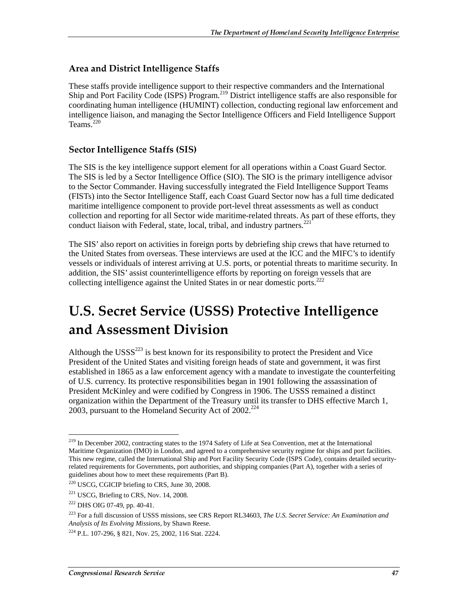#### Area and District Intelligence Staffs

These staffs provide intelligence support to their respective commanders and the International Ship and Port Facility Code (ISPS) Program.<sup>219</sup> District intelligence staffs are also responsible for coordinating human intelligence (HUMINT) collection, conducting regional law enforcement and intelligence liaison, and managing the Sector Intelligence Officers and Field Intelligence Support Teams $220$ 

#### **Sector Intelligence Staffs (SIS)**

The SIS is the key intelligence support element for all operations within a Coast Guard Sector. The SIS is led by a Sector Intelligence Office (SIO). The SIO is the primary intelligence advisor to the Sector Commander. Having successfully integrated the Field Intelligence Support Teams (FISTs) into the Sector Intelligence Staff, each Coast Guard Sector now has a full time dedicated maritime intelligence component to provide port-level threat assessments as well as conduct collection and reporting for all Sector wide maritime-related threats. As part of these efforts, they conduct liaison with Federal, state, local, tribal, and industry partners.<sup>221</sup>

The SIS' also report on activities in foreign ports by debriefing ship crews that have returned to the United States from overseas. These interviews are used at the ICC and the MIFC's to identify vessels or individuals of interest arriving at U.S. ports, or potential threats to maritime security. In addition, the SIS' assist counterintelligence efforts by reporting on foreign vessels that are collecting intelligence against the United States in or near domestic ports.222

## U.S. Secret Service (USSS) Protective Intelligence and Assessment Division

Although the  $\text{USSS}^{223}$  is best known for its responsibility to protect the President and Vice President of the United States and visiting foreign heads of state and government, it was first established in 1865 as a law enforcement agency with a mandate to investigate the counterfeiting of U.S. currency. Its protective responsibilities began in 1901 following the assassination of President McKinley and were codified by Congress in 1906. The USSS remained a distinct organization within the Department of the Treasury until its transfer to DHS effective March 1, 2003, pursuant to the Homeland Security Act of  $2002.<sup>224</sup>$ 

<sup>&</sup>lt;sup>219</sup> In December 2002, contracting states to the 1974 Safety of Life at Sea Convention, met at the International Maritime Organization (IMO) in London, and agreed to a comprehensive security regime for ships and port facilities. This new regime, called the International Ship and Port Facility Security Code (ISPS Code), contains detailed securityrelated requirements for Governments, port authorities, and shipping companies (Part A), together with a series of guidelines about how to meet these requirements (Part B).

<sup>220</sup> USCG, CGICIP briefing to CRS, June 30, 2008.

<sup>&</sup>lt;sup>221</sup> USCG, Briefing to CRS, Nov. 14, 2008.

<sup>222</sup> DHS OIG 07-49, pp. 40-41.

<sup>223</sup> For a full discussion of USSS missions, see CRS Report RL34603, *The U.S. Secret Service: An Examination and Analysis of Its Evolving Missions*, by Shawn Reese.

<sup>224</sup> P.L. 107-296, § 821, Nov. 25, 2002, 116 Stat. 2224.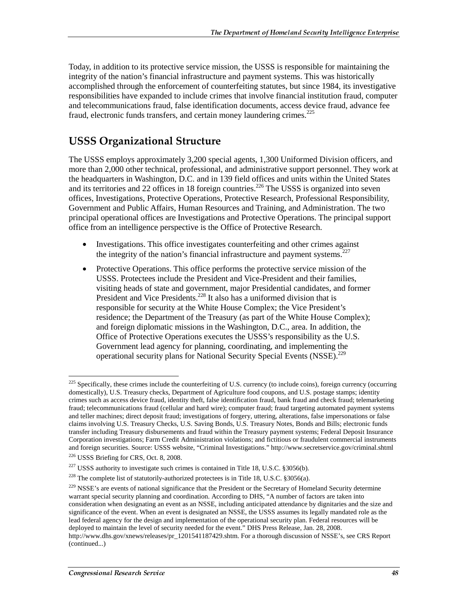Today, in addition to its protective service mission, the USSS is responsible for maintaining the integrity of the nation's financial infrastructure and payment systems. This was historically accomplished through the enforcement of counterfeiting statutes, but since 1984, its investigative responsibilities have expanded to include crimes that involve financial institution fraud, computer and telecommunications fraud, false identification documents, access device fraud, advance fee fraud, electronic funds transfers, and certain money laundering crimes.<sup>225</sup>

## USSS Organizational Structure

The USSS employs approximately 3,200 special agents, 1,300 Uniformed Division officers, and more than 2,000 other technical, professional, and administrative support personnel. They work at the headquarters in Washington, D.C. and in 139 field offices and units within the United States and its territories and 22 offices in 18 foreign countries.<sup>226</sup> The USSS is organized into seven offices, Investigations, Protective Operations, Protective Research, Professional Responsibility, Government and Public Affairs, Human Resources and Training, and Administration. The two principal operational offices are Investigations and Protective Operations. The principal support office from an intelligence perspective is the Office of Protective Research.

- Investigations. This office investigates counterfeiting and other crimes against the integrity of the nation's financial infrastructure and payment systems.<sup>227</sup>
- Protective Operations. This office performs the protective service mission of the USSS. Protectees include the President and Vice-President and their families, visiting heads of state and government, major Presidential candidates, and former President and Vice Presidents.<sup>228</sup> It also has a uniformed division that is responsible for security at the White House Complex; the Vice President's residence; the Department of the Treasury (as part of the White House Complex); and foreign diplomatic missions in the Washington, D.C., area. In addition, the Office of Protective Operations executes the USSS's responsibility as the U.S. Government lead agency for planning, coordinating, and implementing the operational security plans for National Security Special Events (NSSE).<sup>229</sup>

 $225$  Specifically, these crimes include the counterfeiting of U.S. currency (to include coins), foreign currency (occurring domestically), U.S. Treasury checks, Department of Agriculture food coupons, and U.S. postage stamps; identity crimes such as access device fraud, identity theft, false identification fraud, bank fraud and check fraud; telemarketing fraud; telecommunications fraud (cellular and hard wire); computer fraud; fraud targeting automated payment systems and teller machines; direct deposit fraud; investigations of forgery, uttering, alterations, false impersonations or false claims involving U.S. Treasury Checks, U.S. Saving Bonds, U.S. Treasury Notes, Bonds and Bills; electronic funds transfer including Treasury disbursements and fraud within the Treasury payment systems; Federal Deposit Insurance Corporation investigations; Farm Credit Administration violations; and fictitious or fraudulent commercial instruments and foreign securities. Source: USSS website, "Criminal Investigations." http://www.secretservice.gov/criminal.shtml

<sup>226</sup> USSS Briefing for CRS, Oct. 8, 2008.

 $227$  USSS authority to investigate such crimes is contained in Title 18, U.S.C. §3056(b).

<sup>&</sup>lt;sup>228</sup> The complete list of statutorily-authorized protectees is in Title 18, U.S.C. §3056(a).

<sup>&</sup>lt;sup>229</sup> NSSE's are events of national significance that the President or the Secretary of Homeland Security determine warrant special security planning and coordination. According to DHS, "A number of factors are taken into consideration when designating an event as an NSSE, including anticipated attendance by dignitaries and the size and significance of the event. When an event is designated an NSSE, the USSS assumes its legally mandated role as the lead federal agency for the design and implementation of the operational security plan. Federal resources will be deployed to maintain the level of security needed for the event." DHS Press Release, Jan. 28, 2008. http://www.dhs.gov/xnews/releases/pr\_1201541187429.shtm. For a thorough discussion of NSSE's, see CRS Report (continued...)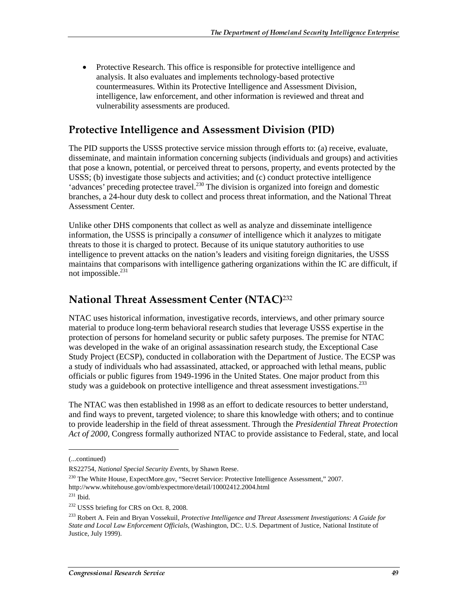• Protective Research. This office is responsible for protective intelligence and analysis. It also evaluates and implements technology-based protective countermeasures. Within its Protective Intelligence and Assessment Division, intelligence, law enforcement, and other information is reviewed and threat and vulnerability assessments are produced.

## Protective Intelligence and Assessment Division (PID)

The PID supports the USSS protective service mission through efforts to: (a) receive, evaluate, disseminate, and maintain information concerning subjects (individuals and groups) and activities that pose a known, potential, or perceived threat to persons, property, and events protected by the USSS; (b) investigate those subjects and activities; and (c) conduct protective intelligence 'advances' preceding protectee travel.<sup>230</sup> The division is organized into foreign and domestic branches, a 24-hour duty desk to collect and process threat information, and the National Threat Assessment Center.

Unlike other DHS components that collect as well as analyze and disseminate intelligence information, the USSS is principally a *consumer* of intelligence which it analyzes to mitigate threats to those it is charged to protect. Because of its unique statutory authorities to use intelligence to prevent attacks on the nation's leaders and visiting foreign dignitaries, the USSS maintains that comparisons with intelligence gathering organizations within the IC are difficult, if not impossible. $^{231}$ 

## **National Threat Assessment Center (NTAC)**<sup>232</sup>

NTAC uses historical information, investigative records, interviews, and other primary source material to produce long-term behavioral research studies that leverage USSS expertise in the protection of persons for homeland security or public safety purposes. The premise for NTAC was developed in the wake of an original assassination research study, the Exceptional Case Study Project (ECSP), conducted in collaboration with the Department of Justice. The ECSP was a study of individuals who had assassinated, attacked, or approached with lethal means, public officials or public figures from 1949-1996 in the United States. One major product from this study was a guidebook on protective intelligence and threat assessment investigations.<sup>233</sup>

The NTAC was then established in 1998 as an effort to dedicate resources to better understand, and find ways to prevent, targeted violence; to share this knowledge with others; and to continue to provide leadership in the field of threat assessment. Through the *Presidential Threat Protection Act of 2000,* Congress formally authorized NTAC to provide assistance to Federal, state, and local

<sup>(...</sup>continued)

RS22754, *National Special Security Events*, by Shawn Reese.

<sup>&</sup>lt;sup>230</sup> The White House, ExpectMore.gov, "Secret Service: Protective Intelligence Assessment," 2007. http://www.whitehouse.gov/omb/expectmore/detail/10002412.2004.html

<sup>231</sup> Ibid.

<sup>&</sup>lt;sup>232</sup> USSS briefing for CRS on Oct. 8, 2008.

<sup>233</sup> Robert A. Fein and Bryan Vossekuil, *Protective Intelligence and Threat Assessment Investigations: A Guide for State and Local Law Enforcement Officials*, (Washington, DC:. U.S. Department of Justice, National Institute of Justice, July 1999).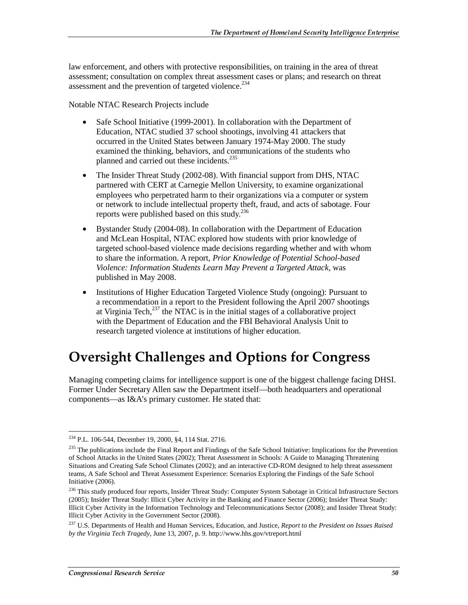law enforcement, and others with protective responsibilities, on training in the area of threat assessment; consultation on complex threat assessment cases or plans; and research on threat assessment and the prevention of targeted violence.<sup>234</sup>

Notable NTAC Research Projects include

- Safe School Initiative (1999-2001). In collaboration with the Department of Education, NTAC studied 37 school shootings, involving 41 attackers that occurred in the United States between January 1974-May 2000. The study examined the thinking, behaviors, and communications of the students who planned and carried out these incidents.<sup>235</sup>
- The Insider Threat Study (2002-08). With financial support from DHS, NTAC partnered with CERT at Carnegie Mellon University, to examine organizational employees who perpetrated harm to their organizations via a computer or system or network to include intellectual property theft, fraud, and acts of sabotage. Four reports were published based on this study.236
- Bystander Study (2004-08). In collaboration with the Department of Education and McLean Hospital, NTAC explored how students with prior knowledge of targeted school-based violence made decisions regarding whether and with whom to share the information. A report, *Prior Knowledge of Potential School-based Violence: Information Students Learn May Prevent a Targeted Attack,* was published in May 2008.
- Institutions of Higher Education Targeted Violence Study (ongoing): Pursuant to a recommendation in a report to the President following the April 2007 shootings at Virginia Tech, $^{237}$  the NTAC is in the initial stages of a collaborative project with the Department of Education and the FBI Behavioral Analysis Unit to research targeted violence at institutions of higher education.

## **Oversight Challenges and Options for Congress**

Managing competing claims for intelligence support is one of the biggest challenge facing DHSI. Former Under Secretary Allen saw the Department itself—both headquarters and operational components—as I&A's primary customer. He stated that:

<sup>234</sup> P.L. 106-544, December 19, 2000, §4, 114 Stat. 2716.

<sup>&</sup>lt;sup>235</sup> The publications include the Final Report and Findings of the Safe School Initiative: Implications for the Prevention of School Attacks in the United States (2002); Threat Assessment in Schools: A Guide to Managing Threatening Situations and Creating Safe School Climates (2002); and an interactive CD-ROM designed to help threat assessment teams, A Safe School and Threat Assessment Experience: Scenarios Exploring the Findings of the Safe School Initiative (2006).

<sup>&</sup>lt;sup>236</sup> This study produced four reports, Insider Threat Study: Computer System Sabotage in Critical Infrastructure Sectors (2005); Insider Threat Study: Illicit Cyber Activity in the Banking and Finance Sector (2006); Insider Threat Study: Illicit Cyber Activity in the Information Technology and Telecommunications Sector (2008); and Insider Threat Study: Illicit Cyber Activity in the Government Sector (2008).

<sup>237</sup> U.S. Departments of Health and Human Services, Education, and Justice, *Report to the President on Issues Raised by the Virginia Tech Tragedy*, June 13, 2007, p. 9. http://www.hhs.gov/vtreport.html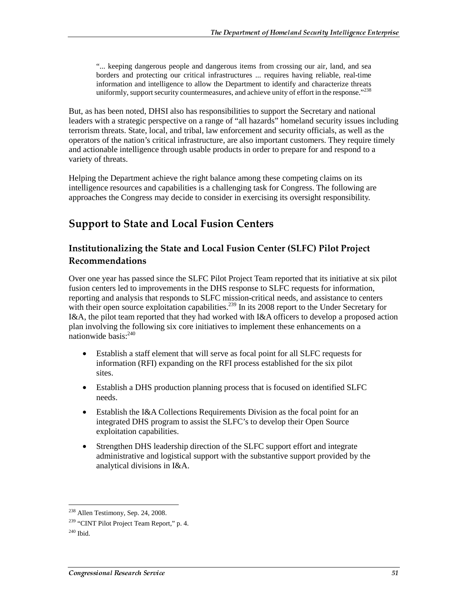"... keeping dangerous people and dangerous items from crossing our air, land, and sea borders and protecting our critical infrastructures ... requires having reliable, real-time information and intelligence to allow the Department to identify and characterize threats uniformly, support security countermeasures, and achieve unity of effort in the response."<sup>238</sup>

But, as has been noted, DHSI also has responsibilities to support the Secretary and national leaders with a strategic perspective on a range of "all hazards" homeland security issues including terrorism threats. State, local, and tribal, law enforcement and security officials, as well as the operators of the nation's critical infrastructure, are also important customers. They require timely and actionable intelligence through usable products in order to prepare for and respond to a variety of threats.

Helping the Department achieve the right balance among these competing claims on its intelligence resources and capabilities is a challenging task for Congress. The following are approaches the Congress may decide to consider in exercising its oversight responsibility.

## Support to State and Local Fusion Centers

#### Institutionalizing the State and Local Fusion Center (SLFC) Pilot Project **Recommendations**

Over one year has passed since the SLFC Pilot Project Team reported that its initiative at six pilot fusion centers led to improvements in the DHS response to SLFC requests for information, reporting and analysis that responds to SLFC mission-critical needs, and assistance to centers with their open source exploitation capabilities.<sup>239</sup> In its 2008 report to the Under Secretary for I&A, the pilot team reported that they had worked with I&A officers to develop a proposed action plan involving the following six core initiatives to implement these enhancements on a nationwide basis:240

- Establish a staff element that will serve as focal point for all SLFC requests for information (RFI) expanding on the RFI process established for the six pilot sites.
- Establish a DHS production planning process that is focused on identified SLFC needs.
- Establish the I&A Collections Requirements Division as the focal point for an integrated DHS program to assist the SLFC's to develop their Open Source exploitation capabilities.
- Strengthen DHS leadership direction of the SLFC support effort and integrate administrative and logistical support with the substantive support provided by the analytical divisions in I&A.

<sup>&</sup>lt;sup>238</sup> Allen Testimony, Sep. 24, 2008.

<sup>&</sup>lt;sup>239</sup> "CINT Pilot Project Team Report," p. 4.

 $240$  Ibid.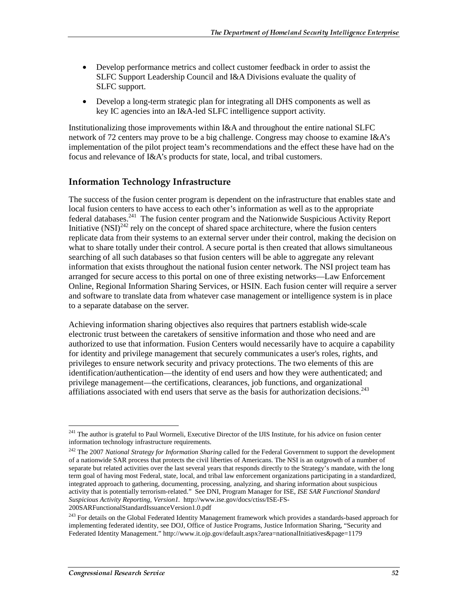- Develop performance metrics and collect customer feedback in order to assist the SLFC Support Leadership Council and I&A Divisions evaluate the quality of SLFC support.
- Develop a long-term strategic plan for integrating all DHS components as well as key IC agencies into an I&A-led SLFC intelligence support activity.

Institutionalizing those improvements within I&A and throughout the entire national SLFC network of 72 centers may prove to be a big challenge. Congress may choose to examine I&A's implementation of the pilot project team's recommendations and the effect these have had on the focus and relevance of I&A's products for state, local, and tribal customers.

#### Information Technology Infrastructure

The success of the fusion center program is dependent on the infrastructure that enables state and local fusion centers to have access to each other's information as well as to the appropriate federal databases.241 The fusion center program and the Nationwide Suspicious Activity Report Initiative  $(NSI)^{242}$  rely on the concept of shared space architecture, where the fusion centers replicate data from their systems to an external server under their control, making the decision on what to share totally under their control. A secure portal is then created that allows simultaneous searching of all such databases so that fusion centers will be able to aggregate any relevant information that exists throughout the national fusion center network. The NSI project team has arranged for secure access to this portal on one of three existing networks—Law Enforcement Online, Regional Information Sharing Services, or HSIN. Each fusion center will require a server and software to translate data from whatever case management or intelligence system is in place to a separate database on the server.

Achieving information sharing objectives also requires that partners establish wide-scale electronic trust between the caretakers of sensitive information and those who need and are authorized to use that information. Fusion Centers would necessarily have to acquire a capability for identity and privilege management that securely communicates a user's roles, rights, and privileges to ensure network security and privacy protections. The two elements of this are identification/authentication—the identity of end users and how they were authenticated; and privilege management—the certifications, clearances, job functions, and organizational affiliations associated with end users that serve as the basis for authorization decisions.<sup>243</sup>

 $\overline{a}$ <sup>241</sup> The author is grateful to Paul Wormeli, Executive Director of the IJIS Institute, for his advice on fusion center information technology infrastructure requirements.

<sup>&</sup>lt;sup>242</sup> The 2007 *National Strategy for Information Sharing* called for the Federal Government to support the development of a nationwide SAR process that protects the civil liberties of Americans. The NSI is an outgrowth of a number of separate but related activities over the last several years that responds directly to the Strategy's mandate, with the long term goal of having most Federal, state, local, and tribal law enforcement organizations participating in a standardized, integrated approach to gathering, documenting, processing, analyzing, and sharing information about suspicious activity that is potentially terrorism-related." See DNI, Program Manager for ISE, *ISE SAR Functional Standard Suspicious Activity Reporting, Version1.* http://www.ise.gov/docs/ctiss/ISE-FS-

<sup>200</sup>SARFunctionalStandardIssuanceVersion1.0.pdf

<sup>&</sup>lt;sup>243</sup> For details on the Global Federated Identity Management framework which provides a standards-based approach for implementing federated identity, see DOJ, Office of Justice Programs, Justice Information Sharing, "Security and Federated Identity Management." http://www.it.ojp.gov/default.aspx?area=nationalInitiatives&page=1179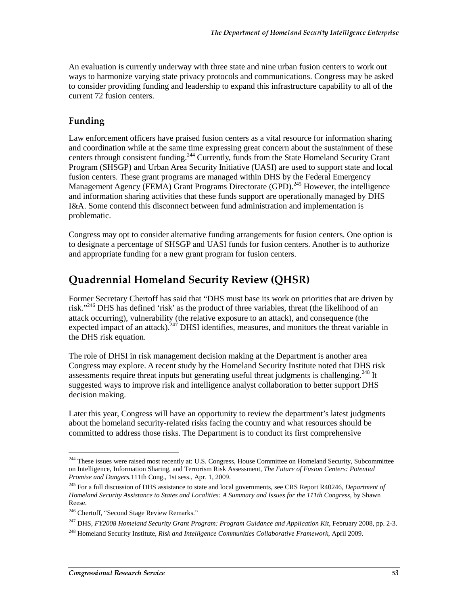An evaluation is currently underway with three state and nine urban fusion centers to work out ways to harmonize varying state privacy protocols and communications. Congress may be asked to consider providing funding and leadership to expand this infrastructure capability to all of the current 72 fusion centers.

### Funding

Law enforcement officers have praised fusion centers as a vital resource for information sharing and coordination while at the same time expressing great concern about the sustainment of these centers through consistent funding.<sup>244</sup> Currently, funds from the State Homeland Security Grant Program (SHSGP) and Urban Area Security Initiative (UASI) are used to support state and local fusion centers. These grant programs are managed within DHS by the Federal Emergency Management Agency (FEMA) Grant Programs Directorate (GPD).<sup>245</sup> However, the intelligence and information sharing activities that these funds support are operationally managed by DHS I&A. Some contend this disconnect between fund administration and implementation is problematic.

Congress may opt to consider alternative funding arrangements for fusion centers. One option is to designate a percentage of SHSGP and UASI funds for fusion centers. Another is to authorize and appropriate funding for a new grant program for fusion centers.

## Quadrennial Homeland Security Review (QHSR)

Former Secretary Chertoff has said that "DHS must base its work on priorities that are driven by risk."246 DHS has defined 'risk' as the product of three variables, threat (the likelihood of an attack occurring), vulnerability (the relative exposure to an attack), and consequence (the expected impact of an attack).<sup>247</sup> DHSI identifies, measures, and monitors the threat variable in the DHS risk equation.

The role of DHSI in risk management decision making at the Department is another area Congress may explore. A recent study by the Homeland Security Institute noted that DHS risk assessments require threat inputs but generating useful threat judgments is challenging.<sup>248</sup> It suggested ways to improve risk and intelligence analyst collaboration to better support DHS decision making.

Later this year, Congress will have an opportunity to review the department's latest judgments about the homeland security-related risks facing the country and what resources should be committed to address those risks. The Department is to conduct its first comprehensive

 $\overline{a}$ <sup>244</sup> These issues were raised most recently at: U.S. Congress, House Committee on Homeland Security, Subcommittee on Intelligence, Information Sharing, and Terrorism Risk Assessment, *The Future of Fusion Centers: Potential Promise and Dangers.*111th Cong., 1st sess., Apr. 1, 2009.

<sup>245</sup> For a full discussion of DHS assistance to state and local governments, see CRS Report R40246, *Department of Homeland Security Assistance to States and Localities: A Summary and Issues for the 111th Congress*, by Shawn Reese.

<sup>246</sup> Chertoff, "Second Stage Review Remarks."

<sup>247</sup> DHS, *FY2008 Homeland Security Grant Program: Program Guidance and Application Kit,* February 2008, pp. 2-3.

<sup>248</sup> Homeland Security Institute, *Risk and Intelligence Communities Collaborative Framework*, April 2009.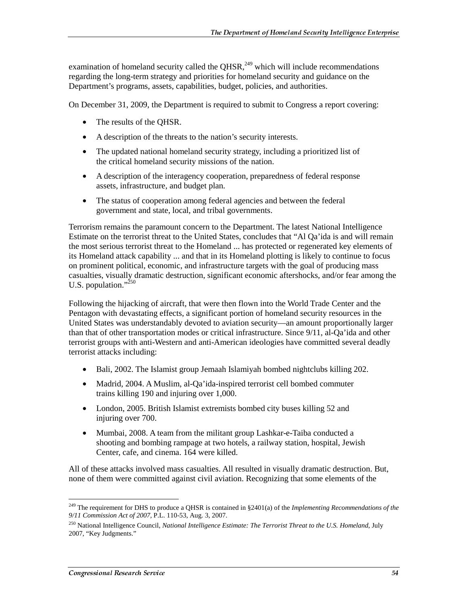examination of homeland security called the QHSR, $^{249}$  which will include recommendations regarding the long-term strategy and priorities for homeland security and guidance on the Department's programs, assets, capabilities, budget, policies, and authorities.

On December 31, 2009, the Department is required to submit to Congress a report covering:

- The results of the QHSR.
- A description of the threats to the nation's security interests.
- The updated national homeland security strategy, including a prioritized list of the critical homeland security missions of the nation.
- A description of the interagency cooperation, preparedness of federal response assets, infrastructure, and budget plan.
- The status of cooperation among federal agencies and between the federal government and state, local, and tribal governments.

Terrorism remains the paramount concern to the Department. The latest National Intelligence Estimate on the terrorist threat to the United States, concludes that "Al Qa'ida is and will remain the most serious terrorist threat to the Homeland ... has protected or regenerated key elements of its Homeland attack capability ... and that in its Homeland plotting is likely to continue to focus on prominent political, economic, and infrastructure targets with the goal of producing mass casualties, visually dramatic destruction, significant economic aftershocks, and/or fear among the U.S. population." $^{250}$ 

Following the hijacking of aircraft, that were then flown into the World Trade Center and the Pentagon with devastating effects, a significant portion of homeland security resources in the United States was understandably devoted to aviation security—an amount proportionally larger than that of other transportation modes or critical infrastructure. Since 9/11, al-Qa'ida and other terrorist groups with anti-Western and anti-American ideologies have committed several deadly terrorist attacks including:

- Bali, 2002. The Islamist group Jemaah Islamiyah bombed nightclubs killing 202.
- Madrid, 2004. A Muslim, al-Qa'ida-inspired terrorist cell bombed commuter trains killing 190 and injuring over 1,000.
- London, 2005. British Islamist extremists bombed city buses killing 52 and injuring over 700.
- Mumbai, 2008. A team from the militant group Lashkar-e-Taiba conducted a shooting and bombing rampage at two hotels, a railway station, hospital, Jewish Center, cafe, and cinema. 164 were killed.

All of these attacks involved mass casualties. All resulted in visually dramatic destruction. But, none of them were committed against civil aviation. Recognizing that some elements of the

 $\overline{a}$ 249 The requirement for DHS to produce a QHSR is contained in §2401(a) of the *Implementing Recommendations of the 9/11 Commission Act of 2007,* P.L. 110-53, Aug. 3, 2007.

<sup>250</sup> National Intelligence Council, *National Intelligence Estimate: The Terrorist Threat to the U.S. Homeland*, July 2007, "Key Judgments."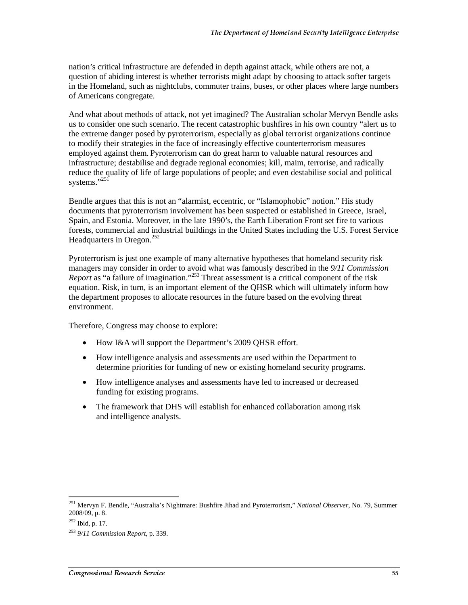nation's critical infrastructure are defended in depth against attack, while others are not, a question of abiding interest is whether terrorists might adapt by choosing to attack softer targets in the Homeland, such as nightclubs, commuter trains, buses, or other places where large numbers of Americans congregate.

And what about methods of attack, not yet imagined? The Australian scholar Mervyn Bendle asks us to consider one such scenario. The recent catastrophic bushfires in his own country "alert us to the extreme danger posed by pyroterrorism, especially as global terrorist organizations continue to modify their strategies in the face of increasingly effective counterterrorism measures employed against them. Pyroterrorism can do great harm to valuable natural resources and infrastructure; destabilise and degrade regional economies; kill, maim, terrorise, and radically reduce the quality of life of large populations of people; and even destabilise social and political systems."251

Bendle argues that this is not an "alarmist, eccentric, or "Islamophobic" notion." His study documents that pyroterrorism involvement has been suspected or established in Greece, Israel, Spain, and Estonia. Moreover, in the late 1990's, the Earth Liberation Front set fire to various forests, commercial and industrial buildings in the United States including the U.S. Forest Service Headquarters in Oregon.<sup>252</sup>

Pyroterrorism is just one example of many alternative hypotheses that homeland security risk managers may consider in order to avoid what was famously described in the *9/11 Commission Report* as "a failure of imagination."253 Threat assessment is a critical component of the risk equation. Risk, in turn, is an important element of the QHSR which will ultimately inform how the department proposes to allocate resources in the future based on the evolving threat environment.

Therefore, Congress may choose to explore:

- How I&A will support the Department's 2009 QHSR effort.
- How intelligence analysis and assessments are used within the Department to determine priorities for funding of new or existing homeland security programs.
- How intelligence analyses and assessments have led to increased or decreased funding for existing programs.
- The framework that DHS will establish for enhanced collaboration among risk and intelligence analysts.

<sup>251</sup> Mervyn F. Bendle, "Australia's Nightmare: Bushfire Jihad and Pyroterrorism," *National Observer*, No. 79, Summer 2008/09, p. 8.

<sup>252</sup> Ibid, p. 17.

<sup>253</sup> *9/11 Commission Report*, p. 339.